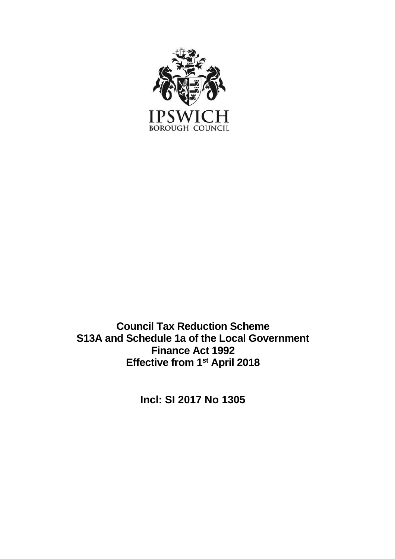

**Council Tax Reduction Scheme S13A and Schedule 1a of the Local Government Finance Act 1992 Effective from 1st April 2018**

**Incl: SI 2017 No 1305**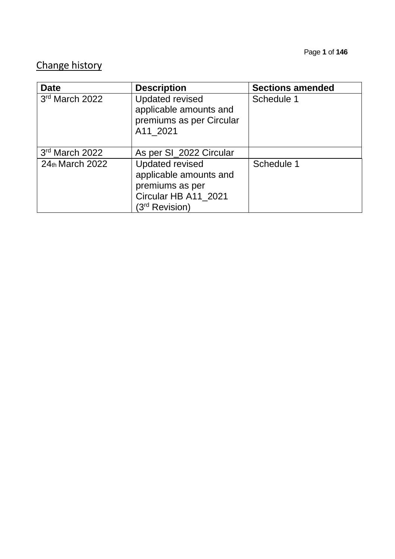# Change history

| <b>Date</b>     | <b>Description</b>                                                                                                        | <b>Sections amended</b> |
|-----------------|---------------------------------------------------------------------------------------------------------------------------|-------------------------|
| 3rd March 2022  | <b>Updated revised</b><br>applicable amounts and<br>premiums as per Circular<br>A11 2021                                  | Schedule 1              |
| 3rd March 2022  | As per SI_2022 Circular                                                                                                   |                         |
| 24th March 2022 | <b>Updated revised</b><br>applicable amounts and<br>premiums as per<br>Circular HB A11_2021<br>(3 <sup>rd</sup> Revision) | Schedule 1              |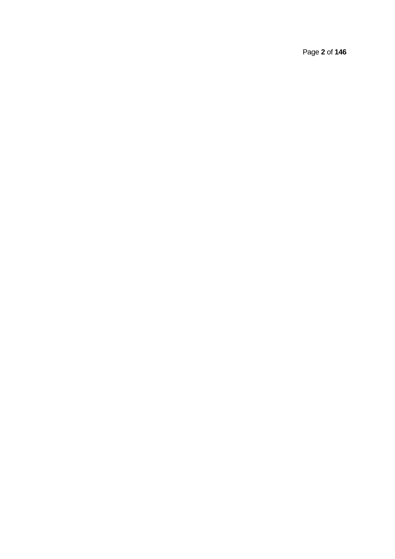Page **2** of **146**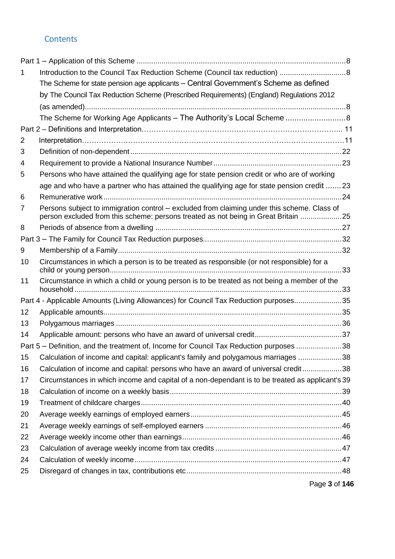# **Contents**

| 1  |                                                                                                                                                                                   |  |
|----|-----------------------------------------------------------------------------------------------------------------------------------------------------------------------------------|--|
|    | The Scheme for state pension age applicants – Central Government's Scheme as defined                                                                                              |  |
|    | by The Council Tax Reduction Scheme (Prescribed Requirements) (England) Regulations 2012                                                                                          |  |
|    | $(as \text{ amended}) \dots 8$                                                                                                                                                    |  |
|    | The Scheme for Working Age Applicants - The Authority's Local Scheme  8                                                                                                           |  |
|    |                                                                                                                                                                                   |  |
| 2  |                                                                                                                                                                                   |  |
| 3  |                                                                                                                                                                                   |  |
| 4  |                                                                                                                                                                                   |  |
| 5  | Persons who have attained the qualifying age for state pension credit or who are of working                                                                                       |  |
|    | age and who have a partner who has attained the qualifying age for state pension credit  23                                                                                       |  |
| 6  |                                                                                                                                                                                   |  |
| 7  | Persons subject to immigration control - excluded from claiming under this scheme. Class of<br>person excluded from this scheme: persons treated as not being in Great Britain 25 |  |
| 8  |                                                                                                                                                                                   |  |
|    |                                                                                                                                                                                   |  |
| 9  |                                                                                                                                                                                   |  |
| 10 | Circumstances in which a person is to be treated as responsible (or not responsible) for a                                                                                        |  |
| 11 | Circumstance in which a child or young person is to be treated as not being a member of the                                                                                       |  |
|    | Part 4 - Applicable Amounts (Living Allowances) for Council Tax Reduction purposes35                                                                                              |  |
| 12 |                                                                                                                                                                                   |  |
| 13 |                                                                                                                                                                                   |  |
| 14 |                                                                                                                                                                                   |  |
|    | Part 5 - Definition, and the treatment of, Income for Council Tax Reduction purposes 38                                                                                           |  |
| 15 | Calculation of income and capital: applicant's family and polygamous marriages 38                                                                                                 |  |
| 16 | Calculation of income and capital: persons who have an award of universal credit38                                                                                                |  |
| 17 | Circumstances in which income and capital of a non-dependant is to be treated as applicant's 39                                                                                   |  |
| 18 |                                                                                                                                                                                   |  |
| 19 |                                                                                                                                                                                   |  |
| 20 |                                                                                                                                                                                   |  |
| 21 |                                                                                                                                                                                   |  |
| 22 |                                                                                                                                                                                   |  |
| 23 |                                                                                                                                                                                   |  |
| 24 |                                                                                                                                                                                   |  |
| 25 |                                                                                                                                                                                   |  |
|    | $D_{000}$ $2 \text{ of } 4.46$                                                                                                                                                    |  |

Page **3** of **146**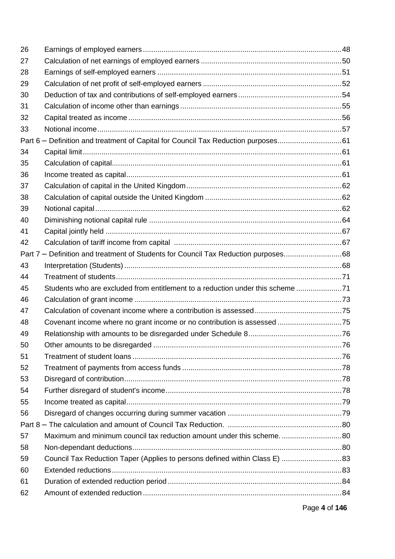| 26 |                                                                                    |  |
|----|------------------------------------------------------------------------------------|--|
| 27 |                                                                                    |  |
| 28 |                                                                                    |  |
| 29 |                                                                                    |  |
| 30 |                                                                                    |  |
| 31 |                                                                                    |  |
| 32 |                                                                                    |  |
| 33 |                                                                                    |  |
|    | Part 6 - Definition and treatment of Capital for Council Tax Reduction purposes61  |  |
| 34 |                                                                                    |  |
| 35 |                                                                                    |  |
| 36 |                                                                                    |  |
| 37 |                                                                                    |  |
| 38 |                                                                                    |  |
| 39 |                                                                                    |  |
| 40 |                                                                                    |  |
| 41 |                                                                                    |  |
| 42 |                                                                                    |  |
|    | Part 7 – Definition and treatment of Students for Council Tax Reduction purposes68 |  |
| 43 |                                                                                    |  |
| 44 |                                                                                    |  |
| 45 | Students who are excluded from entitlement to a reduction under this scheme 71     |  |
| 46 |                                                                                    |  |
| 47 |                                                                                    |  |
| 48 |                                                                                    |  |
| 49 |                                                                                    |  |
| 50 |                                                                                    |  |
| 51 |                                                                                    |  |
| 52 |                                                                                    |  |
| 53 |                                                                                    |  |
| 54 |                                                                                    |  |
| 55 |                                                                                    |  |
| 56 |                                                                                    |  |
|    |                                                                                    |  |
| 57 | Maximum and minimum council tax reduction amount under this scheme80               |  |
| 58 |                                                                                    |  |
| 59 | Council Tax Reduction Taper (Applies to persons defined within Class E) 83         |  |
| 60 |                                                                                    |  |
| 61 |                                                                                    |  |
| 62 |                                                                                    |  |

Page **4** of **146**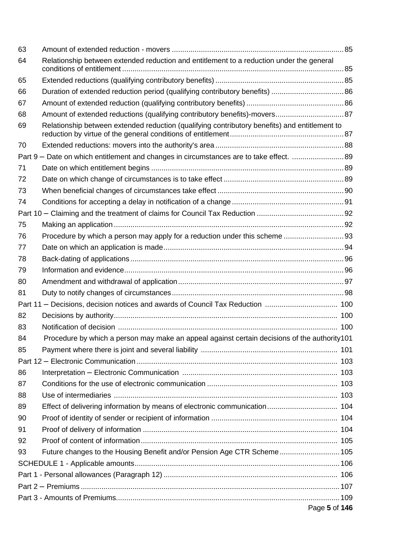| 63 |                                                                                               |  |
|----|-----------------------------------------------------------------------------------------------|--|
| 64 | Relationship between extended reduction and entitlement to a reduction under the general      |  |
| 65 |                                                                                               |  |
| 66 |                                                                                               |  |
| 67 |                                                                                               |  |
| 68 |                                                                                               |  |
| 69 | Relationship between extended reduction (qualifying contributory benefits) and entitlement to |  |
| 70 |                                                                                               |  |
|    | Part 9 - Date on which entitlement and changes in circumstances are to take effect. 89        |  |
| 71 |                                                                                               |  |
| 72 |                                                                                               |  |
| 73 |                                                                                               |  |
| 74 |                                                                                               |  |
|    |                                                                                               |  |
| 75 |                                                                                               |  |
| 76 |                                                                                               |  |
| 77 |                                                                                               |  |
| 78 |                                                                                               |  |
| 79 |                                                                                               |  |
| 80 |                                                                                               |  |
| 81 |                                                                                               |  |
|    | Part 11 - Decisions, decision notices and awards of Council Tax Reduction  100                |  |
| 82 |                                                                                               |  |
| 83 |                                                                                               |  |
| 84 | Procedure by which a person may make an appeal against certain decisions of the authority101  |  |
| 85 |                                                                                               |  |
|    |                                                                                               |  |
| 86 |                                                                                               |  |
| 87 |                                                                                               |  |
| 88 |                                                                                               |  |
| 89 |                                                                                               |  |
| 90 |                                                                                               |  |
| 91 |                                                                                               |  |
| 92 |                                                                                               |  |
| 93 | Future changes to the Housing Benefit and/or Pension Age CTR Scheme 105                       |  |
|    |                                                                                               |  |
|    |                                                                                               |  |
|    |                                                                                               |  |
|    |                                                                                               |  |
|    | Page 5 of 146                                                                                 |  |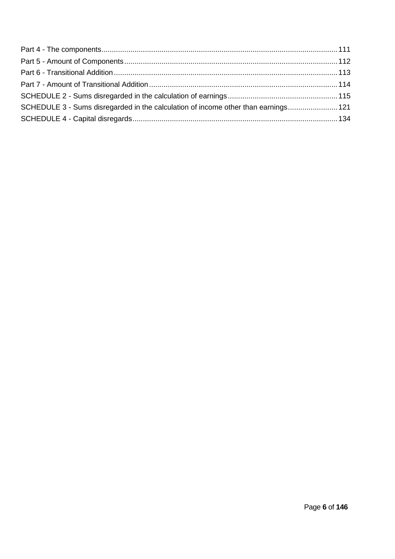| SCHEDULE 3 - Sums disregarded in the calculation of income other than earnings 121 |  |
|------------------------------------------------------------------------------------|--|
|                                                                                    |  |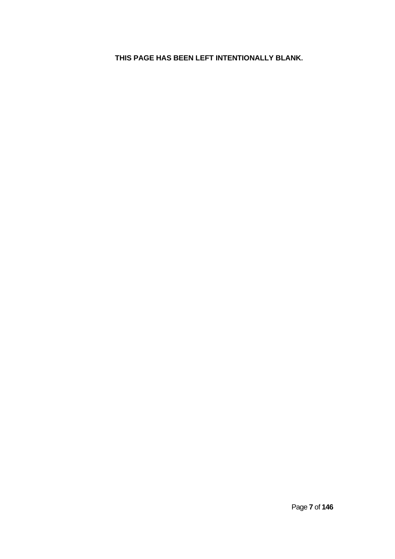# **THIS PAGE HAS BEEN LEFT INTENTIONALLY BLANK.**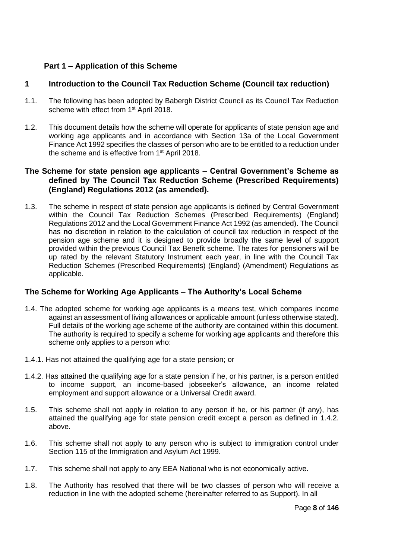# **Part 1 – Application of this Scheme**

# **1 Introduction to the Council Tax Reduction Scheme (Council tax reduction)**

- 1.1. The following has been adopted by Babergh District Council as its Council Tax Reduction scheme with effect from 1<sup>st</sup> April 2018.
- 1.2. This document details how the scheme will operate for applicants of state pension age and working age applicants and in accordance with Section 13a of the Local Government Finance Act 1992 specifies the classes of person who are to be entitled to a reduction under the scheme and is effective from 1<sup>st</sup> April 2018.

# **The Scheme for state pension age applicants – Central Government's Scheme as defined by The Council Tax Reduction Scheme (Prescribed Requirements) (England) Regulations 2012 (as amended).**

1.3. The scheme in respect of state pension age applicants is defined by Central Government within the Council Tax Reduction Schemes (Prescribed Requirements) (England) Regulations 2012 and the Local Government Finance Act 1992 (as amended). The Council has **no** discretion in relation to the calculation of council tax reduction in respect of the pension age scheme and it is designed to provide broadly the same level of support provided within the previous Council Tax Benefit scheme. The rates for pensioners will be up rated by the relevant Statutory Instrument each year, in line with the Council Tax Reduction Schemes (Prescribed Requirements) (England) (Amendment) Regulations as applicable.

# **The Scheme for Working Age Applicants – The Authority's Local Scheme**

- 1.4. The adopted scheme for working age applicants is a means test, which compares income against an assessment of living allowances or applicable amount (unless otherwise stated). Full details of the working age scheme of the authority are contained within this document. The authority is required to specify a scheme for working age applicants and therefore this scheme only applies to a person who:
- 1.4.1. Has not attained the qualifying age for a state pension; or
- 1.4.2. Has attained the qualifying age for a state pension if he, or his partner, is a person entitled to income support, an income-based jobseeker's allowance, an income related employment and support allowance or a Universal Credit award.
- 1.5. This scheme shall not apply in relation to any person if he, or his partner (if any), has attained the qualifying age for state pension credit except a person as defined in 1.4.2. above.
- 1.6. This scheme shall not apply to any person who is subject to immigration control under Section 115 of the Immigration and Asylum Act 1999.
- 1.7. This scheme shall not apply to any EEA National who is not economically active.
- 1.8. The Authority has resolved that there will be two classes of person who will receive a reduction in line with the adopted scheme (hereinafter referred to as Support). In all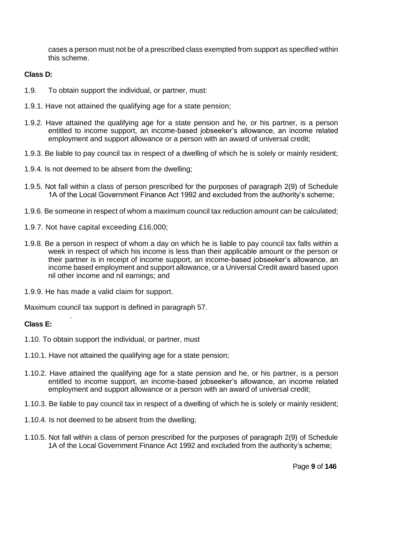cases a person must not be of a prescribed class exempted from support as specified within this scheme.

#### **Class D:**

- 1.9. To obtain support the individual, or partner, must:
- 1.9.1. Have not attained the qualifying age for a state pension;
- 1.9.2. Have attained the qualifying age for a state pension and he, or his partner, is a person entitled to income support, an income-based jobseeker's allowance, an income related employment and support allowance or a person with an award of universal credit;
- 1.9.3. Be liable to pay council tax in respect of a dwelling of which he is solely or mainly resident;
- 1.9.4. Is not deemed to be absent from the dwelling;
- 1.9.5. Not fall within a class of person prescribed for the purposes of paragraph 2(9) of Schedule 1A of the Local Government Finance Act 1992 and excluded from the authority's scheme;
- 1.9.6. Be someone in respect of whom a maximum council tax reduction amount can be calculated;
- 1.9.7. Not have capital exceeding £16,000;
- 1.9.8. Be a person in respect of whom a day on which he is liable to pay council tax falls within a week in respect of which his income is less than their applicable amount or the person or their partner is in receipt of income support, an income-based jobseeker's allowance, an income based employment and support allowance, or a Universal Credit award based upon nil other income and nil earnings; and
- 1.9.9. He has made a valid claim for support.

.

Maximum council tax support is defined in paragraph 57.

#### **Class E:**

- 1.10. To obtain support the individual, or partner, must
- 1.10.1. Have not attained the qualifying age for a state pension;
- 1.10.2. Have attained the qualifying age for a state pension and he, or his partner, is a person entitled to income support, an income-based jobseeker's allowance, an income related employment and support allowance or a person with an award of universal credit;
- 1.10.3. Be liable to pay council tax in respect of a dwelling of which he is solely or mainly resident;
- 1.10.4. Is not deemed to be absent from the dwelling;
- 1.10.5. Not fall within a class of person prescribed for the purposes of paragraph 2(9) of Schedule 1A of the Local Government Finance Act 1992 and excluded from the authority's scheme;

Page **9** of **146**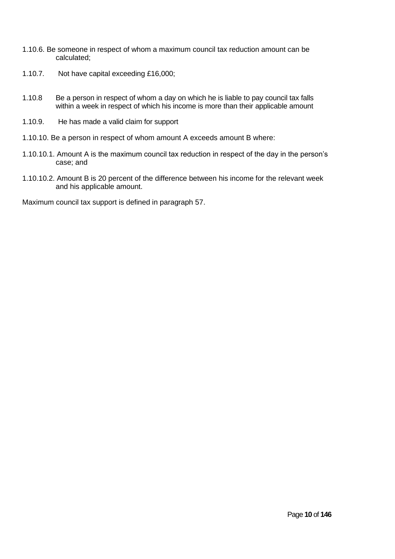- 1.10.6. Be someone in respect of whom a maximum council tax reduction amount can be calculated;
- 1.10.7. Not have capital exceeding £16,000;
- 1.10.8 Be a person in respect of whom a day on which he is liable to pay council tax falls within a week in respect of which his income is more than their applicable amount
- 1.10.9. He has made a valid claim for support
- 1.10.10. Be a person in respect of whom amount A exceeds amount B where:
- 1.10.10.1. Amount A is the maximum council tax reduction in respect of the day in the person's case; and
- 1.10.10.2. Amount B is 20 percent of the difference between his income for the relevant week and his applicable amount.

Maximum council tax support is defined in paragraph 57.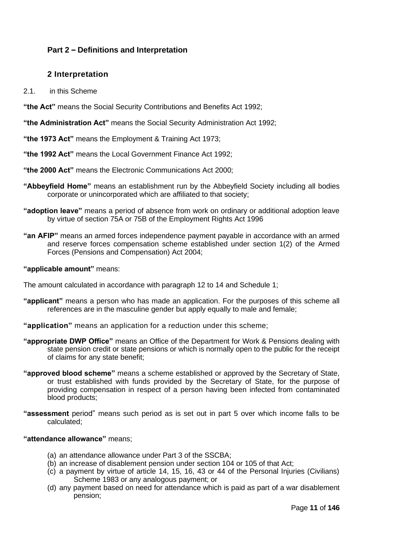# **Part 2 – Definitions and Interpretation**

# **2 Interpretation**

2.1. in this Scheme

**"the Act"** means the Social Security Contributions and Benefits Act 1992;

**"the Administration Act"** means the Social Security Administration Act 1992;

**"the 1973 Act"** means the Employment & Training Act 1973;

**"the 1992 Act"** means the Local Government Finance Act 1992;

**"the 2000 Act"** means the Electronic Communications Act 2000;

- **"Abbeyfield Home"** means an establishment run by the Abbeyfield Society including all bodies corporate or unincorporated which are affiliated to that society;
- **"adoption leave"** means a period of absence from work on ordinary or additional adoption leave by virtue of section 75A or 75B of the Employment Rights Act 1996
- **"an AFIP"** means an armed forces independence payment payable in accordance with an armed and reserve forces compensation scheme established under section 1(2) of the Armed Forces (Pensions and Compensation) Act 2004;
- **"applicable amount"** means:

The amount calculated in accordance with paragraph 12 to 14 and Schedule 1;

- **"applicant"** means a person who has made an application. For the purposes of this scheme all references are in the masculine gender but apply equally to male and female;
- **"application"** means an application for a reduction under this scheme;
- **"appropriate DWP Office"** means an Office of the Department for Work & Pensions dealing with state pension credit or state pensions or which is normally open to the public for the receipt of claims for any state benefit;
- **"approved blood scheme"** means a scheme established or approved by the Secretary of State, or trust established with funds provided by the Secretary of State, for the purpose of providing compensation in respect of a person having been infected from contaminated blood products;
- **"assessment** period" means such period as is set out in part 5 over which income falls to be calculated;

#### **"attendance allowance"** means;

- (a) an attendance allowance under Part 3 of the SSCBA;
- (b) an increase of disablement pension under section 104 or 105 of that Act;
- (c) a payment by virtue of article 14, 15, 16, 43 or 44 of the Personal Injuries (Civilians) Scheme 1983 or any analogous payment; or
- (d) any payment based on need for attendance which is paid as part of a war disablement pension;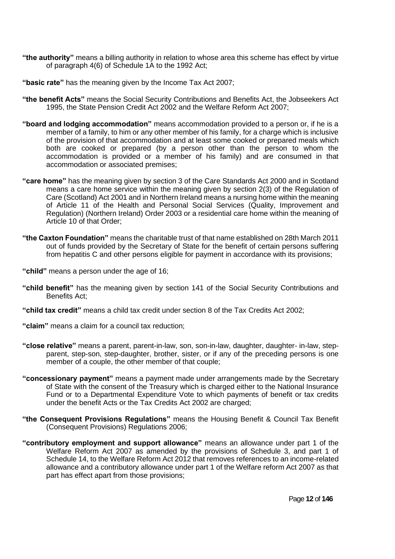- **"the authority"** means a billing authority in relation to whose area this scheme has effect by virtue of paragraph 4(6) of Schedule 1A to the 1992 Act;
- **"basic rate"** has the meaning given by the Income Tax Act 2007;
- **"the benefit Acts"** means the Social Security Contributions and Benefits Act, the Jobseekers Act 1995, the State Pension Credit Act 2002 and the Welfare Reform Act 2007;
- **"board and lodging accommodation"** means accommodation provided to a person or, if he is a member of a family, to him or any other member of his family, for a charge which is inclusive of the provision of that accommodation and at least some cooked or prepared meals which both are cooked or prepared (by a person other than the person to whom the accommodation is provided or a member of his family) and are consumed in that accommodation or associated premises;
- **"care home"** has the meaning given by section 3 of the Care Standards Act 2000 and in Scotland means a care home service within the meaning given by section 2(3) of the Regulation of Care (Scotland) Act 2001 and in Northern Ireland means a nursing home within the meaning of Article 11 of the Health and Personal Social Services (Quality, Improvement and Regulation) (Northern Ireland) Order 2003 or a residential care home within the meaning of Article 10 of that Order;
- **"the Caxton Foundation"** means the charitable trust of that name established on 28th March 2011 out of funds provided by the Secretary of State for the benefit of certain persons suffering from hepatitis C and other persons eligible for payment in accordance with its provisions;
- **"child"** means a person under the age of 16;
- **"child benefit"** has the meaning given by section 141 of the Social Security Contributions and Benefits Act;
- **"child tax credit"** means a child tax credit under section 8 of the Tax Credits Act 2002;
- **"claim"** means a claim for a council tax reduction;
- **"close relative"** means a parent, parent-in-law, son, son-in-law, daughter, daughter- in-law, stepparent, step-son, step-daughter, brother, sister, or if any of the preceding persons is one member of a couple, the other member of that couple;
- **"concessionary payment"** means a payment made under arrangements made by the Secretary of State with the consent of the Treasury which is charged either to the National Insurance Fund or to a Departmental Expenditure Vote to which payments of benefit or tax credits under the benefit Acts or the Tax Credits Act 2002 are charged;
- **"the Consequent Provisions Regulations"** means the Housing Benefit & Council Tax Benefit (Consequent Provisions) Regulations 2006;
- **"contributory employment and support allowance"** means an allowance under part 1 of the Welfare Reform Act 2007 as amended by the provisions of Schedule 3, and part 1 of Schedule 14, to the Welfare Reform Act 2012 that removes references to an income-related allowance and a contributory allowance under part 1 of the Welfare reform Act 2007 as that part has effect apart from those provisions;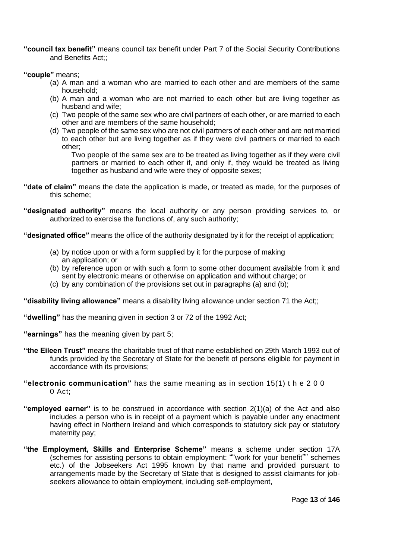**"council tax benefit"** means council tax benefit under Part 7 of the Social Security Contributions and Benefits Act;;

**"couple"** means;

- (a) A man and a woman who are married to each other and are members of the same household;
- (b) A man and a woman who are not married to each other but are living together as husband and wife;
- (c) Two people of the same sex who are civil partners of each other, or are married to each other and are members of the same household;
- (d) Two people of the same sex who are not civil partners of each other and are not married to each other but are living together as if they were civil partners or married to each other;

Two people of the same sex are to be treated as living together as if they were civil partners or married to each other if, and only if, they would be treated as living together as husband and wife were they of opposite sexes;

- **"date of claim"** means the date the application is made, or treated as made, for the purposes of this scheme;
- **"designated authority"** means the local authority or any person providing services to, or authorized to exercise the functions of, any such authority;
- **"designated office"** means the office of the authority designated by it for the receipt of application;
	- (a) by notice upon or with a form supplied by it for the purpose of making an application; or
	- (b) by reference upon or with such a form to some other document available from it and sent by electronic means or otherwise on application and without charge; or
	- (c) by any combination of the provisions set out in paragraphs (a) and (b);

**"disability living allowance"** means a disability living allowance under section 71 the Act;;

**"dwelling"** has the meaning given in section 3 or 72 of the 1992 Act;

**"earnings"** has the meaning given by part 5;

- **"the Eileen Trust"** means the charitable trust of that name established on 29th March 1993 out of funds provided by the Secretary of State for the benefit of persons eligible for payment in accordance with its provisions;
- **"electronic communication"** has the same meaning as in section 15(1) t h e 2 0 0 0 Act;
- **"employed earner"** is to be construed in accordance with section 2(1)(a) of the Act and also includes a person who is in receipt of a payment which is payable under any enactment having effect in Northern Ireland and which corresponds to statutory sick pay or statutory maternity pay;
- **"the Employment, Skills and Enterprise Scheme"** means a scheme under section 17A (schemes for assisting persons to obtain employment: ""work for your benefit"" schemes etc.) of the Jobseekers Act 1995 known by that name and provided pursuant to arrangements made by the Secretary of State that is designed to assist claimants for jobseekers allowance to obtain employment, including self-employment,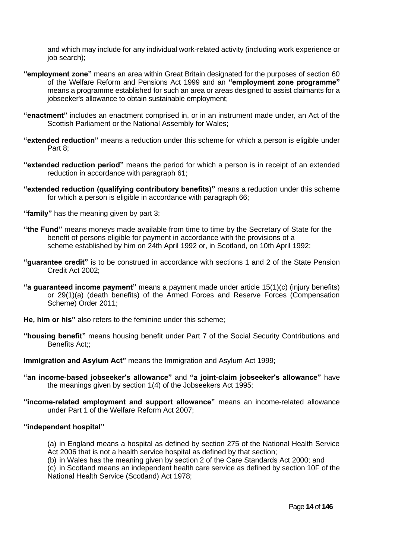and which may include for any individual work-related activity (including work experience or job search);

- **"employment zone"** means an area within Great Britain designated for the purposes of section 60 of the Welfare Reform and Pensions Act 1999 and an **"employment zone programme"**  means a programme established for such an area or areas designed to assist claimants for a jobseeker's allowance to obtain sustainable employment;
- **"enactment"** includes an enactment comprised in, or in an instrument made under, an Act of the Scottish Parliament or the National Assembly for Wales;
- **"extended reduction"** means a reduction under this scheme for which a person is eligible under Part 8;
- **"extended reduction period"** means the period for which a person is in receipt of an extended reduction in accordance with paragraph 61;
- **"extended reduction (qualifying contributory benefits)"** means a reduction under this scheme for which a person is eligible in accordance with paragraph 66;
- **"family"** has the meaning given by part 3;
- **"the Fund"** means moneys made available from time to time by the Secretary of State for the benefit of persons eligible for payment in accordance with the provisions of a scheme established by him on 24th April 1992 or, in Scotland, on 10th April 1992;
- **"guarantee credit"** is to be construed in accordance with sections 1 and 2 of the State Pension Credit Act 2002;
- **"a guaranteed income payment"** means a payment made under article 15(1)(c) (injury benefits) or 29(1)(a) (death benefits) of the Armed Forces and Reserve Forces (Compensation Scheme) Order 2011;
- **He, him or his"** also refers to the feminine under this scheme;
- **"housing benefit"** means housing benefit under Part 7 of the Social Security Contributions and Benefits Act;;
- **Immigration and Asylum Act"** means the Immigration and Asylum Act 1999;
- **"an income-based jobseeker's allowance"** and **"a joint-claim jobseeker's allowance"** have the meanings given by section 1(4) of the Jobseekers Act 1995;
- **"income-related employment and support allowance"** means an income-related allowance under Part 1 of the Welfare Reform Act 2007;

#### **"independent hospital"**

- (a) in England means a hospital as defined by section 275 of the National Health Service Act 2006 that is not a health service hospital as defined by that section;
- (b) in Wales has the meaning given by section 2 of the Care Standards Act 2000; and (c) in Scotland means an independent health care service as defined by section 10F of the National Health Service (Scotland) Act 1978;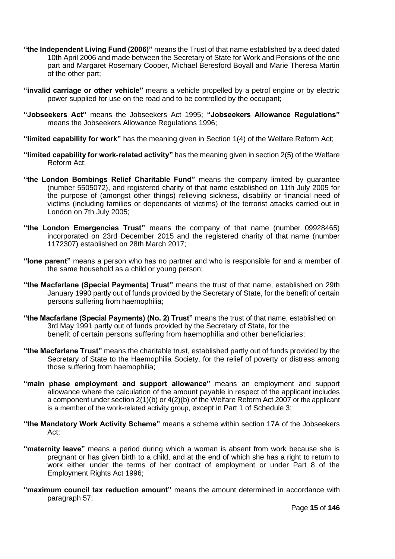- **"the Independent Living Fund (2006)"** means the Trust of that name established by a deed dated 10th April 2006 and made between the Secretary of State for Work and Pensions of the one part and Margaret Rosemary Cooper, Michael Beresford Boyall and Marie Theresa Martin of the other part;
- **"invalid carriage or other vehicle"** means a vehicle propelled by a petrol engine or by electric power supplied for use on the road and to be controlled by the occupant;
- **"Jobseekers Act"** means the Jobseekers Act 1995; **"Jobseekers Allowance Regulations"**  means the Jobseekers Allowance Regulations 1996;
- **"limited capability for work"** has the meaning given in Section 1(4) of the Welfare Reform Act;
- **"limited capability for work-related activity"** has the meaning given in section 2(5) of the Welfare Reform Act;
- **"the London Bombings Relief Charitable Fund"** means the company limited by guarantee (number 5505072), and registered charity of that name established on 11th July 2005 for the purpose of (amongst other things) relieving sickness, disability or financial need of victims (including families or dependants of victims) of the terrorist attacks carried out in London on 7th July 2005;
- **"the London Emergencies Trust"** means the company of that name (number 09928465) incorporated on 23rd December 2015 and the registered charity of that name (number 1172307) established on 28th March 2017;
- **"lone parent"** means a person who has no partner and who is responsible for and a member of the same household as a child or young person;
- **"the Macfarlane (Special Payments) Trust"** means the trust of that name, established on 29th January 1990 partly out of funds provided by the Secretary of State, for the benefit of certain persons suffering from haemophilia;
- **"the Macfarlane (Special Payments) (No. 2) Trust"** means the trust of that name, established on 3rd May 1991 partly out of funds provided by the Secretary of State, for the benefit of certain persons suffering from haemophilia and other beneficiaries;
- **"the Macfarlane Trust"** means the charitable trust, established partly out of funds provided by the Secretary of State to the Haemophilia Society, for the relief of poverty or distress among those suffering from haemophilia;
- **"main phase employment and support allowance"** means an employment and support allowance where the calculation of the amount payable in respect of the applicant includes a component under section 2(1)(b) or 4(2)(b) of the Welfare Reform Act 2007 or the applicant is a member of the work-related activity group, except in Part 1 of Schedule 3;
- **"the Mandatory Work Activity Scheme"** means a scheme within section 17A of the Jobseekers Act;
- **"maternity leave"** means a period during which a woman is absent from work because she is pregnant or has given birth to a child, and at the end of which she has a right to return to work either under the terms of her contract of employment or under Part 8 of the Employment Rights Act 1996;
- **"maximum council tax reduction amount"** means the amount determined in accordance with paragraph 57;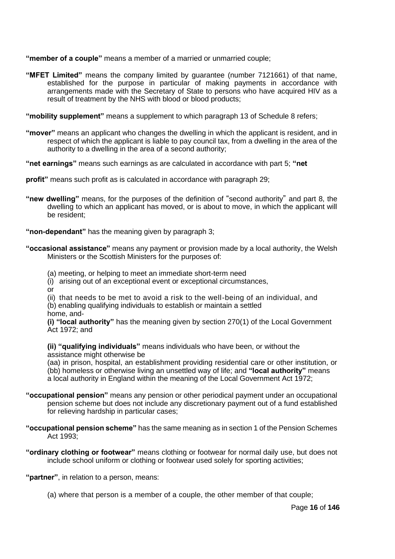**"member of a couple"** means a member of a married or unmarried couple;

**"MFET Limited"** means the company limited by guarantee (number 7121661) of that name, established for the purpose in particular of making payments in accordance with arrangements made with the Secretary of State to persons who have acquired HIV as a result of treatment by the NHS with blood or blood products;

**"mobility supplement"** means a supplement to which paragraph 13 of Schedule 8 refers;

- **"mover"** means an applicant who changes the dwelling in which the applicant is resident, and in respect of which the applicant is liable to pay council tax, from a dwelling in the area of the authority to a dwelling in the area of a second authority;
- **"net earnings"** means such earnings as are calculated in accordance with part 5; **"net**

**profit"** means such profit as is calculated in accordance with paragraph 29;

**"new dwelling"** means, for the purposes of the definition of "second authority" and part 8, the dwelling to which an applicant has moved, or is about to move, in which the applicant will be resident;

**"non-dependant"** has the meaning given by paragraph 3;

- **"occasional assistance"** means any payment or provision made by a local authority, the Welsh Ministers or the Scottish Ministers for the purposes of:
	- (a) meeting, or helping to meet an immediate short-term need
	- (i) arising out of an exceptional event or exceptional circumstances,
	- or

(ii) that needs to be met to avoid a risk to the well-being of an individual, and (b) enabling qualifying individuals to establish or maintain a settled

home, and-

**(i) "local authority"** has the meaning given by section 270(1) of the Local Government Act 1972; and

**(ii) "qualifying individuals"** means individuals who have been, or without the assistance might otherwise be

(aa) in prison, hospital, an establishment providing residential care or other institution, or (bb) homeless or otherwise living an unsettled way of life; and **"local authority"** means a local authority in England within the meaning of the Local Government Act 1972;

- **"occupational pension"** means any pension or other periodical payment under an occupational pension scheme but does not include any discretionary payment out of a fund established for relieving hardship in particular cases;
- **"occupational pension scheme"** has the same meaning as in section 1 of the Pension Schemes Act 1993;
- **"ordinary clothing or footwear"** means clothing or footwear for normal daily use, but does not include school uniform or clothing or footwear used solely for sporting activities;

**"partner"**, in relation to a person, means:

(a) where that person is a member of a couple, the other member of that couple;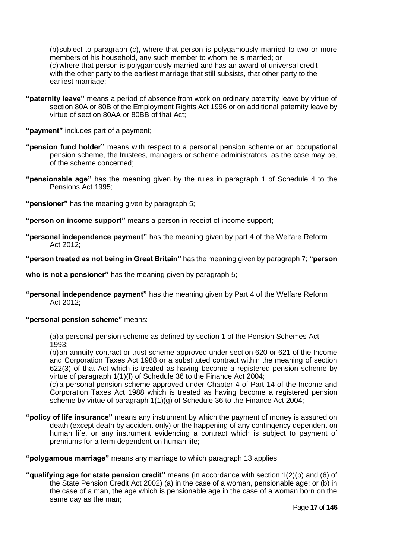(b)subject to paragraph (c), where that person is polygamously married to two or more members of his household, any such member to whom he is married; or (c)where that person is polygamously married and has an award of universal credit with the other party to the earliest marriage that still subsists, that other party to the earliest marriage;

**"paternity leave"** means a period of absence from work on ordinary paternity leave by virtue of section 80A or 80B of the Employment Rights Act 1996 or on additional paternity leave by virtue of section 80AA or 80BB of that Act;

**"payment"** includes part of a payment;

- **"pension fund holder"** means with respect to a personal pension scheme or an occupational pension scheme, the trustees, managers or scheme administrators, as the case may be, of the scheme concerned;
- **"pensionable age"** has the meaning given by the rules in paragraph 1 of Schedule 4 to the Pensions Act 1995;

**"pensioner"** has the meaning given by paragraph 5;

**"person on income support"** means a person in receipt of income support;

**"personal independence payment"** has the meaning given by part 4 of the Welfare Reform Act 2012;

**"person treated as not being in Great Britain"** has the meaning given by paragraph 7; **"person** 

**who is not a pensioner"** has the meaning given by paragraph 5;

**"personal independence payment"** has the meaning given by Part 4 of the Welfare Reform Act 2012;

**"personal pension scheme"** means:

(a)a personal pension scheme as defined by section 1 of the Pension Schemes Act 1993;

(b)an annuity contract or trust scheme approved under section 620 or 621 of the Income and Corporation Taxes Act 1988 or a substituted contract within the meaning of section 622(3) of that Act which is treated as having become a registered pension scheme by virtue of paragraph 1(1)(f) of Schedule 36 to the Finance Act 2004;

(c)a personal pension scheme approved under Chapter 4 of Part 14 of the Income and Corporation Taxes Act 1988 which is treated as having become a registered pension scheme by virtue of paragraph 1(1)(g) of Schedule 36 to the Finance Act 2004;

**"policy of life insurance"** means any instrument by which the payment of money is assured on death (except death by accident only) or the happening of any contingency dependent on human life, or any instrument evidencing a contract which is subject to payment of premiums for a term dependent on human life;

**"polygamous marriage"** means any marriage to which paragraph 13 applies;

**"qualifying age for state pension credit"** means (in accordance with section 1(2)(b) and (6) of the State Pension Credit Act 2002) (a) in the case of a woman, pensionable age; or (b) in the case of a man, the age which is pensionable age in the case of a woman born on the same day as the man;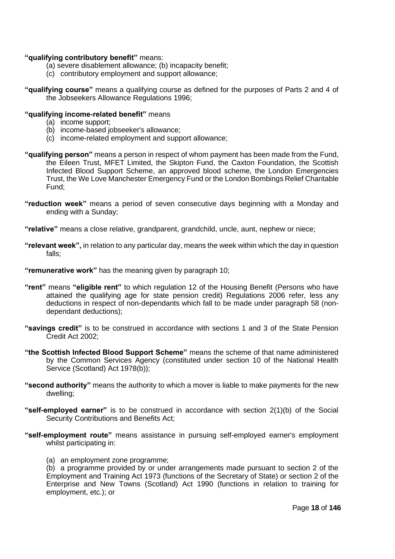#### **"qualifying contributory benefit"** means:

- (a) severe disablement allowance; (b) incapacity benefit;
- (c) contributory employment and support allowance;
- **"qualifying course"** means a qualifying course as defined for the purposes of Parts 2 and 4 of the Jobseekers Allowance Regulations 1996;

#### **"qualifying income-related benefit"** means

- (a) income support;
- (b) income-based jobseeker's allowance;
- (c) income-related employment and support allowance;
- **"qualifying person"** means a person in respect of whom payment has been made from the Fund, the Eileen Trust, MFET Limited, the Skipton Fund, the Caxton Foundation, the Scottish Infected Blood Support Scheme, an approved blood scheme, the London Emergencies Trust, the We Love Manchester Emergency Fund or the London Bombings Relief Charitable Fund;
- **"reduction week"** means a period of seven consecutive days beginning with a Monday and ending with a Sunday;

**"relative"** means a close relative, grandparent, grandchild, uncle, aunt, nephew or niece;

**"relevant week",** in relation to any particular day, means the week within which the day in question falls;

**"remunerative work"** has the meaning given by paragraph 10;

- **"rent"** means **"eligible rent"** to which regulation 12 of the Housing Benefit (Persons who have attained the qualifying age for state pension credit) Regulations 2006 refer, less any deductions in respect of non-dependants which fall to be made under paragraph 58 (nondependant deductions);
- **"savings credit"** is to be construed in accordance with sections 1 and 3 of the State Pension Credit Act 2002;
- **"the Scottish Infected Blood Support Scheme"** means the scheme of that name administered by the Common Services Agency (constituted under section 10 of the National Health Service (Scotland) Act 1978(b));
- **"second authority"** means the authority to which a mover is liable to make payments for the new dwelling;
- **"self-employed earner"** is to be construed in accordance with section 2(1)(b) of the Social Security Contributions and Benefits Act;
- **"self-employment route"** means assistance in pursuing self-employed earner's employment whilst participating in:
	- (a) an employment zone programme;

(b) a programme provided by or under arrangements made pursuant to section 2 of the Employment and Training Act 1973 (functions of the Secretary of State) or section 2 of the Enterprise and New Towns (Scotland) Act 1990 (functions in relation to training for employment, etc.); or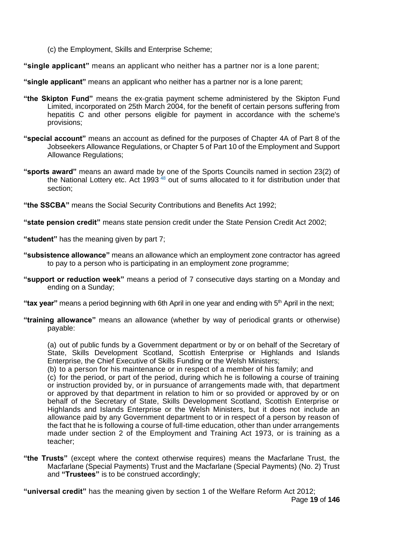(c) the Employment, Skills and Enterprise Scheme;

**"single applicant"** means an applicant who neither has a partner nor is a lone parent;

**"single applicant"** means an applicant who neither has a partner nor is a lone parent;

- **"the Skipton Fund"** means the ex-gratia payment scheme administered by the Skipton Fund Limited, incorporated on 25th March 2004, for the benefit of certain persons suffering from hepatitis C and other persons eligible for payment in accordance with the scheme's provisions;
- **"special account"** means an account as defined for the purposes of Chapter 4A of Part 8 of the Jobseekers Allowance Regulations, or Chapter 5 of Part 10 of the Employment and Support Allowance Regulations;
- **"sports award"** means an award made by one of the Sports Councils named in section 23(2) of the National Lottery etc. Act 1993<sup>48</sup> out of sums allocated to it for distribution under that section;

**"the SSCBA"** means the Social Security Contributions and Benefits Act 1992;

**"state pension credit"** means state pension credit under the State Pension Credit Act 2002;

**"student"** has the meaning given by part 7;

- **"subsistence allowance"** means an allowance which an employment zone contractor has agreed to pay to a person who is participating in an employment zone programme;
- **"support or reduction week"** means a period of 7 consecutive days starting on a Monday and ending on a Sunday;
- **"tax year"** means a period beginning with 6th April in one year and ending with 5th April in the next;
- **"training allowance"** means an allowance (whether by way of periodical grants or otherwise) payable:

(a) out of public funds by a Government department or by or on behalf of the Secretary of State, Skills Development Scotland, Scottish Enterprise or Highlands and Islands Enterprise, the Chief Executive of Skills Funding or the Welsh Ministers;

(b) to a person for his maintenance or in respect of a member of his family; and

(c) for the period, or part of the period, during which he is following a course of training or instruction provided by, or in pursuance of arrangements made with, that department or approved by that department in relation to him or so provided or approved by or on behalf of the Secretary of State, Skills Development Scotland, Scottish Enterprise or Highlands and Islands Enterprise or the Welsh Ministers, but it does not include an allowance paid by any Government department to or in respect of a person by reason of the fact that he is following a course of full-time education, other than under arrangements made under section 2 of the Employment and Training Act 1973, or is training as a teacher;

**"the Trusts"** (except where the context otherwise requires) means the Macfarlane Trust, the Macfarlane (Special Payments) Trust and the Macfarlane (Special Payments) (No. 2) Trust and **"Trustees"** is to be construed accordingly;

**"universal credit"** has the meaning given by section 1 of the Welfare Reform Act 2012; Page **19** of **146**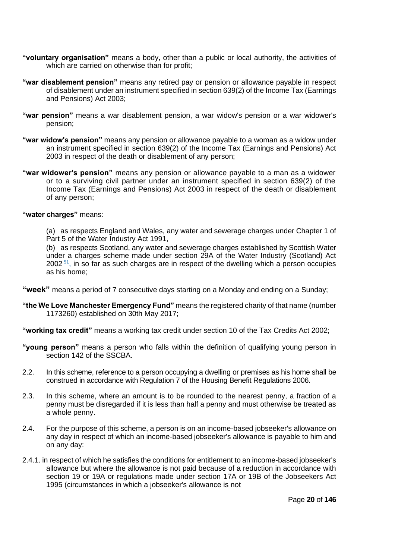- **"voluntary organisation"** means a body, other than a public or local authority, the activities of which are carried on otherwise than for profit;
- **"war disablement pension"** means any retired pay or pension or allowance payable in respect of disablement under an instrument specified in section 639(2) of the Income Tax (Earnings and Pensions) Act 2003;
- **"war pension"** means a war disablement pension, a war widow's pension or a war widower's pension;
- **"war widow's pension"** means any pension or allowance payable to a woman as a widow under an instrument specified in section 639(2) of the Income Tax (Earnings and Pensions) Act 2003 in respect of the death or disablement of any person;
- **"war widower's pension"** means any pension or allowance payable to a man as a widower or to a surviving civil partner under an instrument specified in section 639(2) of the Income Tax (Earnings and Pensions) Act 2003 in respect of the death or disablement of any person;

#### **"water charges"** means:

(a) as respects England and Wales, any water and sewerage charges under Chapter 1 of Part 5 of the Water Industry Act 1991,

(b) as respects Scotland, any water and sewerage charges established by Scottish Water under a charges scheme made under section 29A of the Water Industry (Scotland) Act 2002 <sup>51</sup> , in so far as such charges are in respect of the dwelling which a person occupies as his home;

**"week"** means a period of 7 consecutive days starting on a Monday and ending on a Sunday;

**"the We Love Manchester Emergency Fund"** means the registered charity of that name (number 1173260) established on 30th May 2017;

**"working tax credit"** means a working tax credit under section 10 of the Tax Credits Act 2002;

- **"young person"** means a person who falls within the definition of qualifying young person in section 142 of the SSCBA.
- 2.2. In this scheme, reference to a person occupying a dwelling or premises as his home shall be construed in accordance with Regulation 7 of the Housing Benefit Regulations 2006.
- 2.3. In this scheme, where an amount is to be rounded to the nearest penny, a fraction of a penny must be disregarded if it is less than half a penny and must otherwise be treated as a whole penny.
- 2.4. For the purpose of this scheme, a person is on an income-based jobseeker's allowance on any day in respect of which an income-based jobseeker's allowance is payable to him and on any day:
- 2.4.1. in respect of which he satisfies the conditions for entitlement to an income-based jobseeker's allowance but where the allowance is not paid because of a reduction in accordance with section 19 or 19A or regulations made under section 17A or 19B of the Jobseekers Act 1995 (circumstances in which a jobseeker's allowance is not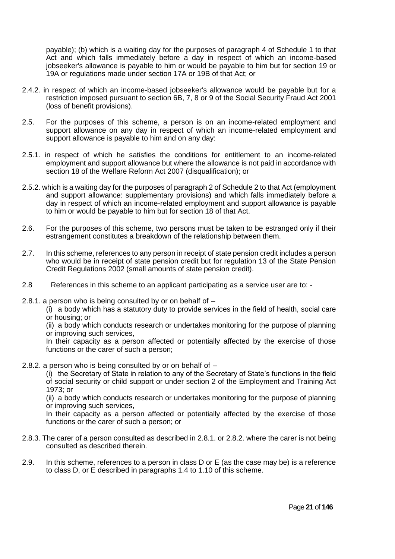payable); (b) which is a waiting day for the purposes of paragraph 4 of Schedule 1 to that Act and which falls immediately before a day in respect of which an income-based jobseeker's allowance is payable to him or would be payable to him but for section 19 or 19A or regulations made under section 17A or 19B of that Act; or

- 2.4.2. in respect of which an income-based jobseeker's allowance would be payable but for a restriction imposed pursuant to section 6B, 7, 8 or 9 of the Social Security Fraud Act 2001 (loss of benefit provisions).
- 2.5. For the purposes of this scheme, a person is on an income-related employment and support allowance on any day in respect of which an income-related employment and support allowance is payable to him and on any day:
- 2.5.1. in respect of which he satisfies the conditions for entitlement to an income-related employment and support allowance but where the allowance is not paid in accordance with section 18 of the Welfare Reform Act 2007 (disqualification); or
- 2.5.2. which is a waiting day for the purposes of paragraph 2 of Schedule 2 to that Act (employment and support allowance: supplementary provisions) and which falls immediately before a day in respect of which an income-related employment and support allowance is payable to him or would be payable to him but for section 18 of that Act.
- 2.6. For the purposes of this scheme, two persons must be taken to be estranged only if their estrangement constitutes a breakdown of the relationship between them.
- 2.7. In this scheme, references to any person in receipt of state pension credit includes a person who would be in receipt of state pension credit but for regulation 13 of the State Pension Credit Regulations 2002 (small amounts of state pension credit).
- 2.8 References in this scheme to an applicant participating as a service user are to: -
- 2.8.1. a person who is being consulted by or on behalf of
	- (i) a body which has a statutory duty to provide services in the field of health, social care or housing; or

(ii) a body which conducts research or undertakes monitoring for the purpose of planning or improving such services,

In their capacity as a person affected or potentially affected by the exercise of those functions or the carer of such a person;

- 2.8.2. a person who is being consulted by or on behalf of
	- (i) the Secretary of State in relation to any of the Secretary of State's functions in the field of social security or child support or under section 2 of the Employment and Training Act 1973; or

(ii) a body which conducts research or undertakes monitoring for the purpose of planning or improving such services,

In their capacity as a person affected or potentially affected by the exercise of those functions or the carer of such a person; or

- 2.8.3. The carer of a person consulted as described in 2.8.1. or 2.8.2. where the carer is not being consulted as described therein.
- 2.9. In this scheme, references to a person in class D or E (as the case may be) is a reference to class D, or E described in paragraphs 1.4 to 1.10 of this scheme.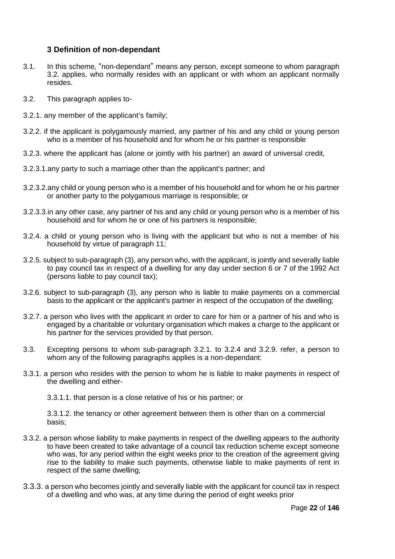# **3 Definition of non-dependant**

- 3.1. In this scheme, "non-dependant" means any person, except someone to whom paragraph 3.2. applies, who normally resides with an applicant or with whom an applicant normally resides.
- 3.2. This paragraph applies to-
- 3.2.1. any member of the applicant's family;
- 3.2.2. if the applicant is polygamously married, any partner of his and any child or young person who is a member of his household and for whom he or his partner is responsible
- 3.2.3. where the applicant has (alone or jointly with his partner) an award of universal credit,
- 3.2.3.1.any party to such a marriage other than the applicant's partner; and
- 3.2.3.2.any child or young person who is a member of his household and for whom he or his partner or another party to the polygamous marriage is responsible; or
- 3.2.3.3.in any other case, any partner of his and any child or young person who is a member of his household and for whom he or one of his partners is responsible;
- 3.2.4. a child or young person who is living with the applicant but who is not a member of his household by virtue of paragraph 11;
- 3.2.5. subject to sub-paragraph (3), any person who, with the applicant, is jointly and severally liable to pay council tax in respect of a dwelling for any day under section 6 or 7 of the 1992 Act (persons liable to pay council tax);
- 3.2.6. subject to sub-paragraph (3), any person who is liable to make payments on a commercial basis to the applicant or the applicant's partner in respect of the occupation of the dwelling;
- 3.2.7. a person who lives with the applicant in order to care for him or a partner of his and who is engaged by a charitable or voluntary organisation which makes a charge to the applicant or his partner for the services provided by that person.
- 3.3. Excepting persons to whom sub-paragraph 3.2.1. to 3.2.4 and 3.2.9. refer, a person to whom any of the following paragraphs applies is a non-dependant:
- 3.3.1. a person who resides with the person to whom he is liable to make payments in respect of the dwelling and either-
	- 3.3.1.1. that person is a close relative of his or his partner; or

3.3.1.2. the tenancy or other agreement between them is other than on a commercial basis;

- 3.3.2. a person whose liability to make payments in respect of the dwelling appears to the authority to have been created to take advantage of a council tax reduction scheme except someone who was, for any period within the eight weeks prior to the creation of the agreement giving rise to the liability to make such payments, otherwise liable to make payments of rent in respect of the same dwelling;
- 3.3.3. a person who becomes jointly and severally liable with the applicant for council tax in respect of a dwelling and who was, at any time during the period of eight weeks prior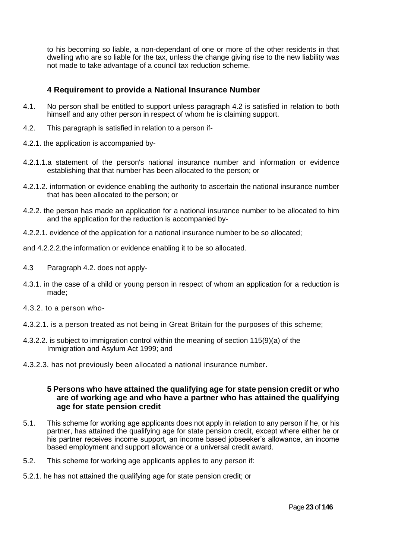to his becoming so liable, a non-dependant of one or more of the other residents in that dwelling who are so liable for the tax, unless the change giving rise to the new liability was not made to take advantage of a council tax reduction scheme.

# **4 Requirement to provide a National Insurance Number**

- 4.1. No person shall be entitled to support unless paragraph 4.2 is satisfied in relation to both himself and any other person in respect of whom he is claiming support.
- 4.2. This paragraph is satisfied in relation to a person if-
- 4.2.1. the application is accompanied by-
- 4.2.1.1.a statement of the person's national insurance number and information or evidence establishing that that number has been allocated to the person; or
- 4.2.1.2. information or evidence enabling the authority to ascertain the national insurance number that has been allocated to the person; or
- 4.2.2. the person has made an application for a national insurance number to be allocated to him and the application for the reduction is accompanied by-
- 4.2.2.1. evidence of the application for a national insurance number to be so allocated;
- and 4.2.2.2.the information or evidence enabling it to be so allocated.
- 4.3 Paragraph 4.2. does not apply-
- 4.3.1. in the case of a child or young person in respect of whom an application for a reduction is made;
- 4.3.2. to a person who-
- 4.3.2.1. is a person treated as not being in Great Britain for the purposes of this scheme;
- 4.3.2.2. is subject to immigration control within the meaning of section 115(9)(a) of the Immigration and Asylum Act 1999; and
- 4.3.2.3. has not previously been allocated a national insurance number.

### **5 Persons who have attained the qualifying age for state pension credit or who are of working age and who have a partner who has attained the qualifying age for state pension credit**

- 5.1. This scheme for working age applicants does not apply in relation to any person if he, or his partner, has attained the qualifying age for state pension credit, except where either he or his partner receives income support, an income based jobseeker's allowance, an income based employment and support allowance or a universal credit award.
- 5.2. This scheme for working age applicants applies to any person if:
- 5.2.1. he has not attained the qualifying age for state pension credit; or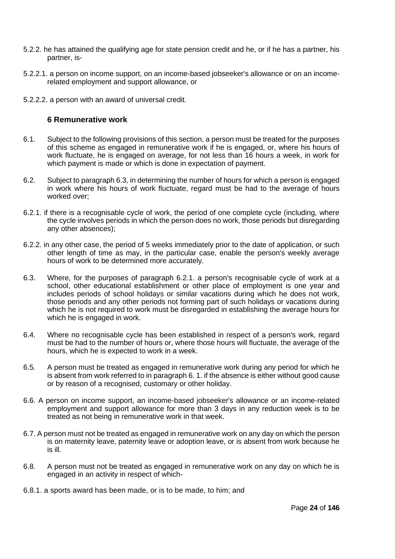- 5.2.2. he has attained the qualifying age for state pension credit and he, or if he has a partner, his partner, is-
- 5.2.2.1. a person on income support, on an income-based jobseeker's allowance or on an incomerelated employment and support allowance, or
- 5.2.2.2. a person with an award of universal credit.

#### **6 Remunerative work**

- 6.1. Subject to the following provisions of this section, a person must be treated for the purposes of this scheme as engaged in remunerative work if he is engaged, or, where his hours of work fluctuate, he is engaged on average, for not less than 16 hours a week, in work for which payment is made or which is done in expectation of payment.
- 6.2. Subject to paragraph 6.3, in determining the number of hours for which a person is engaged in work where his hours of work fluctuate, regard must be had to the average of hours worked over;
- 6.2.1. if there is a recognisable cycle of work, the period of one complete cycle (including, where the cycle involves periods in which the person does no work, those periods but disregarding any other absences);
- 6.2.2. in any other case, the period of 5 weeks immediately prior to the date of application, or such other length of time as may, in the particular case, enable the person's weekly average hours of work to be determined more accurately.
- 6.3. Where, for the purposes of paragraph 6.2.1. a person's recognisable cycle of work at a school, other educational establishment or other place of employment is one year and includes periods of school holidays or similar vacations during which he does not work, those periods and any other periods not forming part of such holidays or vacations during which he is not required to work must be disregarded in establishing the average hours for which he is engaged in work.
- 6.4. Where no recognisable cycle has been established in respect of a person's work, regard must be had to the number of hours or, where those hours will fluctuate, the average of the hours, which he is expected to work in a week.
- 6.5. A person must be treated as engaged in remunerative work during any period for which he is absent from work referred to in paragraph 6. 1. if the absence is either without good cause or by reason of a recognised, customary or other holiday.
- 6.6. A person on income support, an income-based jobseeker's allowance or an income-related employment and support allowance for more than 3 days in any reduction week is to be treated as not being in remunerative work in that week.
- 6.7. A person must not be treated as engaged in remunerative work on any day on which the person is on maternity leave, paternity leave or adoption leave, or is absent from work because he is ill.
- 6.8. A person must not be treated as engaged in remunerative work on any day on which he is engaged in an activity in respect of which-
- 6.8.1. a sports award has been made, or is to be made, to him; and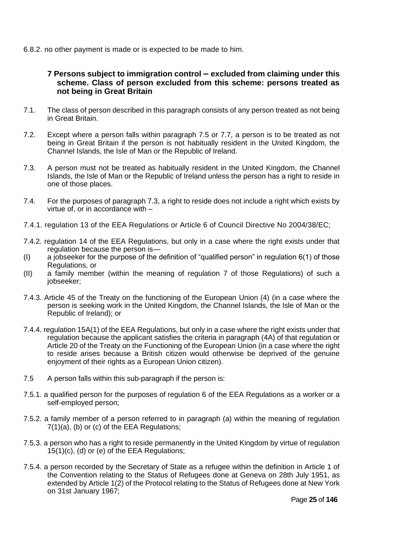6.8.2. no other payment is made or is expected to be made to him.

### **7 Persons subject to immigration control – excluded from claiming under this scheme. Class of person excluded from this scheme: persons treated as not being in Great Britain**

- 7.1. The class of person described in this paragraph consists of any person treated as not being in Great Britain.
- 7.2. Except where a person falls within paragraph 7.5 or 7.7, a person is to be treated as not being in Great Britain if the person is not habitually resident in the United Kingdom, the Channel Islands, the Isle of Man or the Republic of Ireland.
- 7.3. A person must not be treated as habitually resident in the United Kingdom, the Channel Islands, the Isle of Man or the Republic of Ireland unless the person has a right to reside in one of those places.
- 7.4. For the purposes of paragraph 7.3, a right to reside does not include a right which exists by virtue of, or in accordance with –
- 7.4.1. regulation 13 of the EEA Regulations or Article 6 of Council Directive No 2004/38/EC;
- 7.4.2. regulation 14 of the EEA Regulations, but only in a case where the right exists under that regulation because the person is—
- (I) a jobseeker for the purpose of the definition of "qualified person" in regulation 6(1) of those Regulations, or
- (II) a family member (within the meaning of regulation 7 of those Regulations) of such a jobseeker;
- 7.4.3. Article 45 of the Treaty on the functioning of the European Union (4) (in a case where the person is seeking work in the United Kingdom, the Channel Islands, the Isle of Man or the Republic of Ireland); or
- 7.4.4. regulation 15A(1) of the EEA Regulations, but only in a case where the right exists under that regulation because the applicant satisfies the criteria in paragraph (4A) of that regulation or Article 20 of the Treaty on the Functioning of the European Union (in a case where the right to reside arises because a British citizen would otherwise be deprived of the genuine enjoyment of their rights as a European Union citizen).
- 7.5 A person falls within this sub-paragraph if the person is:
- 7.5.1. a qualified person for the purposes of regulation 6 of the EEA Regulations as a worker or a self-employed person;
- 7.5.2. a family member of a person referred to in paragraph (a) within the meaning of regulation 7(1)(a), (b) or (c) of the EEA Regulations;
- 7.5.3. a person who has a right to reside permanently in the United Kingdom by virtue of regulation 15(1)(c), (d) or (e) of the EEA Regulations;
- 7.5.4. a person recorded by the Secretary of State as a refugee within the definition in Article 1 of the Convention relating to the Status of Refugees done at Geneva on 28th July 1951, as extended by Article 1(2) of the Protocol relating to the Status of Refugees done at New York on 31st January 1967;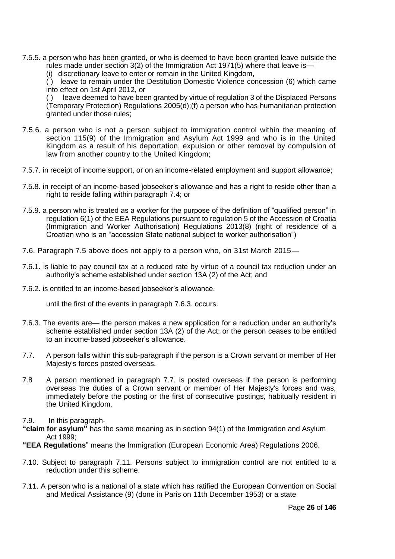- 7.5.5. a person who has been granted, or who is deemed to have been granted leave outside the rules made under section 3(2) of the Immigration Act 1971(5) where that leave is—
	- (i) discretionary leave to enter or remain in the United Kingdom,

( ) leave to remain under the Destitution Domestic Violence concession (6) which came into effect on 1st April 2012, or

( ) leave deemed to have been granted by virtue of regulation 3 of the Displaced Persons (Temporary Protection) Regulations 2005(d);(f) a person who has humanitarian protection granted under those rules;

- 7.5.6. a person who is not a person subject to immigration control within the meaning of section 115(9) of the Immigration and Asylum Act 1999 and who is in the United Kingdom as a result of his deportation, expulsion or other removal by compulsion of law from another country to the United Kingdom;
- 7.5.7. in receipt of income support, or on an income-related employment and support allowance;
- 7.5.8. in receipt of an income-based jobseeker's allowance and has a right to reside other than a right to reside falling within paragraph 7.4; or
- 7.5.9. a person who is treated as a worker for the purpose of the definition of "qualified person" in regulation 6(1) of the EEA Regulations pursuant to regulation 5 of the Accession of Croatia (Immigration and Worker Authorisation) Regulations 2013(8) (right of residence of a Croatian who is an "accession State national subject to worker authorisation")
- 7.6. Paragraph 7.5 above does not apply to a person who, on 31st March 2015—
- 7.6.1. is liable to pay council tax at a reduced rate by virtue of a council tax reduction under an authority's scheme established under section 13A (2) of the Act; and
- 7.6.2. is entitled to an income-based jobseeker's allowance,

until the first of the events in paragraph 7.6.3. occurs.

- 7.6.3. The events are— the person makes a new application for a reduction under an authority's scheme established under section 13A (2) of the Act; or the person ceases to be entitled to an income-based jobseeker's allowance.
- 7.7. A person falls within this sub-paragraph if the person is a Crown servant or member of Her Majesty's forces posted overseas.
- 7.8 A person mentioned in paragraph 7.7. is posted overseas if the person is performing overseas the duties of a Crown servant or member of Her Majesty's forces and was, immediately before the posting or the first of consecutive postings, habitually resident in the United Kingdom.
- 7.9. In this paragraph-

**"claim for asylum"** has the same meaning as in section 94(1) of the Immigration and Asylum Act 1999;

**"EEA Regulations**" means the Immigration (European Economic Area) Regulations 2006.

- 7.10. Subject to paragraph 7.11. Persons subject to immigration control are not entitled to a reduction under this scheme.
- 7.11. A person who is a national of a state which has ratified the European Convention on Social and Medical Assistance (9) (done in Paris on 11th December 1953) or a state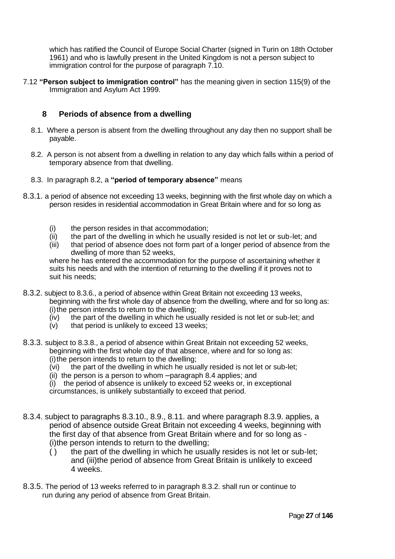which has ratified the Council of Europe Social Charter (signed in Turin on 18th October 1961) and who is lawfully present in the United Kingdom is not a person subject to immigration control for the purpose of paragraph 7.10.

7.12 **"Person subject to immigration control"** has the meaning given in section 115(9) of the Immigration and Asylum Act 1999.

# **8 Periods of absence from a dwelling**

- 8.1. Where a person is absent from the dwelling throughout any day then no support shall be payable.
- 8.2. A person is not absent from a dwelling in relation to any day which falls within a period of temporary absence from that dwelling.
- 8.3. In paragraph 8.2, a **"period of temporary absence"** means
- 8.3.1. a period of absence not exceeding 13 weeks, beginning with the first whole day on which a person resides in residential accommodation in Great Britain where and for so long as
	- (i) the person resides in that accommodation;
	- (ii) the part of the dwelling in which he usually resided is not let or sub-let; and
	- (iii) that period of absence does not form part of a longer period of absence from the dwelling of more than 52 weeks,

where he has entered the accommodation for the purpose of ascertaining whether it suits his needs and with the intention of returning to the dwelling if it proves not to suit his needs;

- 8.3.2. subject to 8.3.6., a period of absence within Great Britain not exceeding 13 weeks, beginning with the first whole day of absence from the dwelling, where and for so long as: (i) the person intends to return to the dwelling;
	- $(iv)$  the part of the dwelling in which he usually resided is not let or sub-let; and
	- (v) that period is unlikely to exceed 13 weeks;
- 8.3.3. subject to 8.3.8., a period of absence within Great Britain not exceeding 52 weeks, beginning with the first whole day of that absence, where and for so long as: (i) the person intends to return to the dwelling;
	- (vi) the part of the dwelling in which he usually resided is not let or sub-let;
	- (ii) the person is a person to whom –paragraph 8.4 applies; and
	- $(i)$  the period of absence is unlikely to exceed 52 weeks or, in exceptional

circumstances, is unlikely substantially to exceed that period.

- 8.3.4. subject to paragraphs 8.3.10., 8.9., 8.11. and where paragraph 8.3.9. applies, a period of absence outside Great Britain not exceeding 4 weeks, beginning with the first day of that absence from Great Britain where and for so long as - (i)the person intends to return to the dwelling;
	- ( ) the part of the dwelling in which he usually resides is not let or sub-let; and (iii)the period of absence from Great Britain is unlikely to exceed 4 weeks.
- 8.3.5. The period of 13 weeks referred to in paragraph 8.3.2. shall run or continue to run during any period of absence from Great Britain.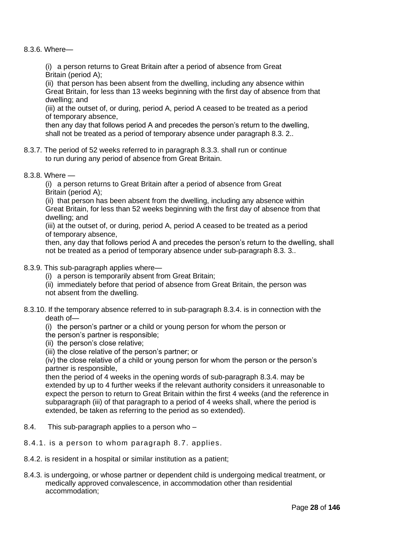8.3.6. Where—

(i) a person returns to Great Britain after a period of absence from Great Britain (period A);

(ii) that person has been absent from the dwelling, including any absence within Great Britain, for less than 13 weeks beginning with the first day of absence from that dwelling; and

(iii) at the outset of, or during, period A, period A ceased to be treated as a period of temporary absence,

then any day that follows period A and precedes the person's return to the dwelling, shall not be treated as a period of temporary absence under paragraph 8.3. 2..

- 8.3.7. The period of 52 weeks referred to in paragraph 8.3.3. shall run or continue to run during any period of absence from Great Britain.
- 8.3.8. Where —

(i) a person returns to Great Britain after a period of absence from Great Britain (period A);

(ii) that person has been absent from the dwelling, including any absence within Great Britain, for less than 52 weeks beginning with the first day of absence from that dwelling; and

(iii) at the outset of, or during, period A, period A ceased to be treated as a period of temporary absence,

then, any day that follows period A and precedes the person's return to the dwelling, shall not be treated as a period of temporary absence under sub-paragraph 8.3. 3..

- 8.3.9. This sub-paragraph applies where—
	- (i) a person is temporarily absent from Great Britain;

(ii) immediately before that period of absence from Great Britain, the person was not absent from the dwelling.

- 8.3.10. If the temporary absence referred to in sub-paragraph 8.3.4. is in connection with the death of—
	- (i) the person's partner or a child or young person for whom the person or
	- the person's partner is responsible;
	- (ii) the person's close relative;
	- (iii) the close relative of the person's partner; or

(iv) the close relative of a child or young person for whom the person or the person's partner is responsible,

then the period of 4 weeks in the opening words of sub-paragraph 8.3.4. may be extended by up to 4 further weeks if the relevant authority considers it unreasonable to expect the person to return to Great Britain within the first 4 weeks (and the reference in subparagraph (iii) of that paragraph to a period of 4 weeks shall, where the period is extended, be taken as referring to the period as so extended).

- 8.4. This sub-paragraph applies to a person who –
- 8.4.1. is a person to whom paragraph 8.7. applies.
- 8.4.2. is resident in a hospital or similar institution as a patient;
- 8.4.3. is undergoing, or whose partner or dependent child is undergoing medical treatment, or medically approved convalescence, in accommodation other than residential accommodation;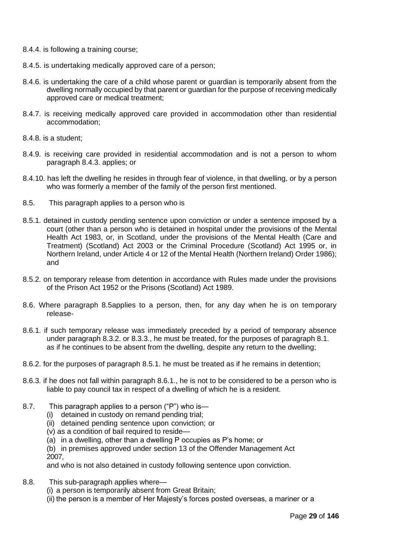- 8.4.4. is following a training course;
- 8.4.5. is undertaking medically approved care of a person;
- 8.4.6. is undertaking the care of a child whose parent or guardian is temporarily absent from the dwelling normally occupied by that parent or guardian for the purpose of receiving medically approved care or medical treatment;
- 8.4.7. is receiving medically approved care provided in accommodation other than residential accommodation;
- 8.4.8. is a student;
- 8.4.9. is receiving care provided in residential accommodation and is not a person to whom paragraph 8.4.3. applies; or
- 8.4.10. has left the dwelling he resides in through fear of violence, in that dwelling, or by a person who was formerly a member of the family of the person first mentioned.
- 8.5. This paragraph applies to a person who is
- 8.5.1. detained in custody pending sentence upon conviction or under a sentence imposed by a court (other than a person who is detained in hospital under the provisions of the Mental Health Act 1983, or, in Scotland, under the provisions of the Mental Health (Care and Treatment) (Scotland) Act 2003 or the Criminal Procedure (Scotland) Act 1995 or, in Northern Ireland, under Article 4 or 12 of the Mental Health (Northern Ireland) Order 1986); and
- 8.5.2. on temporary release from detention in accordance with Rules made under the provisions of the Prison Act 1952 or the Prisons (Scotland) Act 1989.
- 8.6. Where paragraph 8.5applies to a person, then, for any day when he is on temporary release-
- 8.6.1. if such temporary release was immediately preceded by a period of temporary absence under paragraph 8.3.2. or 8.3.3., he must be treated, for the purposes of paragraph 8.1. as if he continues to be absent from the dwelling, despite any return to the dwelling;
- 8.6.2. for the purposes of paragraph 8.5.1. he must be treated as if he remains in detention;
- 8.6.3. if he does not fall within paragraph 8.6.1., he is not to be considered to be a person who is liable to pay council tax in respect of a dwelling of which he is a resident.
- 8.7. This paragraph applies to a person ("P") who is—
	- (i) detained in custody on remand pending trial;
	- (ii) detained pending sentence upon conviction; or
	- (v) as a condition of bail required to reside—
	- (a) in a dwelling, other than a dwelling P occupies as P's home; or
	- (b) in premises approved under section 13 of the Offender Management Act 2007,

and who is not also detained in custody following sentence upon conviction.

- 8.8. This sub-paragraph applies where—
	- (i) a person is temporarily absent from Great Britain;
	- (ii) the person is a member of Her Majesty's forces posted overseas, a mariner or a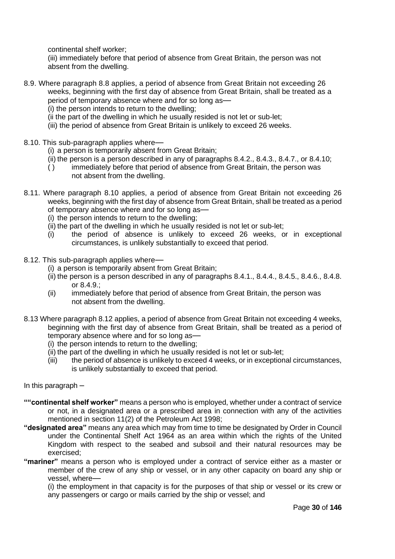continental shelf worker;

(iii) immediately before that period of absence from Great Britain, the person was not absent from the dwelling.

- 8.9. Where paragraph 8.8 applies, a period of absence from Great Britain not exceeding 26 weeks, beginning with the first day of absence from Great Britain, shall be treated as a period of temporary absence where and for so long as—
	- (i) the person intends to return to the dwelling;
	- (ii the part of the dwelling in which he usually resided is not let or sub-let;
	- (iii) the period of absence from Great Britain is unlikely to exceed 26 weeks.
- 8.10. This sub-paragraph applies where—
	- (i) a person is temporarily absent from Great Britain;
	- (ii) the person is a person described in any of paragraphs 8.4.2., 8.4.3., 8.4.7., or 8.4.10;
	- ( ) immediately before that period of absence from Great Britain, the person was not absent from the dwelling.
- 8.11. Where paragraph 8.10 applies, a period of absence from Great Britain not exceeding 26 weeks, beginning with the first day of absence from Great Britain, shall be treated as a period of temporary absence where and for so long as—
	- (i) the person intends to return to the dwelling;
	- (ii) the part of the dwelling in which he usually resided is not let or sub-let;
	- (i) the period of absence is unlikely to exceed 26 weeks, or in exceptional circumstances, is unlikely substantially to exceed that period.
- 8.12. This sub-paragraph applies where—
	- (i) a person is temporarily absent from Great Britain;
	- (ii) the person is a person described in any of paragraphs 8.4.1., 8.4.4., 8.4.5., 8.4.6., 8.4.8. or 8.4.9.;
	- (ii) immediately before that period of absence from Great Britain, the person was not absent from the dwelling.
- 8.13 Where paragraph 8.12 applies, a period of absence from Great Britain not exceeding 4 weeks, beginning with the first day of absence from Great Britain, shall be treated as a period of temporary absence where and for so long as—
	- (i) the person intends to return to the dwelling;
	- (ii) the part of the dwelling in which he usually resided is not let or sub-let;
	- (iii) the period of absence is unlikely to exceed 4 weeks, or in exceptional circumstances, is unlikely substantially to exceed that period.

In this paragraph –

- **""continental shelf worker"** means a person who is employed, whether under a contract of service or not, in a designated area or a prescribed area in connection with any of the activities mentioned in section 11(2) of the Petroleum Act 1998;
- **"designated area"** means any area which may from time to time be designated by Order in Council under the Continental Shelf Act 1964 as an area within which the rights of the United Kingdom with respect to the seabed and subsoil and their natural resources may be exercised;
- **"mariner"** means a person who is employed under a contract of service either as a master or member of the crew of any ship or vessel, or in any other capacity on board any ship or vessel, where—

(i) the employment in that capacity is for the purposes of that ship or vessel or its crew or any passengers or cargo or mails carried by the ship or vessel; and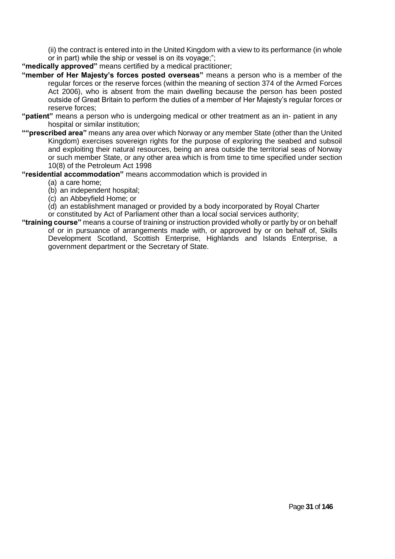- (ii) the contract is entered into in the United Kingdom with a view to its performance (in whole or in part) while the ship or vessel is on its voyage;";
- **"medically approved"** means certified by a medical practitioner;
- **"member of Her Majesty's forces posted overseas"** means a person who is a member of the regular forces or the reserve forces (within the meaning of section 374 of the Armed Forces Act 2006), who is absent from the main dwelling because the person has been posted outside of Great Britain to perform the duties of a member of Her Majesty's regular forces or reserve forces;
- **"patient"** means a person who is undergoing medical or other treatment as an in- patient in any hospital or similar institution;
- **""prescribed area"** means any area over which Norway or any member State (other than the United Kingdom) exercises sovereign rights for the purpose of exploring the seabed and subsoil and exploiting their natural resources, being an area outside the territorial seas of Norway or such member State, or any other area which is from time to time specified under section 10(8) of the Petroleum Act 1998
- **"residential accommodation"** means accommodation which is provided in

#### (a) a care home;

- (b) an independent hospital;
- (c) an Abbeyfield Home; or
- (d) an establishment managed or provided by a body incorporated by Royal Charter or constituted by Act of Parliament other than a local social services authority;
- **"training course"** means a course of training or instruction provided wholly or partly by or on behalf of or in pursuance of arrangements made with, or approved by or on behalf of, Skills Development Scotland, Scottish Enterprise, Highlands and Islands Enterprise, a government department or the Secretary of State.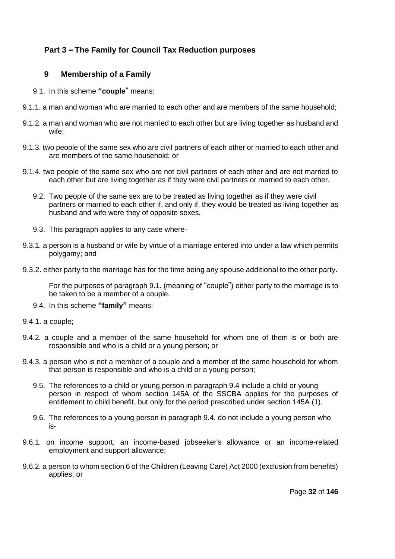# **Part 3 – The Family for Council Tax Reduction purposes**

# **9 Membership of a Family**

- 9.1. In this scheme **"couple**" means:
- 9.1.1. a man and woman who are married to each other and are members of the same household;
- 9.1.2. a man and woman who are not married to each other but are living together as husband and wife;
- 9.1.3. two people of the same sex who are civil partners of each other or married to each other and are members of the same household; or
- 9.1.4. two people of the same sex who are not civil partners of each other and are not married to each other but are living together as if they were civil partners or married to each other.
	- 9.2. Two people of the same sex are to be treated as living together as if they were civil partners or married to each other if, and only if, they would be treated as living together as husband and wife were they of opposite sexes.
	- 9.3. This paragraph applies to any case where-
- 9.3.1. a person is a husband or wife by virtue of a marriage entered into under a law which permits polygamy; and
- 9.3.2. either party to the marriage has for the time being any spouse additional to the other party.

For the purposes of paragraph 9.1. (meaning of "couple") either party to the marriage is to be taken to be a member of a couple.

- 9.4. In this scheme **"family"** means:
- 9.4.1. a couple;
- 9.4.2. a couple and a member of the same household for whom one of them is or both are responsible and who is a child or a young person; or
- 9.4.3. a person who is not a member of a couple and a member of the same household for whom that person is responsible and who is a child or a young person;
	- 9.5. The references to a child or young person in paragraph 9.4 include a child or young person in respect of whom section 145A of the SSCBA applies for the purposes of entitlement to child benefit, but only for the period prescribed under section 145A (1).
	- 9.6. The references to a young person in paragraph 9.4. do not include a young person who is-
- 9.6.1. on income support, an income-based jobseeker's allowance or an income-related employment and support allowance;
- 9.6.2. a person to whom section 6 of the Children (Leaving Care) Act 2000 (exclusion from benefits) applies; or

Page **32** of **146**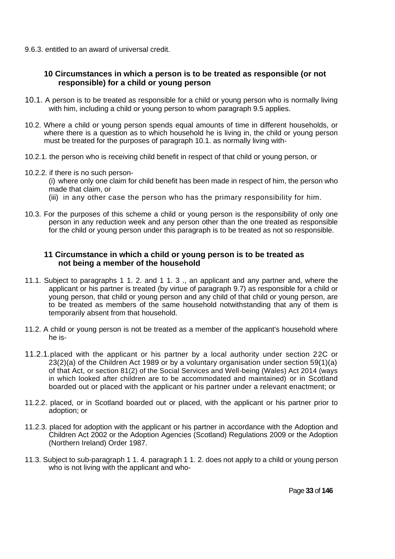9.6.3. entitled to an award of universal credit.

# **10 Circumstances in which a person is to be treated as responsible (or not responsible) for a child or young person**

- 10.1. A person is to be treated as responsible for a child or young person who is normally living with him, including a child or young person to whom paragraph 9.5 applies.
- 10.2. Where a child or young person spends equal amounts of time in different households, or where there is a question as to which household he is living in, the child or young person must be treated for the purposes of paragraph 10.1. as normally living with-
- 10.2.1. the person who is receiving child benefit in respect of that child or young person, or
- 10.2.2. if there is no such person-

(i) where only one claim for child benefit has been made in respect of him, the person who made that claim, or

- (iii) in any other case the person who has the primary responsibility for him.
- 10.3. For the purposes of this scheme a child or young person is the responsibility of only one person in any reduction week and any person other than the one treated as responsible for the child or young person under this paragraph is to be treated as not so responsible.

### **11 Circumstance in which a child or young person is to be treated as not being a member of the household**

- 11.1. Subject to paragraphs 1 1. 2. and 1 1. 3 ., an applicant and any partner and, where the applicant or his partner is treated (by virtue of paragraph 9.7) as responsible for a child or young person, that child or young person and any child of that child or young person, are to be treated as members of the same household notwithstanding that any of them is temporarily absent from that household.
- 11.2. A child or young person is not be treated as a member of the applicant's household where he is-
- 11.2.1.placed with the applicant or his partner by a local authority under section 22C or 23(2)(a) of the Children Act 1989 or by a voluntary organisation under section 59(1)(a) of that Act, or section 81(2) of the Social Services and Well-being (Wales) Act 2014 (ways in which looked after children are to be accommodated and maintained) or in Scotland boarded out or placed with the applicant or his partner under a relevant enactment; or
- 11.2.2. placed, or in Scotland boarded out or placed, with the applicant or his partner prior to adoption; or
- 11.2.3. placed for adoption with the applicant or his partner in accordance with the Adoption and Children Act 2002 or the Adoption Agencies (Scotland) Regulations 2009 or the Adoption (Northern Ireland) Order 1987.
- 11.3. Subject to sub-paragraph 1 1. 4. paragraph 1 1. 2. does not apply to a child or young person who is not living with the applicant and who-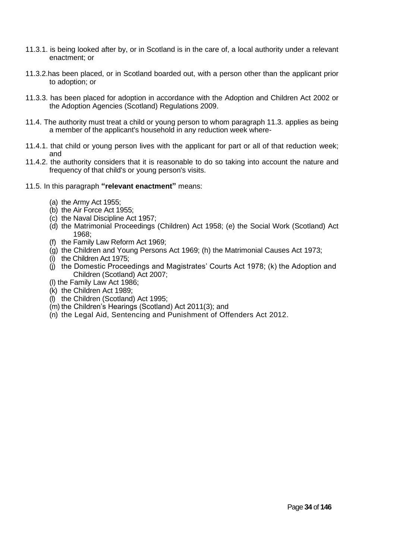- 11.3.1. is being looked after by, or in Scotland is in the care of, a local authority under a relevant enactment; or
- 11.3.2.has been placed, or in Scotland boarded out, with a person other than the applicant prior to adoption; or
- 11.3.3. has been placed for adoption in accordance with the Adoption and Children Act 2002 or the Adoption Agencies (Scotland) Regulations 2009.
- 11.4. The authority must treat a child or young person to whom paragraph 11.3. applies as being a member of the applicant's household in any reduction week where-
- 11.4.1. that child or young person lives with the applicant for part or all of that reduction week; and
- 11.4.2. the authority considers that it is reasonable to do so taking into account the nature and frequency of that child's or young person's visits.
- 11.5. In this paragraph **"relevant enactment"** means:
	- (a) the Army Act 1955;
	- (b) the Air Force Act 1955;
	- (c) the Naval Discipline Act 1957;
	- (d) the Matrimonial Proceedings (Children) Act 1958; (e) the Social Work (Scotland) Act 1968;
	- (f) the Family Law Reform Act 1969;
	- (g) the Children and Young Persons Act 1969; (h) the Matrimonial Causes Act 1973;
	- (i) the Children Act 1975;
	- $(i)$  the Domestic Proceedings and Magistrates' Courts Act 1978; (k) the Adoption and Children (Scotland) Act 2007;
	- (l) the Family Law Act 1986;
	- (k) the Children Act 1989;
	- (l) the Children (Scotland) Act 1995;
	- (m) the Children's Hearings (Scotland) Act 2011(3); and
	- (n) the Legal Aid, Sentencing and Punishment of Offenders Act 2012.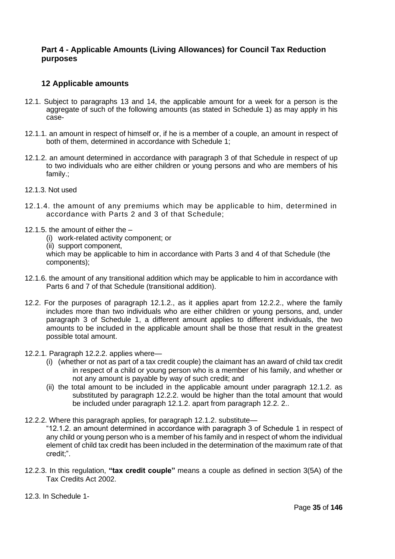# **Part 4 - Applicable Amounts (Living Allowances) for Council Tax Reduction purposes**

# **12 Applicable amounts**

- 12.1. Subject to paragraphs 13 and 14, the applicable amount for a week for a person is the aggregate of such of the following amounts (as stated in Schedule 1) as may apply in his case-
- 12.1.1. an amount in respect of himself or, if he is a member of a couple, an amount in respect of both of them, determined in accordance with Schedule 1;
- 12.1.2. an amount determined in accordance with paragraph 3 of that Schedule in respect of up to two individuals who are either children or young persons and who are members of his family.;
- 12.1.3. Not used
- 12.1.4. the amount of any premiums which may be applicable to him, determined in accordance with Parts 2 and 3 of that Schedule;
- 12.1.5. the amount of either the
	- (i) work-related activity component; or
	- (ii) support component,

which may be applicable to him in accordance with Parts 3 and 4 of that Schedule (the components);

- 12.1.6. the amount of any transitional addition which may be applicable to him in accordance with Parts 6 and 7 of that Schedule (transitional addition).
- 12.2. For the purposes of paragraph 12.1.2., as it applies apart from 12.2.2., where the family includes more than two individuals who are either children or young persons, and, under paragraph 3 of Schedule 1, a different amount applies to different individuals, the two amounts to be included in the applicable amount shall be those that result in the greatest possible total amount.
- 12.2.1. Paragraph 12.2.2. applies where—
	- (i) (whether or not as part of a tax credit couple) the claimant has an award of child tax credit in respect of a child or young person who is a member of his family, and whether or not any amount is payable by way of such credit; and
	- (ii) the total amount to be included in the applicable amount under paragraph 12.1.2. as substituted by paragraph 12.2.2. would be higher than the total amount that would be included under paragraph 12.1.2. apart from paragraph 12.2. 2..
- 12.2.2. Where this paragraph applies, for paragraph 12.1.2. substitute—
	- "12.1.2. an amount determined in accordance with paragraph 3 of Schedule 1 in respect of any child or young person who is a member of his family and in respect of whom the individual element of child tax credit has been included in the determination of the maximum rate of that credit;".
- 12.2.3. In this regulation, **"tax credit couple"** means a couple as defined in section 3(5A) of the Tax Credits Act 2002.
- 12.3. In Schedule 1-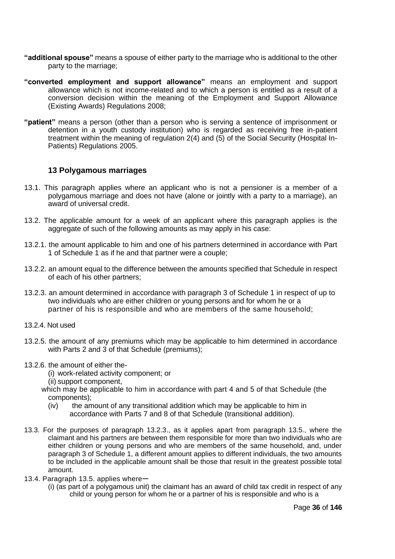- **"additional spouse"** means a spouse of either party to the marriage who is additional to the other party to the marriage;
- **"converted employment and support allowance"** means an employment and support allowance which is not income-related and to which a person is entitled as a result of a conversion decision within the meaning of the Employment and Support Allowance (Existing Awards) Regulations 2008;
- **"patient"** means a person (other than a person who is serving a sentence of imprisonment or detention in a youth custody institution) who is regarded as receiving free in-patient treatment within the meaning of regulation 2(4) and (5) of the Social Security (Hospital In-Patients) Regulations 2005.

#### **13 Polygamous marriages**

- 13.1. This paragraph applies where an applicant who is not a pensioner is a member of a polygamous marriage and does not have (alone or jointly with a party to a marriage), an award of universal credit.
- 13.2. The applicable amount for a week of an applicant where this paragraph applies is the aggregate of such of the following amounts as may apply in his case:
- 13.2.1. the amount applicable to him and one of his partners determined in accordance with Part 1 of Schedule 1 as if he and that partner were a couple;
- 13.2.2. an amount equal to the difference between the amounts specified that Schedule in respect of each of his other partners;
- 13.2.3. an amount determined in accordance with paragraph 3 of Schedule 1 in respect of up to two individuals who are either children or young persons and for whom he or a partner of his is responsible and who are members of the same household;
- 13.2.4. Not used
- 13.2.5. the amount of any premiums which may be applicable to him determined in accordance with Parts 2 and 3 of that Schedule (premiums);
- 13.2.6. the amount of either the-
	- (i) work-related activity component; or
	- (ii) support component,
	- which may be applicable to him in accordance with part 4 and 5 of that Schedule (the components);
		- (iv) the amount of any transitional addition which may be applicable to him in accordance with Parts 7 and 8 of that Schedule (transitional addition).
- 13.3. For the purposes of paragraph 13.2.3., as it applies apart from paragraph 13.5., where the claimant and his partners are between them responsible for more than two individuals who are either children or young persons and who are members of the same household, and, under paragraph 3 of Schedule 1, a different amount applies to different individuals, the two amounts to be included in the applicable amount shall be those that result in the greatest possible total amount.
- 13.4. Paragraph 13.5. applies where—
	- (i) (as part of a polygamous unit) the claimant has an award of child tax credit in respect of any child or young person for whom he or a partner of his is responsible and who is a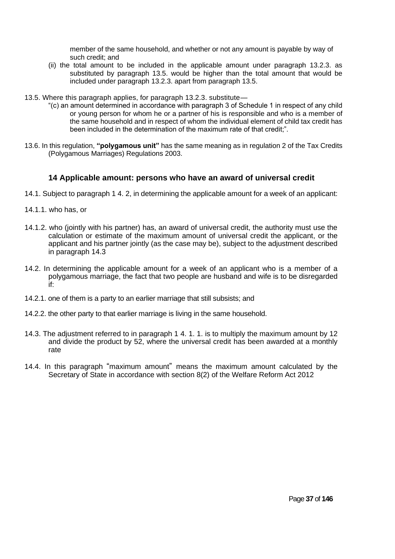member of the same household, and whether or not any amount is payable by way of such credit; and

- (ii) the total amount to be included in the applicable amount under paragraph 13.2.3. as substituted by paragraph 13.5. would be higher than the total amount that would be included under paragraph 13.2.3. apart from paragraph 13.5.
- 13.5. Where this paragraph applies, for paragraph 13.2.3. substitute—
	- "(c) an amount determined in accordance with paragraph 3 of Schedule 1 in respect of any child or young person for whom he or a partner of his is responsible and who is a member of the same household and in respect of whom the individual element of child tax credit has been included in the determination of the maximum rate of that credit;".
- 13.6. In this regulation, **"polygamous unit"** has the same meaning as in regulation 2 of the Tax Credits (Polygamous Marriages) Regulations 2003.

#### **14 Applicable amount: persons who have an award of universal credit**

- 14.1. Subject to paragraph 1 4. 2, in determining the applicable amount for a week of an applicant:
- 14.1.1. who has, or
- 14.1.2. who (jointly with his partner) has, an award of universal credit, the authority must use the calculation or estimate of the maximum amount of universal credit the applicant, or the applicant and his partner jointly (as the case may be), subject to the adjustment described in paragraph 14.3
- 14.2. In determining the applicable amount for a week of an applicant who is a member of a polygamous marriage, the fact that two people are husband and wife is to be disregarded if:
- 14.2.1. one of them is a party to an earlier marriage that still subsists; and
- 14.2.2. the other party to that earlier marriage is living in the same household.
- 14.3. The adjustment referred to in paragraph 1 4. 1. 1. is to multiply the maximum amount by 12 and divide the product by 52, where the universal credit has been awarded at a monthly rate
- 14.4. In this paragraph "maximum amount" means the maximum amount calculated by the Secretary of State in accordance with section 8(2) of the Welfare Reform Act 2012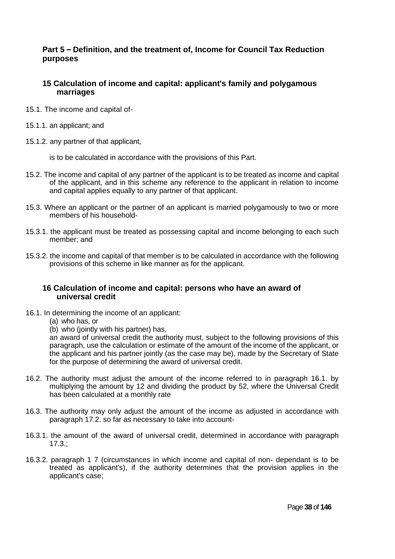# **Part 5 – Definition, and the treatment of, Income for Council Tax Reduction purposes**

# **15 Calculation of income and capital: applicant's family and polygamous marriages**

- 15.1. The income and capital of-
- 15.1.1. an applicant; and
- 15.1.2. any partner of that applicant,

is to be calculated in accordance with the provisions of this Part.

- 15.2. The income and capital of any partner of the applicant is to be treated as income and capital of the applicant, and in this scheme any reference to the applicant in relation to income and capital applies equally to any partner of that applicant.
- 15.3. Where an applicant or the partner of an applicant is married polygamously to two or more members of his household-
- 15.3.1. the applicant must be treated as possessing capital and income belonging to each such member; and
- 15.3.2. the income and capital of that member is to be calculated in accordance with the following provisions of this scheme in like manner as for the applicant.

### **16 Calculation of income and capital: persons who have an award of universal credit**

- 16.1. In determining the income of an applicant:
	- (a) who has, or
	- (b) who (jointly with his partner) has,

an award of universal credit the authority must, subject to the following provisions of this paragraph, use the calculation or estimate of the amount of the income of the applicant, or the applicant and his partner jointly (as the case may be), made by the Secretary of State for the purpose of determining the award of universal credit.

- 16.2. The authority must adjust the amount of the income referred to in paragraph 16.1. by multiplying the amount by 12 and dividing the product by 52, where the Universal Credit has been calculated at a monthly rate
- 16.3. The authority may only adjust the amount of the income as adjusted in accordance with paragraph 17.2. so far as necessary to take into account-
- 16.3.1. the amount of the award of universal credit, determined in accordance with paragraph 17.3.;
- 16.3.2. paragraph 1 7 (circumstances in which income and capital of non- dependant is to be treated as applicant's), if the authority determines that the provision applies in the applicant's case;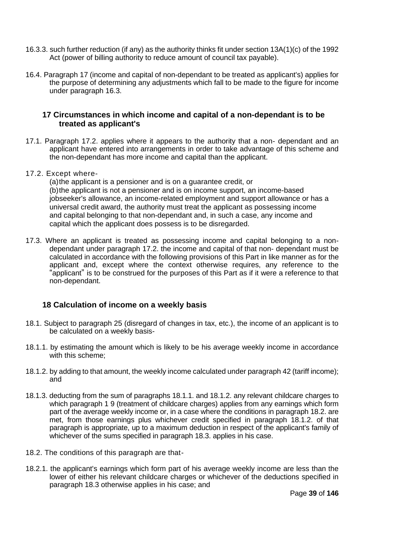- 16.3.3. such further reduction (if any) as the authority thinks fit under section 13A(1)(c) of the 1992 Act (power of billing authority to reduce amount of council tax payable).
- 16.4. Paragraph 17 (income and capital of non-dependant to be treated as applicant's) applies for the purpose of determining any adjustments which fall to be made to the figure for income under paragraph 16.3.

#### **17 Circumstances in which income and capital of a non-dependant is to be treated as applicant's**

- 17.1. Paragraph 17.2. applies where it appears to the authority that a non- dependant and an applicant have entered into arrangements in order to take advantage of this scheme and the non-dependant has more income and capital than the applicant.
- 17.2. Except where-

(a)the applicant is a pensioner and is on a guarantee credit, or (b)the applicant is not a pensioner and is on income support, an income-based jobseeker's allowance, an income-related employment and support allowance or has a universal credit award, the authority must treat the applicant as possessing income and capital belonging to that non-dependant and, in such a case, any income and capital which the applicant does possess is to be disregarded.

17.3. Where an applicant is treated as possessing income and capital belonging to a nondependant under paragraph 17.2. the income and capital of that non- dependant must be calculated in accordance with the following provisions of this Part in like manner as for the applicant and, except where the context otherwise requires, any reference to the "applicant" is to be construed for the purposes of this Part as if it were a reference to that non-dependant.

# **18 Calculation of income on a weekly basis**

- 18.1. Subject to paragraph 25 (disregard of changes in tax, etc.), the income of an applicant is to be calculated on a weekly basis-
- 18.1.1. by estimating the amount which is likely to be his average weekly income in accordance with this scheme;
- 18.1.2. by adding to that amount, the weekly income calculated under paragraph 42 (tariff income); and
- 18.1.3. deducting from the sum of paragraphs 18.1.1. and 18.1.2. any relevant childcare charges to which paragraph 1 9 (treatment of childcare charges) applies from any earnings which form part of the average weekly income or, in a case where the conditions in paragraph 18.2. are met, from those earnings plus whichever credit specified in paragraph 18.1.2. of that paragraph is appropriate, up to a maximum deduction in respect of the applicant's family of whichever of the sums specified in paragraph 18.3. applies in his case.
- 18.2. The conditions of this paragraph are that-
- 18.2.1. the applicant's earnings which form part of his average weekly income are less than the lower of either his relevant childcare charges or whichever of the deductions specified in paragraph 18.3 otherwise applies in his case; and

Page **39** of **146**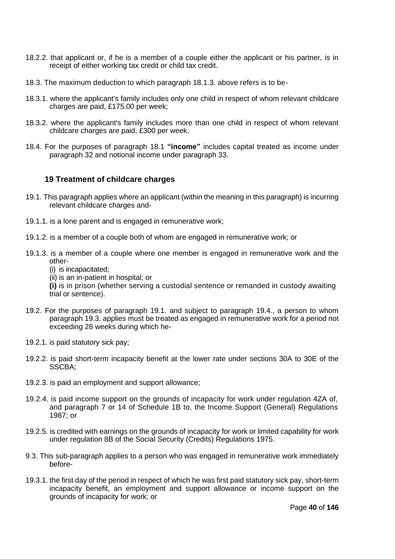- 18.2.2. that applicant or, if he is a member of a couple either the applicant or his partner, is in receipt of either working tax credit or child tax credit.
- 18.3. The maximum deduction to which paragraph 18.1.3. above refers is to be-
- 18.3.1. where the applicant's family includes only one child in respect of whom relevant childcare charges are paid, £175.00 per week;
- 18.3.2. where the applicant's family includes more than one child in respect of whom relevant childcare charges are paid, £300 per week.
- 18.4. For the purposes of paragraph 18.1 **"income"** includes capital treated as income under paragraph 32 and notional income under paragraph 33.

#### **19 Treatment of childcare charges**

- 19.1. This paragraph applies where an applicant (within the meaning in this paragraph) is incurring relevant childcare charges and-
- 19.1.1. is a lone parent and is engaged in remunerative work;
- 19.1.2. is a member of a couple both of whom are engaged in remunerative work; or
- 19.1.3. is a member of a couple where one member is engaged in remunerative work and the other-
	- (i) is incapacitated;
	- (ii) is an in-patient in hospital; or

**(i)** is in prison (whether serving a custodial sentence or remanded in custody awaiting trial or sentence).

- 19.2. For the purposes of paragraph 19.1. and subject to paragraph 19.4., a person to whom paragraph 19.3. applies must be treated as engaged in remunerative work for a period not exceeding 28 weeks during which he-
- 19.2.1. is paid statutory sick pay;
- 19.2.2. is paid short-term incapacity benefit at the lower rate under sections 30A to 30E of the SSCBA;
- 19.2.3. is paid an employment and support allowance;
- 19.2.4. is paid income support on the grounds of incapacity for work under regulation 4ZA of, and paragraph 7 or 14 of Schedule 1B to, the Income Support (General) Regulations 1987; or
- 19.2.5. is credited with earnings on the grounds of incapacity for work or limited capability for work under regulation 8B of the Social Security (Credits) Regulations 1975.
- 9.3. This sub-paragraph applies to a person who was engaged in remunerative work immediately before-
- 19.3.1. the first day of the period in respect of which he was first paid statutory sick pay, short-term incapacity benefit, an employment and support allowance or income support on the grounds of incapacity for work; or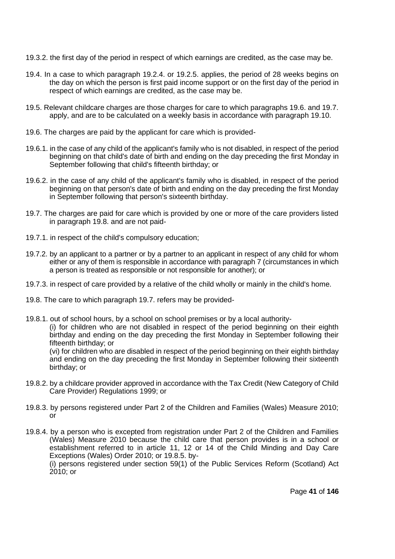- 19.3.2. the first day of the period in respect of which earnings are credited, as the case may be.
- 19.4. In a case to which paragraph 19.2.4. or 19.2.5. applies, the period of 28 weeks begins on the day on which the person is first paid income support or on the first day of the period in respect of which earnings are credited, as the case may be.
- 19.5. Relevant childcare charges are those charges for care to which paragraphs 19.6. and 19.7. apply, and are to be calculated on a weekly basis in accordance with paragraph 19.10.
- 19.6. The charges are paid by the applicant for care which is provided-
- 19.6.1. in the case of any child of the applicant's family who is not disabled, in respect of the period beginning on that child's date of birth and ending on the day preceding the first Monday in September following that child's fifteenth birthday; or
- 19.6.2. in the case of any child of the applicant's family who is disabled, in respect of the period beginning on that person's date of birth and ending on the day preceding the first Monday in September following that person's sixteenth birthday.
- 19.7. The charges are paid for care which is provided by one or more of the care providers listed in paragraph 19.8. and are not paid-
- 19.7.1. in respect of the child's compulsory education;
- 19.7.2. by an applicant to a partner or by a partner to an applicant in respect of any child for whom either or any of them is responsible in accordance with paragraph 7 (circumstances in which a person is treated as responsible or not responsible for another); or
- 19.7.3. in respect of care provided by a relative of the child wholly or mainly in the child's home.
- 19.8. The care to which paragraph 19.7. refers may be provided-
- 19.8.1. out of school hours, by a school on school premises or by a local authority- (i) for children who are not disabled in respect of the period beginning on their eighth birthday and ending on the day preceding the first Monday in September following their fifteenth birthday; or (vi) for children who are disabled in respect of the period beginning on their eighth birthday
	- and ending on the day preceding the first Monday in September following their sixteenth birthday; or
- 19.8.2. by a childcare provider approved in accordance with the Tax Credit (New Category of Child Care Provider) Regulations 1999; or
- 19.8.3. by persons registered under Part 2 of the Children and Families (Wales) Measure 2010; or
- 19.8.4. by a person who is excepted from registration under Part 2 of the Children and Families (Wales) Measure 2010 because the child care that person provides is in a school or establishment referred to in article 11, 12 or 14 of the Child Minding and Day Care Exceptions (Wales) Order 2010; or 19.8.5. by-

(i) persons registered under section 59(1) of the Public Services Reform (Scotland) Act 2010; or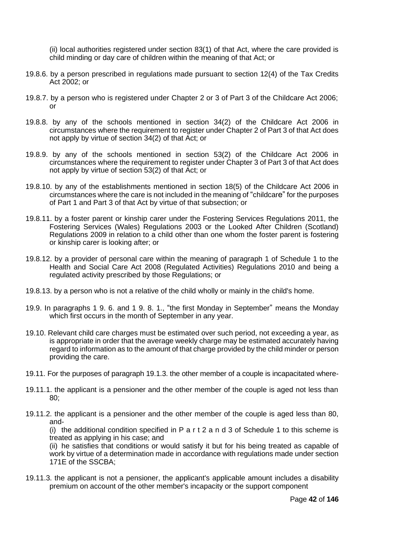(ii) local authorities registered under section 83(1) of that Act, where the care provided is child minding or day care of children within the meaning of that Act; or

- 19.8.6. by a person prescribed in regulations made pursuant to section 12(4) of the Tax Credits Act 2002; or
- 19.8.7. by a person who is registered under Chapter 2 or 3 of Part 3 of the Childcare Act 2006; or
- 19.8.8. by any of the schools mentioned in section 34(2) of the Childcare Act 2006 in circumstances where the requirement to register under Chapter 2 of Part 3 of that Act does not apply by virtue of section 34(2) of that Act; or
- 19.8.9. by any of the schools mentioned in section 53(2) of the Childcare Act 2006 in circumstances where the requirement to register under Chapter 3 of Part 3 of that Act does not apply by virtue of section 53(2) of that Act; or
- 19.8.10. by any of the establishments mentioned in section 18(5) of the Childcare Act 2006 in circumstances where the care is not included in the meaning of "childcare" for the purposes of Part 1 and Part 3 of that Act by virtue of that subsection; or
- 19.8.11. by a foster parent or kinship carer under the Fostering Services Regulations 2011, the Fostering Services (Wales) Regulations 2003 or the Looked After Children (Scotland) Regulations 2009 in relation to a child other than one whom the foster parent is fostering or kinship carer is looking after; or
- 19.8.12. by a provider of personal care within the meaning of paragraph 1 of Schedule 1 to the Health and Social Care Act 2008 (Regulated Activities) Regulations 2010 and being a regulated activity prescribed by those Regulations; or
- 19.8.13. by a person who is not a relative of the child wholly or mainly in the child's home.
- 19.9. In paragraphs 1 9. 6. and 1 9. 8. 1., "the first Monday in September" means the Monday which first occurs in the month of September in any year.
- 19.10. Relevant child care charges must be estimated over such period, not exceeding a year, as is appropriate in order that the average weekly charge may be estimated accurately having regard to information as to the amount of that charge provided by the child minder or person providing the care.
- 19.11. For the purposes of paragraph 19.1.3. the other member of a couple is incapacitated where-
- 19.11.1. the applicant is a pensioner and the other member of the couple is aged not less than 80;
- 19.11.2. the applicant is a pensioner and the other member of the couple is aged less than 80, and-

(i) the additional condition specified in P a r t 2 a n d 3 of Schedule 1 to this scheme is treated as applying in his case; and

(ii) he satisfies that conditions or would satisfy it but for his being treated as capable of work by virtue of a determination made in accordance with regulations made under section 171E of the SSCBA;

19.11.3. the applicant is not a pensioner, the applicant's applicable amount includes a disability premium on account of the other member's incapacity or the support component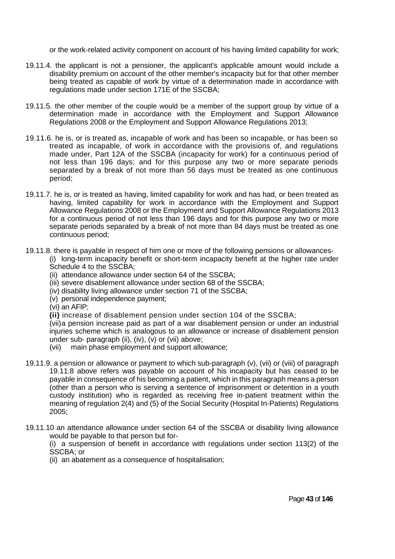or the work-related activity component on account of his having limited capability for work;

- 19.11.4. the applicant is not a pensioner, the applicant's applicable amount would include a disability premium on account of the other member's incapacity but for that other member being treated as capable of work by virtue of a determination made in accordance with regulations made under section 171E of the SSCBA;
- 19.11.5. the other member of the couple would be a member of the support group by virtue of a determination made in accordance with the Employment and Support Allowance Regulations 2008 or the Employment and Support Allowance Regulations 2013;
- 19.11.6. he is, or is treated as, incapable of work and has been so incapable, or has been so treated as incapable, of work in accordance with the provisions of, and regulations made under, Part 12A of the SSCBA (incapacity for work) for a continuous period of not less than 196 days; and for this purpose any two or more separate periods separated by a break of not more than 56 days must be treated as one continuous period;
- 19.11.7. he is, or is treated as having, limited capability for work and has had, or been treated as having, limited capability for work in accordance with the Employment and Support Allowance Regulations 2008 or the Employment and Support Allowance Regulations 2013 for a continuous period of not less than 196 days and for this purpose any two or more separate periods separated by a break of not more than 84 days must be treated as one continuous period;
- 19.11.8. there is payable in respect of him one or more of the following pensions or allowances-
	- (i) long-term incapacity benefit or short-term incapacity benefit at the higher rate under Schedule 4 to the SSCBA;
	- (ii) attendance allowance under section 64 of the SSCBA;
	- (iii) severe disablement allowance under section 68 of the SSCBA;
	- (iv) disability living allowance under section 71 of the SSCBA;
	- (v) personal independence payment;
	- (vi) an AFIP;
	- **(ii)** increase of disablement pension under section 104 of the SSCBA;

(vii)a pension increase paid as part of a war disablement pension or under an industrial injuries scheme which is analogous to an allowance or increase of disablement pension under sub- paragraph (ii), (iv), (v) or (vii) above;

- (vii) main phase employment and support allowance;
- 19.11.9. a pension or allowance or payment to which sub-paragraph (v), (vii) or (viii) of paragraph 19.11.8 above refers was payable on account of his incapacity but has ceased to be payable in consequence of his becoming a patient, which in this paragraph means a person (other than a person who is serving a sentence of imprisonment or detention in a youth custody institution) who is regarded as receiving free in-patient treatment within the meaning of regulation 2(4) and (5) of the Social Security (Hospital In-Patients) Regulations 2005;
- 19.11.10 an attendance allowance under section 64 of the SSCBA or disability living allowance would be payable to that person but for-

(i) a suspension of benefit in accordance with regulations under section 113(2) of the SSCBA; or

(ii) an abatement as a consequence of hospitalisation;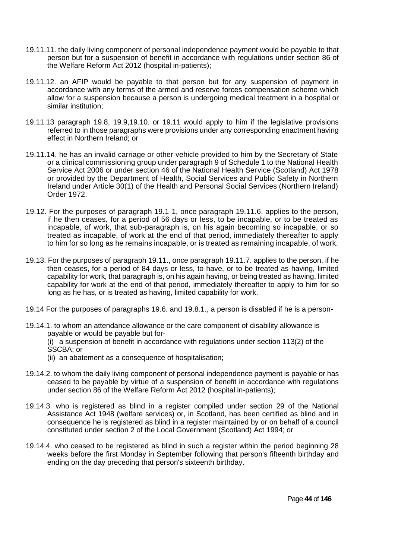- 19.11.11. the daily living component of personal independence payment would be payable to that person but for a suspension of benefit in accordance with regulations under section 86 of the Welfare Reform Act 2012 (hospital in-patients);
- 19.11.12. an AFIP would be payable to that person but for any suspension of payment in accordance with any terms of the armed and reserve forces compensation scheme which allow for a suspension because a person is undergoing medical treatment in a hospital or similar institution;
- 19.11.13 paragraph 19.8, 19.9,19.10. or 19.11 would apply to him if the legislative provisions referred to in those paragraphs were provisions under any corresponding enactment having effect in Northern Ireland; or
- 19.11.14. he has an invalid carriage or other vehicle provided to him by the Secretary of State or a clinical commissioning group under paragraph 9 of Schedule 1 to the National Health Service Act 2006 or under section 46 of the National Health Service (Scotland) Act 1978 or provided by the Department of Health, Social Services and Public Safety in Northern Ireland under Article 30(1) of the Health and Personal Social Services (Northern Ireland) Order 1972.
- 19.12. For the purposes of paragraph 19.1 1, once paragraph 19.11.6. applies to the person, if he then ceases, for a period of 56 days or less, to be incapable, or to be treated as incapable, of work, that sub-paragraph is, on his again becoming so incapable, or so treated as incapable, of work at the end of that period, immediately thereafter to apply to him for so long as he remains incapable, or is treated as remaining incapable, of work.
- 19.13. For the purposes of paragraph 19.11., once paragraph 19.11.7. applies to the person, if he then ceases, for a period of 84 days or less, to have, or to be treated as having, limited capability for work, that paragraph is, on his again having, or being treated as having, limited capability for work at the end of that period, immediately thereafter to apply to him for so long as he has, or is treated as having, limited capability for work.
- 19.14 For the purposes of paragraphs 19.6. and 19.8.1., a person is disabled if he is a person-
- 19.14.1. to whom an attendance allowance or the care component of disability allowance is payable or would be payable but for-

(i) a suspension of benefit in accordance with regulations under section 113(2) of the SSCBA; or

- (ii) an abatement as a consequence of hospitalisation;
- 19.14.2. to whom the daily living component of personal independence payment is payable or has ceased to be payable by virtue of a suspension of benefit in accordance with regulations under section 86 of the Welfare Reform Act 2012 (hospital in-patients);
- 19.14.3. who is registered as blind in a register compiled under section 29 of the National Assistance Act 1948 (welfare services) or, in Scotland, has been certified as blind and in consequence he is registered as blind in a register maintained by or on behalf of a council constituted under section 2 of the Local Government (Scotland) Act 1994; or
- 19.14.4. who ceased to be registered as blind in such a register within the period beginning 28 weeks before the first Monday in September following that person's fifteenth birthday and ending on the day preceding that person's sixteenth birthday.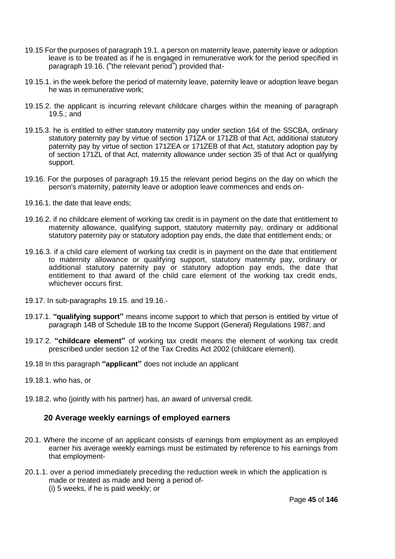- 19.15 For the purposes of paragraph 19.1. a person on maternity leave, paternity leave or adoption leave is to be treated as if he is engaged in remunerative work for the period specified in paragraph 19.16. ("the relevant period") provided that-
- 19.15.1. in the week before the period of maternity leave, paternity leave or adoption leave began he was in remunerative work;
- 19.15.2. the applicant is incurring relevant childcare charges within the meaning of paragraph 19.5.; and
- 19.15.3. he is entitled to either statutory maternity pay under section 164 of the SSCBA, ordinary statutory paternity pay by virtue of section 171ZA or 171ZB of that Act, additional statutory paternity pay by virtue of section 171ZEA or 171ZEB of that Act, statutory adoption pay by of section 171ZL of that Act, maternity allowance under section 35 of that Act or qualifying support.
- 19.16. For the purposes of paragraph 19.15 the relevant period begins on the day on which the person's maternity, paternity leave or adoption leave commences and ends on-
- 19.16.1. the date that leave ends;
- 19.16.2. if no childcare element of working tax credit is in payment on the date that entitlement to maternity allowance, qualifying support, statutory maternity pay, ordinary or additional statutory paternity pay or statutory adoption pay ends, the date that entitlement ends; or
- 19.16.3. if a child care element of working tax credit is in payment on the date that entitlement to maternity allowance or qualifying support, statutory maternity pay, ordinary or additional statutory paternity pay or statutory adoption pay ends, the date that entitlement to that award of the child care element of the working tax credit ends, whichever occurs first.
- 19.17. In sub-paragraphs 19.15. and 19.16.-
- 19.17.1. **"qualifying support"** means income support to which that person is entitled by virtue of paragraph 14B of Schedule 1B to the Income Support (General) Regulations 1987; and
- 19.17.2. **"childcare element"** of working tax credit means the element of working tax credit prescribed under section 12 of the Tax Credits Act 2002 (childcare element).
- 19.18 In this paragraph **"applicant"** does not include an applicant
- 19.18.1. who has, or
- 19.18.2. who (jointly with his partner) has, an award of universal credit.

# **20 Average weekly earnings of employed earners**

- 20.1. Where the income of an applicant consists of earnings from employment as an employed earner his average weekly earnings must be estimated by reference to his earnings from that employment-
- 20.1.1. over a period immediately preceding the reduction week in which the application is made or treated as made and being a period of- (i) 5 weeks, if he is paid weekly; or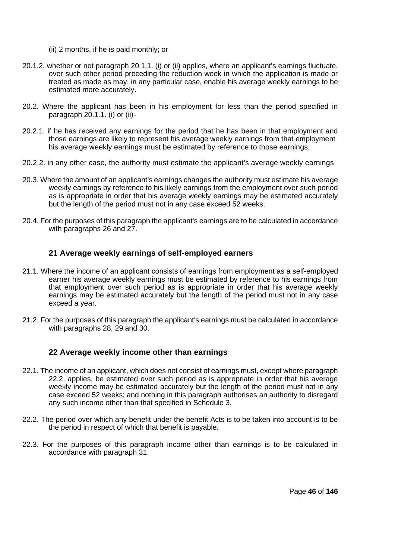- (ii) 2 months, if he is paid monthly; or
- 20.1.2. whether or not paragraph 20.1.1. (i) or (ii) applies, where an applicant's earnings fluctuate, over such other period preceding the reduction week in which the application is made or treated as made as may, in any particular case, enable his average weekly earnings to be estimated more accurately.
- 20.2. Where the applicant has been in his employment for less than the period specified in paragraph 20.1.1. (i) or (ii)-
- 20.2.1. if he has received any earnings for the period that he has been in that employment and those earnings are likely to represent his average weekly earnings from that employment his average weekly earnings must be estimated by reference to those earnings;
- 20.2.2. in any other case, the authority must estimate the applicant's average weekly earnings
- 20.3. Where the amount of an applicant's earnings changes the authority must estimate his average weekly earnings by reference to his likely earnings from the employment over such period as is appropriate in order that his average weekly earnings may be estimated accurately but the length of the period must not in any case exceed 52 weeks.
- 20.4. For the purposes of this paragraph the applicant's earnings are to be calculated in accordance with paragraphs 26 and 27.

# **21 Average weekly earnings of self-employed earners**

- 21.1. Where the income of an applicant consists of earnings from employment as a self-employed earner his average weekly earnings must be estimated by reference to his earnings from that employment over such period as is appropriate in order that his average weekly earnings may be estimated accurately but the length of the period must not in any case exceed a year.
- 21.2. For the purposes of this paragraph the applicant's earnings must be calculated in accordance with paragraphs 28, 29 and 30.

# **22 Average weekly income other than earnings**

- 22.1. The income of an applicant, which does not consist of earnings must, except where paragraph 22.2. applies, be estimated over such period as is appropriate in order that his average weekly income may be estimated accurately but the length of the period must not in any case exceed 52 weeks; and nothing in this paragraph authorises an authority to disregard any such income other than that specified in Schedule 3.
- 22.2. The period over which any benefit under the benefit Acts is to be taken into account is to be the period in respect of which that benefit is payable.
- 22.3. For the purposes of this paragraph income other than earnings is to be calculated in accordance with paragraph 31.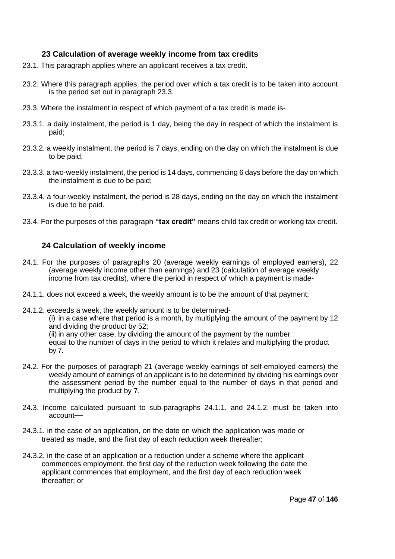# **23 Calculation of average weekly income from tax credits**

- 23.1. This paragraph applies where an applicant receives a tax credit.
- 23.2. Where this paragraph applies, the period over which a tax credit is to be taken into account is the period set out in paragraph 23.3.
- 23.3. Where the instalment in respect of which payment of a tax credit is made is-
- 23.3.1. a daily instalment, the period is 1 day, being the day in respect of which the instalment is paid;
- 23.3.2. a weekly instalment, the period is 7 days, ending on the day on which the instalment is due to be paid;
- 23.3.3. a two-weekly instalment, the period is 14 days, commencing 6 days before the day on which the instalment is due to be paid;
- 23.3.4. a four-weekly instalment, the period is 28 days, ending on the day on which the instalment is due to be paid.
- 23.4. For the purposes of this paragraph **"tax credit"** means child tax credit or working tax credit.

# **24 Calculation of weekly income**

- 24.1. For the purposes of paragraphs 20 (average weekly earnings of employed earners), 22 (average weekly income other than earnings) and 23 (calculation of average weekly income from tax credits), where the period in respect of which a payment is made-
- 24.1.1. does not exceed a week, the weekly amount is to be the amount of that payment;
- 24.1.2. exceeds a week, the weekly amount is to be determined- (i) in a case where that period is a month, by multiplying the amount of the payment by 12 and dividing the product by 52; (ii) in any other case, by dividing the amount of the payment by the number equal to the number of days in the period to which it relates and multiplying the product by 7.
- 24.2. For the purposes of paragraph 21 (average weekly earnings of self-employed earners) the weekly amount of earnings of an applicant is to be determined by dividing his earnings over the assessment period by the number equal to the number of days in that period and multiplying the product by 7.
- 24.3. Income calculated pursuant to sub-paragraphs 24.1.1. and 24.1.2. must be taken into account—
- 24.3.1. in the case of an application, on the date on which the application was made or treated as made, and the first day of each reduction week thereafter;
- 24.3.2. in the case of an application or a reduction under a scheme where the applicant commences employment, the first day of the reduction week following the date the applicant commences that employment, and the first day of each reduction week thereafter; or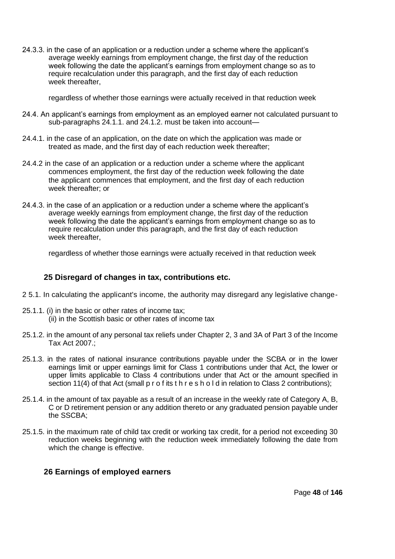24.3.3. in the case of an application or a reduction under a scheme where the applicant's average weekly earnings from employment change, the first day of the reduction week following the date the applicant's earnings from employment change so as to require recalculation under this paragraph, and the first day of each reduction week thereafter,

regardless of whether those earnings were actually received in that reduction week

- 24.4. An applicant's earnings from employment as an employed earner not calculated pursuant to sub-paragraphs 24.1.1. and 24.1.2. must be taken into account—
- 24.4.1. in the case of an application, on the date on which the application was made or treated as made, and the first day of each reduction week thereafter;
- 24.4.2 in the case of an application or a reduction under a scheme where the applicant commences employment, the first day of the reduction week following the date the applicant commences that employment, and the first day of each reduction week thereafter; or
- 24.4.3. in the case of an application or a reduction under a scheme where the applicant's average weekly earnings from employment change, the first day of the reduction week following the date the applicant's earnings from employment change so as to require recalculation under this paragraph, and the first day of each reduction week thereafter,

regardless of whether those earnings were actually received in that reduction week

#### **25 Disregard of changes in tax, contributions etc.**

- 2 5.1. In calculating the applicant's income, the authority may disregard any legislative change-
- 25.1.1. (i) in the basic or other rates of income tax; (ii) in the Scottish basic or other rates of income tax
- 25.1.2. in the amount of any personal tax reliefs under Chapter 2, 3 and 3A of Part 3 of the Income Tax Act 2007.;
- 25.1.3. in the rates of national insurance contributions payable under the SCBA or in the lower earnings limit or upper earnings limit for Class 1 contributions under that Act, the lower or upper limits applicable to Class 4 contributions under that Act or the amount specified in section 11(4) of that Act (small p r o f its t h r e s h o I d in relation to Class 2 contributions);
- 25.1.4. in the amount of tax payable as a result of an increase in the weekly rate of Category A, B, C or D retirement pension or any addition thereto or any graduated pension payable under the SSCBA;
- 25.1.5. in the maximum rate of child tax credit or working tax credit, for a period not exceeding 30 reduction weeks beginning with the reduction week immediately following the date from which the change is effective.

# **26 Earnings of employed earners**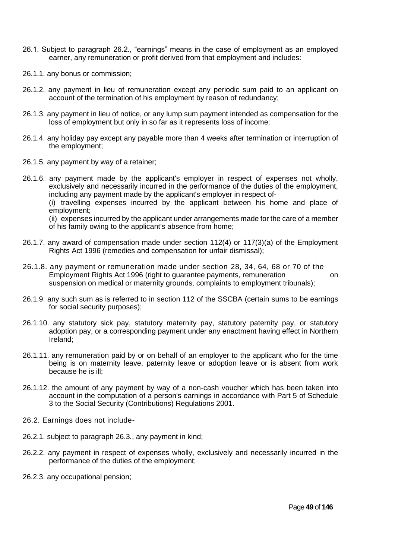- 26.1. Subject to paragraph 26.2., "earnings" means in the case of employment as an employed earner, any remuneration or profit derived from that employment and includes:
- 26.1.1. any bonus or commission;
- 26.1.2. any payment in lieu of remuneration except any periodic sum paid to an applicant on account of the termination of his employment by reason of redundancy;
- 26.1.3. any payment in lieu of notice, or any lump sum payment intended as compensation for the loss of employment but only in so far as it represents loss of income;
- 26.1.4. any holiday pay except any payable more than 4 weeks after termination or interruption of the employment;
- 26.1.5. any payment by way of a retainer;
- 26.1.6. any payment made by the applicant's employer in respect of expenses not wholly, exclusively and necessarily incurred in the performance of the duties of the employment, including any payment made by the applicant's employer in respect of- (i) travelling expenses incurred by the applicant between his home and place of

employment;

(ii) expenses incurred by the applicant under arrangements made for the care of a member of his family owing to the applicant's absence from home;

- 26.1.7. any award of compensation made under section 112(4) or 117(3)(a) of the Employment Rights Act 1996 (remedies and compensation for unfair dismissal);
- 26.1.8. any payment or remuneration made under section 28, 34, 64, 68 or 70 of the Employment Rights Act 1996 (right to guarantee payments, remuneration on suspension on medical or maternity grounds, complaints to employment tribunals);
- 26.1.9. any such sum as is referred to in section 112 of the SSCBA (certain sums to be earnings for social security purposes);
- 26.1.10. any statutory sick pay, statutory maternity pay, statutory paternity pay, or statutory adoption pay, or a corresponding payment under any enactment having effect in Northern Ireland;
- 26.1.11. any remuneration paid by or on behalf of an employer to the applicant who for the time being is on maternity leave, paternity leave or adoption leave or is absent from work because he is ill;
- 26.1.12. the amount of any payment by way of a non-cash voucher which has been taken into account in the computation of a person's earnings in accordance with Part 5 of Schedule 3 to the Social Security (Contributions) Regulations 2001.
- 26.2. Earnings does not include-
- 26.2.1. subject to paragraph 26.3., any payment in kind;
- 26.2.2. any payment in respect of expenses wholly, exclusively and necessarily incurred in the performance of the duties of the employment;
- 26.2.3. any occupational pension;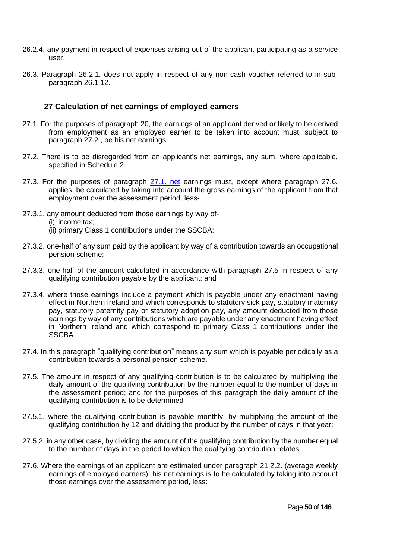- 26.2.4. any payment in respect of expenses arising out of the applicant participating as a service user.
- 26.3. Paragraph 26.2.1. does not apply in respect of any non-cash voucher referred to in subparagraph 26.1.12.

### **27 Calculation of net earnings of employed earners**

- 27.1. For the purposes of paragraph 20, the earnings of an applicant derived or likely to be derived from employment as an employed earner to be taken into account must, subject to paragraph 27.2., be his net earnings.
- 27.2. There is to be disregarded from an applicant's net earnings, any sum, where applicable, specified in Schedule 2.
- 27.3. For the purposes of paragraph [27.1. net](http://27.1.net/) earnings must, except where paragraph 27.6. applies, be calculated by taking into account the gross earnings of the applicant from that employment over the assessment period, less-
- 27.3.1. any amount deducted from those earnings by way of-
	- (i) income tax;
	- (ii) primary Class 1 contributions under the SSCBA;
- 27.3.2. one-half of any sum paid by the applicant by way of a contribution towards an occupational pension scheme;
- 27.3.3. one-half of the amount calculated in accordance with paragraph 27.5 in respect of any qualifying contribution payable by the applicant; and
- 27.3.4. where those earnings include a payment which is payable under any enactment having effect in Northern Ireland and which corresponds to statutory sick pay, statutory maternity pay, statutory paternity pay or statutory adoption pay, any amount deducted from those earnings by way of any contributions which are payable under any enactment having effect in Northern Ireland and which correspond to primary Class 1 contributions under the SSCBA.
- 27.4. In this paragraph "qualifying contribution" means any sum which is payable periodically as a contribution towards a personal pension scheme.
- 27.5. The amount in respect of any qualifying contribution is to be calculated by multiplying the daily amount of the qualifying contribution by the number equal to the number of days in the assessment period; and for the purposes of this paragraph the daily amount of the qualifying contribution is to be determined-
- 27.5.1. where the qualifying contribution is payable monthly, by multiplying the amount of the qualifying contribution by 12 and dividing the product by the number of days in that year;
- 27.5.2. in any other case, by dividing the amount of the qualifying contribution by the number equal to the number of days in the period to which the qualifying contribution relates.
- 27.6. Where the earnings of an applicant are estimated under paragraph 21.2.2. (average weekly earnings of employed earners), his net earnings is to be calculated by taking into account those earnings over the assessment period, less: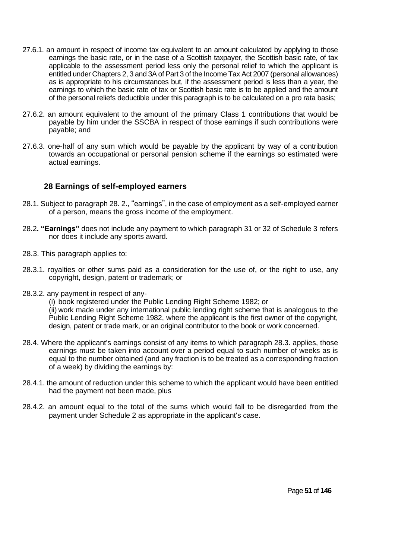- 27.6.1. an amount in respect of income tax equivalent to an amount calculated by applying to those earnings the basic rate, or in the case of a Scottish taxpayer, the Scottish basic rate, of tax applicable to the assessment period less only the personal relief to which the applicant is entitled under Chapters 2, 3 and 3A of Part 3 of the Income Tax Act 2007 (personal allowances) as is appropriate to his circumstances but, if the assessment period is less than a year, the earnings to which the basic rate of tax or Scottish basic rate is to be applied and the amount of the personal reliefs deductible under this paragraph is to be calculated on a pro rata basis;
- 27.6.2. an amount equivalent to the amount of the primary Class 1 contributions that would be payable by him under the SSCBA in respect of those earnings if such contributions were payable; and
- 27.6.3. one-half of any sum which would be payable by the applicant by way of a contribution towards an occupational or personal pension scheme if the earnings so estimated were actual earnings.

### **28 Earnings of self-employed earners**

- 28.1. Subject to paragraph 28. 2., "earnings", in the case of employment as a self-employed earner of a person, means the gross income of the employment.
- 28.2**. "Earnings"** does not include any payment to which paragraph 31 or 32 of Schedule 3 refers nor does it include any sports award.
- 28.3. This paragraph applies to:
- 28.3.1. royalties or other sums paid as a consideration for the use of, or the right to use, any copyright, design, patent or trademark; or
- 28.3.2. any payment in respect of any-
	- (i) book registered under the Public Lending Right Scheme 1982; or

(ii) work made under any international public lending right scheme that is analogous to the Public Lending Right Scheme 1982, where the applicant is the first owner of the copyright, design, patent or trade mark, or an original contributor to the book or work concerned.

- 28.4. Where the applicant's earnings consist of any items to which paragraph 28.3. applies, those earnings must be taken into account over a period equal to such number of weeks as is equal to the number obtained (and any fraction is to be treated as a corresponding fraction of a week) by dividing the earnings by:
- 28.4.1. the amount of reduction under this scheme to which the applicant would have been entitled had the payment not been made, plus
- 28.4.2. an amount equal to the total of the sums which would fall to be disregarded from the payment under Schedule 2 as appropriate in the applicant's case.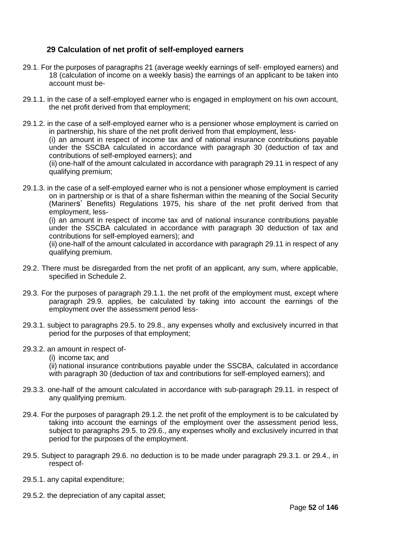# **29 Calculation of net profit of self-employed earners**

- 29.1. For the purposes of paragraphs 21 (average weekly earnings of self- employed earners) and 18 (calculation of income on a weekly basis) the earnings of an applicant to be taken into account must be-
- 29.1.1. in the case of a self-employed earner who is engaged in employment on his own account, the net profit derived from that employment;
- 29.1.2. in the case of a self-employed earner who is a pensioner whose employment is carried on in partnership, his share of the net profit derived from that employment, less- (i) an amount in respect of income tax and of national insurance contributions payable

under the SSCBA calculated in accordance with paragraph 30 (deduction of tax and contributions of self-employed earners); and

(ii) one-half of the amount calculated in accordance with paragraph 29.11 in respect of any qualifying premium;

29.1.3. in the case of a self-employed earner who is not a pensioner whose employment is carried on in partnership or is that of a share fisherman within the meaning of the Social Security (Mariners' Benefits) Regulations 1975, his share of the net profit derived from that employment, less-

(i) an amount in respect of income tax and of national insurance contributions payable under the SSCBA calculated in accordance with paragraph 30 deduction of tax and contributions for self-employed earners); and

(ii) one-half of the amount calculated in accordance with paragraph 29.11 in respect of any qualifying premium.

- 29.2. There must be disregarded from the net profit of an applicant, any sum, where applicable, specified in Schedule 2.
- 29.3. For the purposes of paragraph 29.1.1. the net profit of the employment must, except where paragraph 29.9. applies, be calculated by taking into account the earnings of the employment over the assessment period less-
- 29.3.1. subject to paragraphs 29.5. to 29.8., any expenses wholly and exclusively incurred in that period for the purposes of that employment;
- 29.3.2. an amount in respect of-
	- (i) income tax; and

(ii) national insurance contributions payable under the SSCBA, calculated in accordance with paragraph 30 (deduction of tax and contributions for self-employed earners); and

- 29.3.3. one-half of the amount calculated in accordance with sub-paragraph 29.11. in respect of any qualifying premium.
- 29.4. For the purposes of paragraph 29.1.2. the net profit of the employment is to be calculated by taking into account the earnings of the employment over the assessment period less, subject to paragraphs 29.5. to 29.6., any expenses wholly and exclusively incurred in that period for the purposes of the employment.
- 29.5. Subject to paragraph 29.6. no deduction is to be made under paragraph 29.3.1. or 29.4., in respect of-
- 29.5.1. any capital expenditure;
- 29.5.2. the depreciation of any capital asset;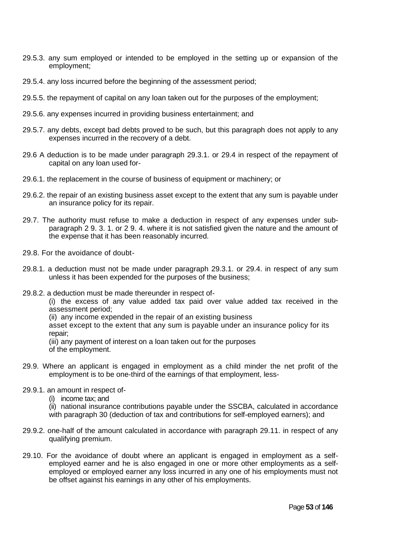- 29.5.3. any sum employed or intended to be employed in the setting up or expansion of the employment;
- 29.5.4. any loss incurred before the beginning of the assessment period;
- 29.5.5. the repayment of capital on any loan taken out for the purposes of the employment;
- 29.5.6. any expenses incurred in providing business entertainment; and
- 29.5.7. any debts, except bad debts proved to be such, but this paragraph does not apply to any expenses incurred in the recovery of a debt.
- 29.6 A deduction is to be made under paragraph 29.3.1. or 29.4 in respect of the repayment of capital on any loan used for-
- 29.6.1. the replacement in the course of business of equipment or machinery; or
- 29.6.2. the repair of an existing business asset except to the extent that any sum is payable under an insurance policy for its repair.
- 29.7. The authority must refuse to make a deduction in respect of any expenses under subparagraph 2 9. 3. 1. or 2 9. 4. where it is not satisfied given the nature and the amount of the expense that it has been reasonably incurred.
- 29.8. For the avoidance of doubt-
- 29.8.1. a deduction must not be made under paragraph 29.3.1. or 29.4. in respect of any sum unless it has been expended for the purposes of the business;
- 29.8.2. a deduction must be made thereunder in respect of-

(i) the excess of any value added tax paid over value added tax received in the assessment period;

(ii) any income expended in the repair of an existing business

asset except to the extent that any sum is payable under an insurance policy for its repair;

- (iii) any payment of interest on a loan taken out for the purposes
- of the employment.
- 29.9. Where an applicant is engaged in employment as a child minder the net profit of the employment is to be one-third of the earnings of that employment, less-
- 29.9.1. an amount in respect of-
	- (i) income tax; and

(ii) national insurance contributions payable under the SSCBA, calculated in accordance with paragraph 30 (deduction of tax and contributions for self-employed earners); and

- 29.9.2. one-half of the amount calculated in accordance with paragraph 29.11. in respect of any qualifying premium.
- 29.10. For the avoidance of doubt where an applicant is engaged in employment as a selfemployed earner and he is also engaged in one or more other employments as a selfemployed or employed earner any loss incurred in any one of his employments must not be offset against his earnings in any other of his employments.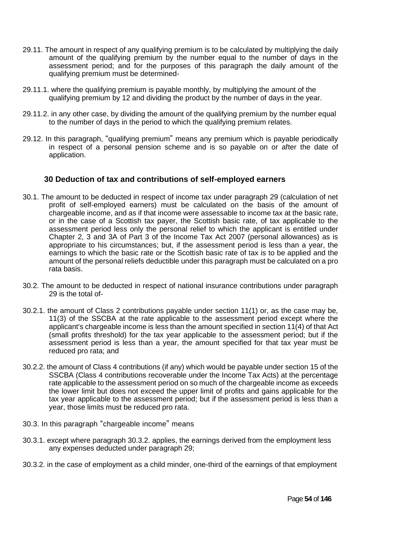- 29.11. The amount in respect of any qualifying premium is to be calculated by multiplying the daily amount of the qualifying premium by the number equal to the number of days in the assessment period; and for the purposes of this paragraph the daily amount of the qualifying premium must be determined-
- 29.11.1. where the qualifying premium is payable monthly, by multiplying the amount of the qualifying premium by 12 and dividing the product by the number of days in the year.
- 29.11.2. in any other case, by dividing the amount of the qualifying premium by the number equal to the number of days in the period to which the qualifying premium relates.
- 29.12. In this paragraph, "qualifying premium" means any premium which is payable periodically in respect of a personal pension scheme and is so payable on or after the date of application.

### **30 Deduction of tax and contributions of self-employed earners**

- 30.1. The amount to be deducted in respect of income tax under paragraph 29 (calculation of net profit of self-employed earners) must be calculated on the basis of the amount of chargeable income, and as if that income were assessable to income tax at the basic rate, or in the case of a Scottish tax payer, the Scottish basic rate, of tax applicable to the assessment period less only the personal relief to which the applicant is entitled under Chapter 2, 3 and 3A of Part 3 of the Income Tax Act 2007 (personal allowances) as is appropriate to his circumstances; but, if the assessment period is less than a year, the earnings to which the basic rate or the Scottish basic rate of tax is to be applied and the amount of the personal reliefs deductible under this paragraph must be calculated on a pro rata basis.
- 30.2. The amount to be deducted in respect of national insurance contributions under paragraph 29 is the total of-
- 30.2.1. the amount of Class 2 contributions payable under section 11(1) or, as the case may be, 11(3) of the SSCBA at the rate applicable to the assessment period except where the applicant's chargeable income is less than the amount specified in section 11(4) of that Act (small profits threshold) for the tax year applicable to the assessment period; but if the assessment period is less than a year, the amount specified for that tax year must be reduced pro rata; and
- 30.2.2. the amount of Class 4 contributions (if any) which would be payable under section 15 of the SSCBA (Class 4 contributions recoverable under the Income Tax Acts) at the percentage rate applicable to the assessment period on so much of the chargeable income as exceeds the lower limit but does not exceed the upper limit of profits and gains applicable for the tax year applicable to the assessment period; but if the assessment period is less than a year, those limits must be reduced pro rata.
- 30.3. In this paragraph "chargeable income" means
- 30.3.1. except where paragraph 30.3.2. applies, the earnings derived from the employment less any expenses deducted under paragraph 29;
- 30.3.2. in the case of employment as a child minder, one-third of the earnings of that employment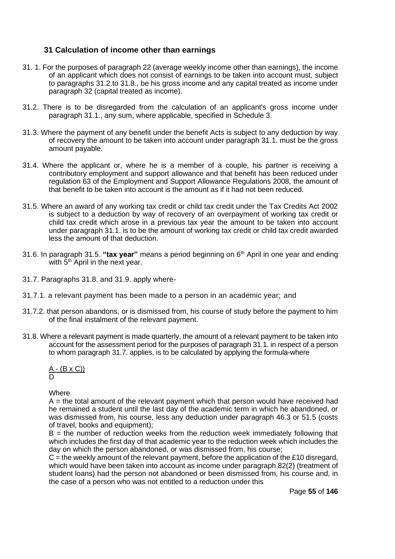## **31 Calculation of income other than earnings**

- 31. 1. For the purposes of paragraph 22 (average weekly income other than earnings), the income of an applicant which does not consist of earnings to be taken into account must, subject to paragraphs 31.2.to 31.8., be his gross income and any capital treated as income under paragraph 32 (capital treated as income).
- 31.2. There is to be disregarded from the calculation of an applicant's gross income under paragraph 31.1., any sum, where applicable, specified in Schedule 3.
- 31.3. Where the payment of any benefit under the benefit Acts is subject to any deduction by way of recovery the amount to be taken into account under paragraph 31.1. must be the gross amount payable.
- 31.4. Where the applicant or, where he is a member of a couple, his partner is receiving a contributory employment and support allowance and that benefit has been reduced under regulation 63 of the Employment and Support Allowance Regulations 2008, the amount of that benefit to be taken into account is the amount as if it had not been reduced.
- 31.5. Where an award of any working tax credit or child tax credit under the Tax Credits Act 2002 is subject to a deduction by way of recovery of an overpayment of working tax credit or child tax credit which arose in a previous tax year the amount to be taken into account under paragraph 31.1. is to be the amount of working tax credit or child tax credit awarded less the amount of that deduction.
- 31.6. In paragraph 31.5. "tax year" means a period beginning on 6<sup>th</sup> April in one year and ending with 5<sup>th</sup> April in the next year.
- 31.7. Paragraphs 31.8. and 31.9. apply where-
- 31.7.1. a relevant payment has been made to a person in an academic year; and
- 31.7.2. that person abandons, or is dismissed from, his course of study before the payment to him of the final instalment of the relevant payment.
- 31.8. Where a relevant payment is made quarterly, the amount of a relevant payment to be taken into account for the assessment period for the purposes of paragraph 31.1. in respect of a person to whom paragraph 31.7. applies, is to be calculated by applying the formula-where

A - (B x C)) D

Where

 $A =$  the total amount of the relevant payment which that person would have received had he remained a student until the last day of the academic term in which he abandoned, or was dismissed from, his course, less any deduction under paragraph 46.3 or 51.5 (costs of travel, books and equipment);

 $B =$  the number of reduction weeks from the reduction week immediately following that which includes the first day of that academic year to the reduction week which includes the day on which the person abandoned, or was dismissed from, his course;

 $C$  = the weekly amount of the relevant payment, before the application of the £10 disregard, which would have been taken into account as income under paragraph 82(2) (treatment of student loans) had the person not abandoned or been dismissed from, his course and, in the case of a person who was not entitled to a reduction under this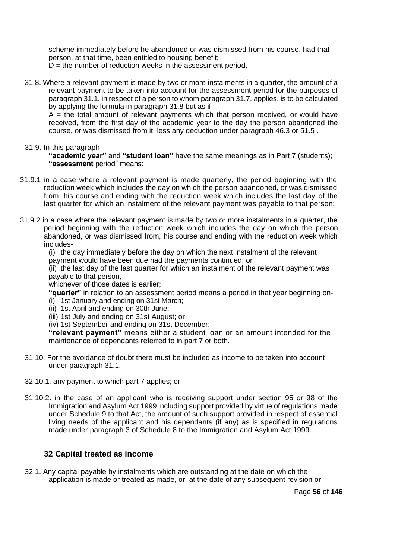scheme immediately before he abandoned or was dismissed from his course, had that person, at that time, been entitled to housing benefit;

 $D =$  the number of reduction weeks in the assessment period.

31.8. Where a relevant payment is made by two or more instalments in a quarter, the amount of a relevant payment to be taken into account for the assessment period for the purposes of paragraph 31.1. in respect of a person to whom paragraph 31.7. applies, is to be calculated by applying the formula in paragraph 31.8 but as if-

 $A =$  the total amount of relevant payments which that person received, or would have received, from the first day of the academic year to the day the person abandoned the course, or was dismissed from it, less any deduction under paragraph 46.3 or 51.5 .

### 31.9. In this paragraph-

**"academic year"** and **"student loan"** have the same meanings as in Part 7 (students); **"assessment** period" means:

- 31.9.1 in a case where a relevant payment is made quarterly, the period beginning with the reduction week which includes the day on which the person abandoned, or was dismissed from, his course and ending with the reduction week which includes the last day of the last quarter for which an instalment of the relevant payment was payable to that person;
- 31.9.2 in a case where the relevant payment is made by two or more instalments in a quarter, the period beginning with the reduction week which includes the day on which the person abandoned, or was dismissed from, his course and ending with the reduction week which includes-

(i) the day immediately before the day on which the next instalment of the relevant payment would have been due had the payments continued; or

(ii) the last day of the last quarter for which an instalment of the relevant payment was payable to that person,

whichever of those dates is earlier;

**"quarter"** in relation to an assessment period means a period in that year beginning on- (i) 1st January and ending on 31st March;

- (ii) 1st April and ending on 30th June;
- 
- (iii) 1st July and ending on 31st August; or

(iv) 1st September and ending on 31st December;

**"relevant payment"** means either a student loan or an amount intended for the maintenance of dependants referred to in part 7 or both.

- 31.10. For the avoidance of doubt there must be included as income to be taken into account under paragraph 31.1.-
- 32.10.1. any payment to which part 7 applies; or
- 31.10.2. in the case of an applicant who is receiving support under section 95 or 98 of the Immigration and Asylum Act 1999 including support provided by virtue of regulations made under Schedule 9 to that Act, the amount of such support provided in respect of essential living needs of the applicant and his dependants (if any) as is specified in regulations made under paragraph 3 of Schedule 8 to the Immigration and Asylum Act 1999.

# **32 Capital treated as income**

32.1. Any capital payable by instalments which are outstanding at the date on which the application is made or treated as made, or, at the date of any subsequent revision or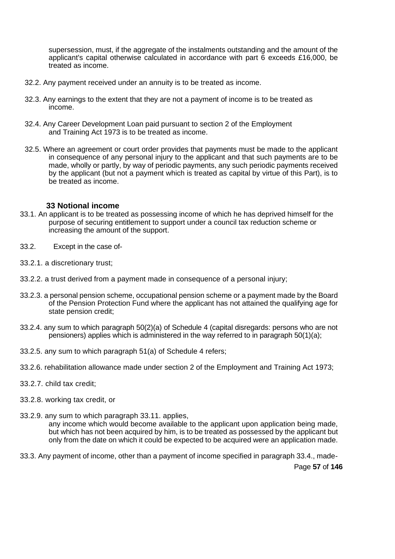supersession, must, if the aggregate of the instalments outstanding and the amount of the applicant's capital otherwise calculated in accordance with part 6 exceeds £16,000, be treated as income.

- 32.2. Any payment received under an annuity is to be treated as income.
- 32.3. Any earnings to the extent that they are not a payment of income is to be treated as income.
- 32.4. Any Career Development Loan paid pursuant to section 2 of the Employment and Training Act 1973 is to be treated as income.
- 32.5. Where an agreement or court order provides that payments must be made to the applicant in consequence of any personal injury to the applicant and that such payments are to be made, wholly or partly, by way of periodic payments, any such periodic payments received by the applicant (but not a payment which is treated as capital by virtue of this Part), is to be treated as income.

#### **33 Notional income**

- 33.1. An applicant is to be treated as possessing income of which he has deprived himself for the purpose of securing entitlement to support under a council tax reduction scheme or increasing the amount of the support.
- 33.2. Except in the case of-
- 33.2.1. a discretionary trust;
- 33.2.2. a trust derived from a payment made in consequence of a personal injury;
- 33.2.3. a personal pension scheme, occupational pension scheme or a payment made by the Board of the Pension Protection Fund where the applicant has not attained the qualifying age for state pension credit;
- 33.2.4. any sum to which paragraph 50(2)(a) of Schedule 4 (capital disregards: persons who are not pensioners) applies which is administered in the way referred to in paragraph 50(1)(a);
- 33.2.5. any sum to which paragraph 51(a) of Schedule 4 refers;
- 33.2.6. rehabilitation allowance made under section 2 of the Employment and Training Act 1973;
- 33.2.7. child tax credit;
- 33.2.8. working tax credit, or
- 33.2.9. any sum to which paragraph 33.11. applies, any income which would become available to the applicant upon application being made, but which has not been acquired by him, is to be treated as possessed by the applicant but only from the date on which it could be expected to be acquired were an application made.
- 33.3. Any payment of income, other than a payment of income specified in paragraph 33.4., made-

Page **57** of **146**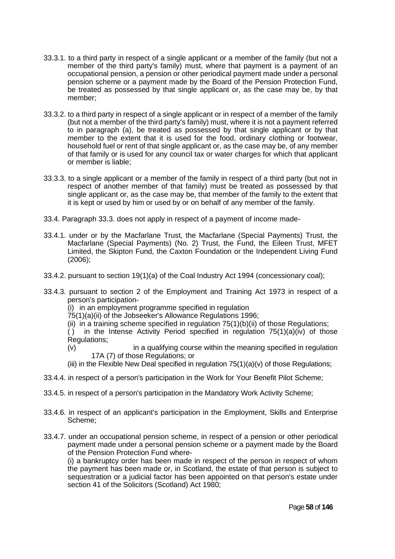- 33.3.1. to a third party in respect of a single applicant or a member of the family (but not a member of the third party's family) must, where that payment is a payment of an occupational pension, a pension or other periodical payment made under a personal pension scheme or a payment made by the Board of the Pension Protection Fund, be treated as possessed by that single applicant or, as the case may be, by that member;
- 33.3.2. to a third party in respect of a single applicant or in respect of a member of the family (but not a member of the third party's family) must, where it is not a payment referred to in paragraph (a), be treated as possessed by that single applicant or by that member to the extent that it is used for the food, ordinary clothing or footwear, household fuel or rent of that single applicant or, as the case may be, of any member of that family or is used for any council tax or water charges for which that applicant or member is liable;
- 33.3.3. to a single applicant or a member of the family in respect of a third party (but not in respect of another member of that family) must be treated as possessed by that single applicant or, as the case may be, that member of the family to the extent that it is kept or used by him or used by or on behalf of any member of the family.
- 33.4. Paragraph 33.3. does not apply in respect of a payment of income made-
- 33.4.1. under or by the Macfarlane Trust, the Macfarlane (Special Payments) Trust, the Macfarlane (Special Payments) (No. 2) Trust, the Fund, the Eileen Trust, MFET Limited, the Skipton Fund, the Caxton Foundation or the Independent Living Fund (2006);
- 33.4.2. pursuant to section 19(1)(a) of the Coal Industry Act 1994 (concessionary coal);
- 33.4.3. pursuant to section 2 of the Employment and Training Act 1973 in respect of a person's participation-
	- (i) in an employment programme specified in regulation
	- 75(1)(a)(ii) of the Jobseeker's Allowance Regulations 1996;
	- (ii) in a training scheme specified in regulation  $75(1)(b)(ii)$  of those Regulations;
	- $( )$  in the Intense Activity Period specified in regulation 75(1)(a)(iv) of those Regulations;
	- (v) in a qualifying course within the meaning specified in regulation 17A (7) of those Regulations; or
	- (iii) in the Flexible New Deal specified in regulation  $75(1)(a)(v)$  of those Regulations;
- 33.4.4. in respect of a person's participation in the Work for Your Benefit Pilot Scheme;
- 33.4.5. in respect of a person's participation in the Mandatory Work Activity Scheme;
- 33.4.6. in respect of an applicant's participation in the Employment, Skills and Enterprise Scheme;
- 33.4.7. under an occupational pension scheme, in respect of a pension or other periodical payment made under a personal pension scheme or a payment made by the Board of the Pension Protection Fund where-

(i) a bankruptcy order has been made in respect of the person in respect of whom the payment has been made or, in Scotland, the estate of that person is subject to sequestration or a judicial factor has been appointed on that person's estate under section 41 of the Solicitors (Scotland) Act 1980;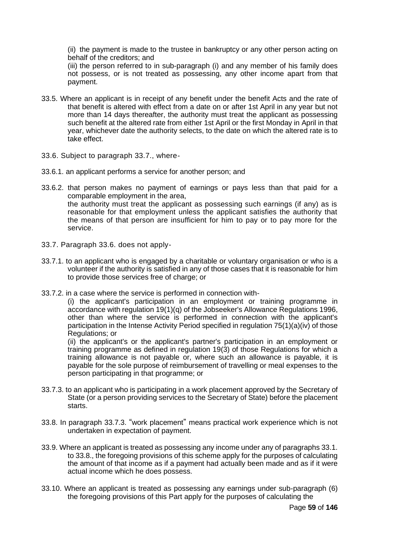(ii) the payment is made to the trustee in bankruptcy or any other person acting on behalf of the creditors; and

(iii) the person referred to in sub-paragraph (i) and any member of his family does not possess, or is not treated as possessing, any other income apart from that payment.

- 33.5. Where an applicant is in receipt of any benefit under the benefit Acts and the rate of that benefit is altered with effect from a date on or after 1st April in any year but not more than 14 days thereafter, the authority must treat the applicant as possessing such benefit at the altered rate from either 1st April or the first Monday in April in that year, whichever date the authority selects, to the date on which the altered rate is to take effect.
- 33.6. Subject to paragraph 33.7., where-
- 33.6.1. an applicant performs a service for another person; and
- 33.6.2. that person makes no payment of earnings or pays less than that paid for a comparable employment in the area, the authority must treat the applicant as possessing such earnings (if any) as is reasonable for that employment unless the applicant satisfies the authority that the means of that person are insufficient for him to pay or to pay more for the service.
- 33.7. Paragraph 33.6. does not apply-
- 33.7.1. to an applicant who is engaged by a charitable or voluntary organisation or who is a volunteer if the authority is satisfied in any of those cases that it is reasonable for him to provide those services free of charge; or
- 33.7.2. in a case where the service is performed in connection with-

(i) the applicant's participation in an employment or training programme in accordance with regulation 19(1)(q) of the Jobseeker's Allowance Regulations 1996, other than where the service is performed in connection with the applicant's participation in the Intense Activity Period specified in regulation 75(1)(a)(iv) of those Regulations; or

(ii) the applicant's or the applicant's partner's participation in an employment or training programme as defined in regulation 19(3) of those Regulations for which a training allowance is not payable or, where such an allowance is payable, it is payable for the sole purpose of reimbursement of travelling or meal expenses to the person participating in that programme; or

- 33.7.3. to an applicant who is participating in a work placement approved by the Secretary of State (or a person providing services to the Secretary of State) before the placement starts.
- 33.8. In paragraph 33.7.3. "work placement" means practical work experience which is not undertaken in expectation of payment.
- 33.9. Where an applicant is treated as possessing any income under any of paragraphs 33.1. to 33.8., the foregoing provisions of this scheme apply for the purposes of calculating the amount of that income as if a payment had actually been made and as if it were actual income which he does possess.
- 33.10. Where an applicant is treated as possessing any earnings under sub-paragraph (6) the foregoing provisions of this Part apply for the purposes of calculating the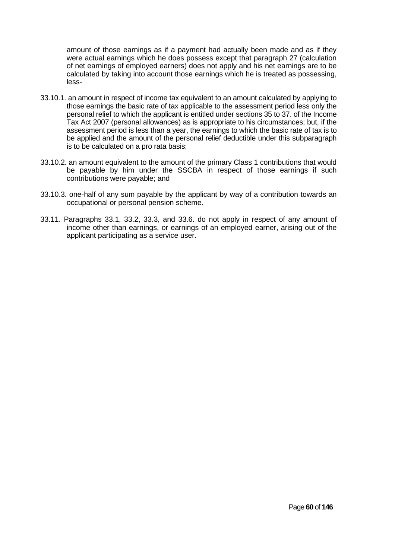amount of those earnings as if a payment had actually been made and as if they were actual earnings which he does possess except that paragraph 27 (calculation of net earnings of employed earners) does not apply and his net earnings are to be calculated by taking into account those earnings which he is treated as possessing, less-

- 33.10.1. an amount in respect of income tax equivalent to an amount calculated by applying to those earnings the basic rate of tax applicable to the assessment period less only the personal relief to which the applicant is entitled under sections 35 to 37. of the Income Tax Act 2007 (personal allowances) as is appropriate to his circumstances; but, if the assessment period is less than a year, the earnings to which the basic rate of tax is to be applied and the amount of the personal relief deductible under this subparagraph is to be calculated on a pro rata basis;
- 33.10.2. an amount equivalent to the amount of the primary Class 1 contributions that would be payable by him under the SSCBA in respect of those earnings if such contributions were payable; and
- 33.10.3. one-half of any sum payable by the applicant by way of a contribution towards an occupational or personal pension scheme.
- 33.11. Paragraphs 33.1, 33.2, 33.3, and 33.6. do not apply in respect of any amount of income other than earnings, or earnings of an employed earner, arising out of the applicant participating as a service user.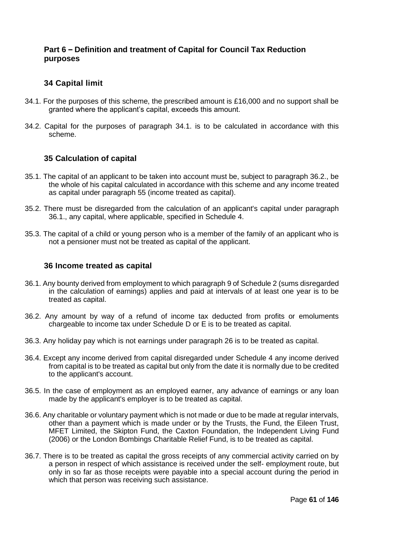### **Part 6 – Definition and treatment of Capital for Council Tax Reduction purposes**

# **34 Capital limit**

- 34.1. For the purposes of this scheme, the prescribed amount is £16,000 and no support shall be granted where the applicant's capital, exceeds this amount.
- 34.2. Capital for the purposes of paragraph 34.1. is to be calculated in accordance with this scheme.

# **35 Calculation of capital**

- 35.1. The capital of an applicant to be taken into account must be, subject to paragraph 36.2., be the whole of his capital calculated in accordance with this scheme and any income treated as capital under paragraph 55 (income treated as capital).
- 35.2. There must be disregarded from the calculation of an applicant's capital under paragraph 36.1., any capital, where applicable, specified in Schedule 4.
- 35.3. The capital of a child or young person who is a member of the family of an applicant who is not a pensioner must not be treated as capital of the applicant.

### **36 Income treated as capital**

- 36.1. Any bounty derived from employment to which paragraph 9 of Schedule 2 (sums disregarded in the calculation of earnings) applies and paid at intervals of at least one year is to be treated as capital.
- 36.2. Any amount by way of a refund of income tax deducted from profits or emoluments chargeable to income tax under Schedule D or E is to be treated as capital.
- 36.3. Any holiday pay which is not earnings under paragraph 26 is to be treated as capital.
- 36.4. Except any income derived from capital disregarded under Schedule 4 any income derived from capital is to be treated as capital but only from the date it is normally due to be credited to the applicant's account.
- 36.5. In the case of employment as an employed earner, any advance of earnings or any loan made by the applicant's employer is to be treated as capital.
- 36.6. Any charitable or voluntary payment which is not made or due to be made at regular intervals, other than a payment which is made under or by the Trusts, the Fund, the Eileen Trust, MFET Limited, the Skipton Fund, the Caxton Foundation, the Independent Living Fund (2006) or the London Bombings Charitable Relief Fund, is to be treated as capital.
- 36.7. There is to be treated as capital the gross receipts of any commercial activity carried on by a person in respect of which assistance is received under the self- employment route, but only in so far as those receipts were payable into a special account during the period in which that person was receiving such assistance.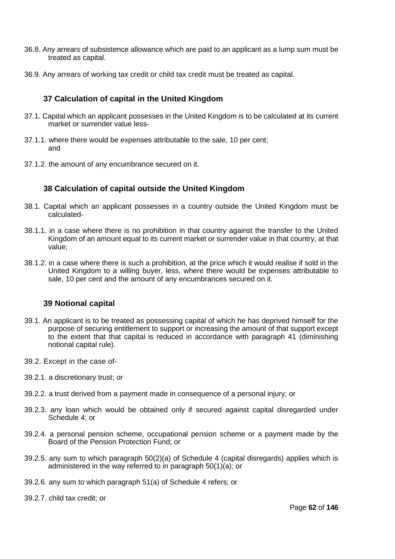- 36.8. Any arrears of subsistence allowance which are paid to an applicant as a lump sum must be treated as capital.
- 36.9. Any arrears of working tax credit or child tax credit must be treated as capital.

# **37 Calculation of capital in the United Kingdom**

- 37.1. Capital which an applicant possesses in the United Kingdom is to be calculated at its current market or surrender value less-
- 37.1.1. where there would be expenses attributable to the sale, 10 per cent; and
- 37.1.2. the amount of any encumbrance secured on it.

# **38 Calculation of capital outside the United Kingdom**

- 38.1. Capital which an applicant possesses in a country outside the United Kingdom must be calculated-
- 38.1.1. in a case where there is no prohibition in that country against the transfer to the United Kingdom of an amount equal to its current market or surrender value in that country, at that value;
- 38.1.2. in a case where there is such a prohibition, at the price which it would realise if sold in the United Kingdom to a willing buyer, less, where there would be expenses attributable to sale, 10 per cent and the amount of any encumbrances secured on it.

# **39 Notional capital**

- 39.1. An applicant is to be treated as possessing capital of which he has deprived himself for the purpose of securing entitlement to support or increasing the amount of that support except to the extent that that capital is reduced in accordance with paragraph 41 (diminishing notional capital rule).
- 39.2. Except in the case of-
- 39.2.1. a discretionary trust; or
- 39.2.2. a trust derived from a payment made in consequence of a personal injury; or
- 39.2.3. any loan which would be obtained only if secured against capital disregarded under Schedule 4; or
- 39.2.4. a personal pension scheme, occupational pension scheme or a payment made by the Board of the Pension Protection Fund; or
- 39.2.5. any sum to which paragraph 50(2)(a) of Schedule 4 (capital disregards) applies which is administered in the way referred to in paragraph 50(1)(a); or
- 39.2.6. any sum to which paragraph 51(a) of Schedule 4 refers; or

39.2.7. child tax credit; or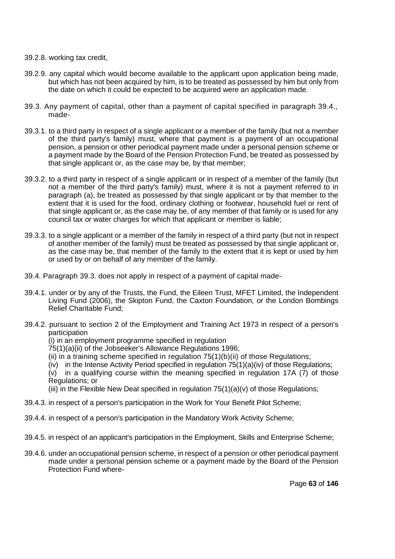- 39.2.8. working tax credit,
- 39.2.9. any capital which would become available to the applicant upon application being made, but which has not been acquired by him, is to be treated as possessed by him but only from the date on which it could be expected to be acquired were an application made.
- 39.3. Any payment of capital, other than a payment of capital specified in paragraph 39.4., made-
- 39.3.1. to a third party in respect of a single applicant or a member of the family (but not a member of the third party's family) must, where that payment is a payment of an occupational pension, a pension or other periodical payment made under a personal pension scheme or a payment made by the Board of the Pension Protection Fund, be treated as possessed by that single applicant or, as the case may be, by that member;
- 39.3.2. to a third party in respect of a single applicant or in respect of a member of the family (but not a member of the third party's family) must, where it is not a payment referred to in paragraph (a), be treated as possessed by that single applicant or by that member to the extent that it is used for the food, ordinary clothing or footwear, household fuel or rent of that single applicant or, as the case may be, of any member of that family or is used for any council tax or water charges for which that applicant or member is liable;
- 39.3.3. to a single applicant or a member of the family in respect of a third party (but not in respect of another member of the family) must be treated as possessed by that single applicant or, as the case may be, that member of the family to the extent that it is kept or used by him or used by or on behalf of any member of the family.
- 39.4. Paragraph 39.3. does not apply in respect of a payment of capital made-
- 39.4.1. under or by any of the Trusts, the Fund, the Eileen Trust, MFET Limited, the Independent Living Fund (2006), the Skipton Fund, the Caxton Foundation, or the London Bombings Relief Charitable Fund;
- 39.4.2. pursuant to section 2 of the Employment and Training Act 1973 in respect of a person's participation

(i) in an employment programme specified in regulation

75(1)(a)(ii) of the Jobseeker's Allowance Regulations 1996;

- (ii) in a training scheme specified in regulation  $75(1)(b)(ii)$  of those Regulations;
- (iv) in the Intense Activity Period specified in regulation  $75(1)(a)(iv)$  of those Regulations;

(v) in a qualifying course within the meaning specified in regulation 17A (7) of those Regulations; or

(iii) in the Flexible New Deal specified in regulation  $75(1)(a)(v)$  of those Regulations;

- 39.4.3. in respect of a person's participation in the Work for Your Benefit Pilot Scheme;
- 39.4.4. in respect of a person's participation in the Mandatory Work Activity Scheme;
- 39.4.5. in respect of an applicant's participation in the Employment, Skills and Enterprise Scheme;
- 39.4.6. under an occupational pension scheme, in respect of a pension or other periodical payment made under a personal pension scheme or a payment made by the Board of the Pension Protection Fund where-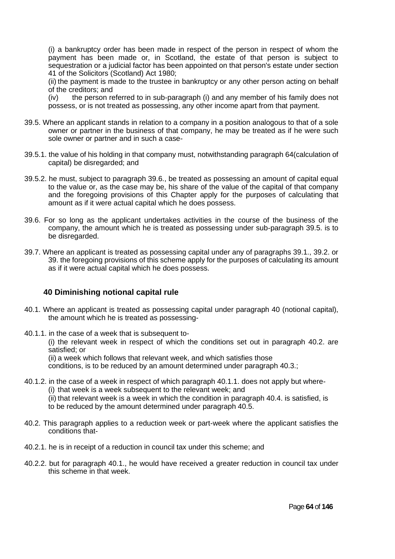(i) a bankruptcy order has been made in respect of the person in respect of whom the payment has been made or, in Scotland, the estate of that person is subject to sequestration or a judicial factor has been appointed on that person's estate under section 41 of the Solicitors (Scotland) Act 1980;

(ii) the payment is made to the trustee in bankruptcy or any other person acting on behalf of the creditors; and

(iv) the person referred to in sub-paragraph (i) and any member of his family does not possess, or is not treated as possessing, any other income apart from that payment.

- 39.5. Where an applicant stands in relation to a company in a position analogous to that of a sole owner or partner in the business of that company, he may be treated as if he were such sole owner or partner and in such a case-
- 39.5.1. the value of his holding in that company must, notwithstanding paragraph 64(calculation of capital) be disregarded; and
- 39.5.2. he must, subject to paragraph 39.6., be treated as possessing an amount of capital equal to the value or, as the case may be, his share of the value of the capital of that company and the foregoing provisions of this Chapter apply for the purposes of calculating that amount as if it were actual capital which he does possess.
- 39.6. For so long as the applicant undertakes activities in the course of the business of the company, the amount which he is treated as possessing under sub-paragraph 39.5. is to be disregarded.
- 39.7. Where an applicant is treated as possessing capital under any of paragraphs 39.1., 39.2. or 39. the foregoing provisions of this scheme apply for the purposes of calculating its amount as if it were actual capital which he does possess.

#### **40 Diminishing notional capital rule**

- 40.1. Where an applicant is treated as possessing capital under paragraph 40 (notional capital), the amount which he is treated as possessing-
- 40.1.1. in the case of a week that is subsequent to-

(i) the relevant week in respect of which the conditions set out in paragraph 40.2. are satisfied; or

(ii) a week which follows that relevant week, and which satisfies those

conditions, is to be reduced by an amount determined under paragraph 40.3.;

- 40.1.2. in the case of a week in respect of which paragraph 40.1.1. does not apply but where- (i) that week is a week subsequent to the relevant week; and
	- (ii) that relevant week is a week in which the condition in paragraph 40.4. is satisfied, is to be reduced by the amount determined under paragraph 40.5.
- 40.2. This paragraph applies to a reduction week or part-week where the applicant satisfies the conditions that-
- 40.2.1. he is in receipt of a reduction in council tax under this scheme; and
- 40.2.2. but for paragraph 40.1., he would have received a greater reduction in council tax under this scheme in that week.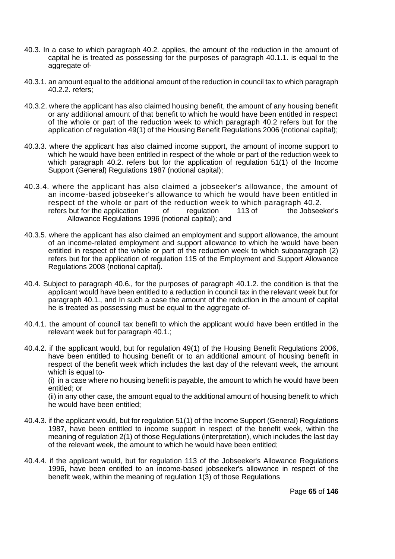- 40.3. In a case to which paragraph 40.2. applies, the amount of the reduction in the amount of capital he is treated as possessing for the purposes of paragraph 40.1.1. is equal to the aggregate of-
- 40.3.1. an amount equal to the additional amount of the reduction in council tax to which paragraph 40.2.2. refers;
- 40.3.2. where the applicant has also claimed housing benefit, the amount of any housing benefit or any additional amount of that benefit to which he would have been entitled in respect of the whole or part of the reduction week to which paragraph 40.2 refers but for the application of regulation 49(1) of the Housing Benefit Regulations 2006 (notional capital);
- 40.3.3. where the applicant has also claimed income support, the amount of income support to which he would have been entitled in respect of the whole or part of the reduction week to which paragraph 40.2. refers but for the application of regulation 51(1) of the Income Support (General) Regulations 1987 (notional capital);
- 40.3.4. where the applicant has also claimed a jobseeker's allowance, the amount of an income-based jobseeker's allowance to which he would have been entitled in respect of the whole or part of the reduction week to which paragraph 40.2. refers but for the application of regulation 113 of the Jobseeker's Allowance Regulations 1996 (notional capital); and
- 40.3.5. where the applicant has also claimed an employment and support allowance, the amount of an income-related employment and support allowance to which he would have been entitled in respect of the whole or part of the reduction week to which subparagraph (2) refers but for the application of regulation 115 of the Employment and Support Allowance Regulations 2008 (notional capital).
- 40.4. Subject to paragraph 40.6., for the purposes of paragraph 40.1.2. the condition is that the applicant would have been entitled to a reduction in council tax in the relevant week but for paragraph 40.1., and In such a case the amount of the reduction in the amount of capital he is treated as possessing must be equal to the aggregate of-
- 40.4.1. the amount of council tax benefit to which the applicant would have been entitled in the relevant week but for paragraph 40.1.;
- 40.4.2. if the applicant would, but for regulation 49(1) of the Housing Benefit Regulations 2006, have been entitled to housing benefit or to an additional amount of housing benefit in respect of the benefit week which includes the last day of the relevant week, the amount which is equal to-

(i) in a case where no housing benefit is payable, the amount to which he would have been entitled; or

(ii) in any other case, the amount equal to the additional amount of housing benefit to which he would have been entitled;

- 40.4.3. if the applicant would, but for regulation 51(1) of the Income Support (General) Regulations 1987, have been entitled to income support in respect of the benefit week, within the meaning of regulation 2(1) of those Regulations (interpretation), which includes the last day of the relevant week, the amount to which he would have been entitled;
- 40.4.4. if the applicant would, but for regulation 113 of the Jobseeker's Allowance Regulations 1996, have been entitled to an income-based jobseeker's allowance in respect of the benefit week, within the meaning of regulation 1(3) of those Regulations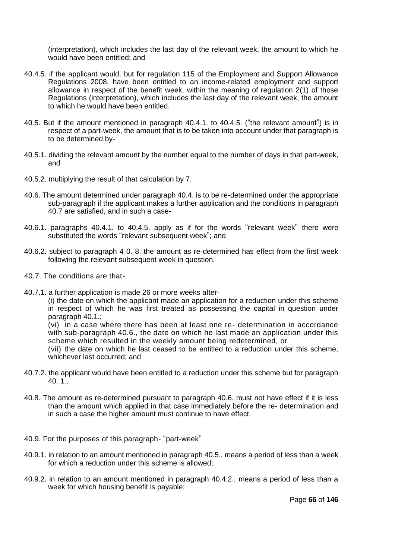(interpretation), which includes the last day of the relevant week, the amount to which he would have been entitled; and

- 40.4.5. if the applicant would, but for regulation 115 of the Employment and Support Allowance Regulations 2008, have been entitled to an income-related employment and support allowance in respect of the benefit week, within the meaning of regulation 2(1) of those Regulations (interpretation), which includes the last day of the relevant week, the amount to which he would have been entitled.
- 40.5. But if the amount mentioned in paragraph 40.4.1. to 40.4.5. ("the relevant amount") is in respect of a part-week, the amount that is to be taken into account under that paragraph is to be determined by-
- 40.5.1. dividing the relevant amount by the number equal to the number of days in that part-week, and
- 40.5.2. multiplying the result of that calculation by 7.
- 40.6. The amount determined under paragraph 40.4. is to be re-determined under the appropriate sub-paragraph if the applicant makes a further application and the conditions in paragraph 40.7 are satisfied, and in such a case-
- 40.6.1. paragraphs 40.4.1. to 40.4.5. apply as if for the words "relevant week" there were substituted the words "relevant subsequent week"; and
- 40.6.2. subject to paragraph 4 0. 8. the amount as re-determined has effect from the first week following the relevant subsequent week in question.
- 40.7. The conditions are that-
- 40.7.1. a further application is made 26 or more weeks after-

(i) the date on which the applicant made an application for a reduction under this scheme in respect of which he was first treated as possessing the capital in question under paragraph 40.1.;

(vi) in a case where there has been at least one re- determination in accordance with sub-paragraph 40.6., the date on which he last made an application under this scheme which resulted in the weekly amount being redetermined, or

(vii) the date on which he last ceased to be entitled to a reduction under this scheme, whichever last occurred; and

- 40.7.2. the applicant would have been entitled to a reduction under this scheme but for paragraph 40. 1..
- 40.8. The amount as re-determined pursuant to paragraph 40.6. must not have effect if it is less than the amount which applied in that case immediately before the re- determination and in such a case the higher amount must continue to have effect.
- 40.9. For the purposes of this paragraph- "part-week"
- 40.9.1. in relation to an amount mentioned in paragraph 40.5., means a period of less than a week for which a reduction under this scheme is allowed;
- 40.9.2. in relation to an amount mentioned in paragraph 40.4.2., means a period of less than a week for which housing benefit is payable;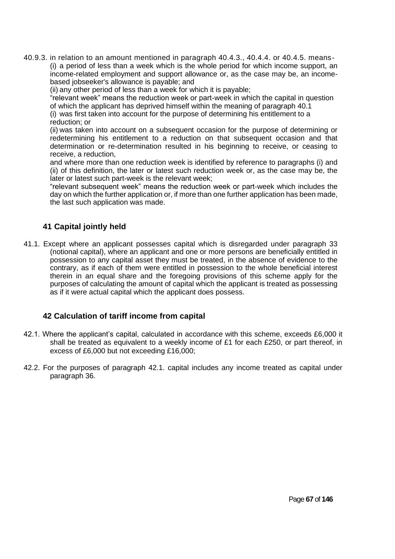40.9.3. in relation to an amount mentioned in paragraph 40.4.3., 40.4.4. or 40.4.5. means- (i) a period of less than a week which is the whole period for which income support, an income-related employment and support allowance or, as the case may be, an incomebased jobseeker's allowance is payable; and

(ii) any other period of less than a week for which it is payable;

"relevant week" means the reduction week or part-week in which the capital in question

of which the applicant has deprived himself within the meaning of paragraph 40.1

(i) was first taken into account for the purpose of determining his entitlement to a reduction; or

(ii) was taken into account on a subsequent occasion for the purpose of determining or redetermining his entitlement to a reduction on that subsequent occasion and that determination or re-determination resulted in his beginning to receive, or ceasing to receive, a reduction,

and where more than one reduction week is identified by reference to paragraphs (i) and (ii) of this definition, the later or latest such reduction week or, as the case may be, the later or latest such part-week is the relevant week;

"relevant subsequent week" means the reduction week or part-week which includes the day on which the further application or, if more than one further application has been made, the last such application was made.

# **41 Capital jointly held**

41.1. Except where an applicant possesses capital which is disregarded under paragraph 33 (notional capital), where an applicant and one or more persons are beneficially entitled in possession to any capital asset they must be treated, in the absence of evidence to the contrary, as if each of them were entitled in possession to the whole beneficial interest therein in an equal share and the foregoing provisions of this scheme apply for the purposes of calculating the amount of capital which the applicant is treated as possessing as if it were actual capital which the applicant does possess.

# **42 Calculation of tariff income from capital**

- 42.1. Where the applicant's capital, calculated in accordance with this scheme, exceeds £6,000 it shall be treated as equivalent to a weekly income of £1 for each £250, or part thereof, in excess of £6,000 but not exceeding £16,000;
- 42.2. For the purposes of paragraph 42.1. capital includes any income treated as capital under paragraph 36.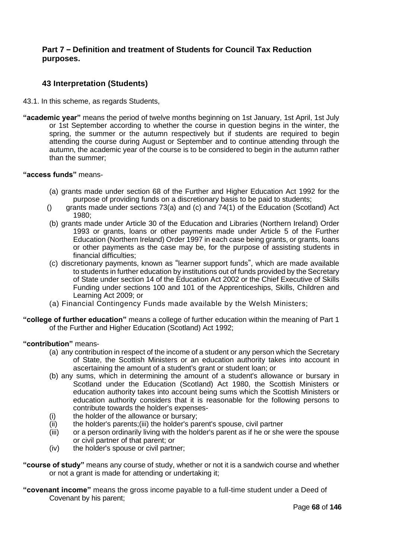### **Part 7 – Definition and treatment of Students for Council Tax Reduction purposes.**

# **43 Interpretation (Students)**

- 43.1. In this scheme, as regards Students,
- **"academic year"** means the period of twelve months beginning on 1st January, 1st April, 1st July or 1st September according to whether the course in question begins in the winter, the spring, the summer or the autumn respectively but if students are required to begin attending the course during August or September and to continue attending through the autumn, the academic year of the course is to be considered to begin in the autumn rather than the summer;

#### **"access funds"** means-

- (a) grants made under section 68 of the Further and Higher Education Act 1992 for the purpose of providing funds on a discretionary basis to be paid to students;
- () grants made under sections 73(a) and (c) and 74(1) of the Education (Scotland) Act 1980;
- (b) grants made under Article 30 of the Education and Libraries (Northern Ireland) Order 1993 or grants, loans or other payments made under Article 5 of the Further Education (Northern Ireland) Order 1997 in each case being grants, or grants, loans or other payments as the case may be, for the purpose of assisting students in financial difficulties;
- (c) discretionary payments, known as "learner support funds", which are made available to students in further education by institutions out of funds provided by the Secretary of State under section 14 of the Education Act 2002 or the Chief Executive of Skills Funding under sections 100 and 101 of the Apprenticeships, Skills, Children and Learning Act 2009; or
- (a) Financial Contingency Funds made available by the Welsh Ministers;
- **"college of further education"** means a college of further education within the meaning of Part 1 of the Further and Higher Education (Scotland) Act 1992;

#### **"contribution"** means-

- (a) any contribution in respect of the income of a student or any person which the Secretary of State, the Scottish Ministers or an education authority takes into account in ascertaining the amount of a student's grant or student loan; or
- (b) any sums, which in determining the amount of a student's allowance or bursary in Scotland under the Education (Scotland) Act 1980, the Scottish Ministers or education authority takes into account being sums which the Scottish Ministers or education authority considers that it is reasonable for the following persons to contribute towards the holder's expenses-
- (i) the holder of the allowance or bursary;
- (ii) the holder's parents;(iii) the holder's parent's spouse, civil partner
- (iii) or a person ordinarily living with the holder's parent as if he or she were the spouse or civil partner of that parent; or
- (iv) the holder's spouse or civil partner;
- **"course of study"** means any course of study, whether or not it is a sandwich course and whether or not a grant is made for attending or undertaking it;
- **"covenant income"** means the gross income payable to a full-time student under a Deed of Covenant by his parent;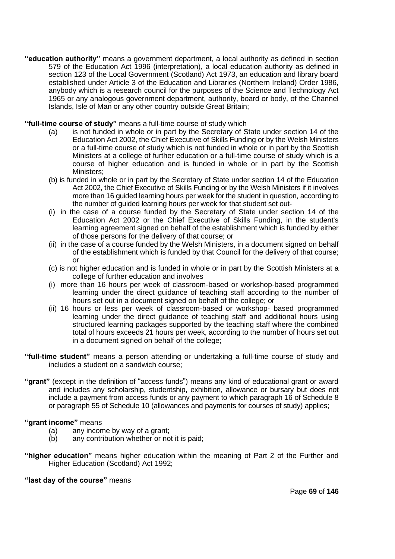**"education authority"** means a government department, a local authority as defined in section 579 of the Education Act 1996 (interpretation), a local education authority as defined in section 123 of the Local Government (Scotland) Act 1973, an education and library board established under Article 3 of the Education and Libraries (Northern Ireland) Order 1986, anybody which is a research council for the purposes of the Science and Technology Act 1965 or any analogous government department, authority, board or body, of the Channel Islands, Isle of Man or any other country outside Great Britain;

#### **"full-time course of study"** means a full-time course of study which

- (a) is not funded in whole or in part by the Secretary of State under section 14 of the Education Act 2002, the Chief Executive of Skills Funding or by the Welsh Ministers or a full-time course of study which is not funded in whole or in part by the Scottish Ministers at a college of further education or a full-time course of study which is a course of higher education and is funded in whole or in part by the Scottish Ministers;
- (b) is funded in whole or in part by the Secretary of State under section 14 of the Education Act 2002, the Chief Executive of Skills Funding or by the Welsh Ministers if it involves more than 16 guided learning hours per week for the student in question, according to the number of guided learning hours per week for that student set out-
- (i) in the case of a course funded by the Secretary of State under section 14 of the Education Act 2002 or the Chief Executive of Skills Funding, in the student's learning agreement signed on behalf of the establishment which is funded by either of those persons for the delivery of that course; or
- (ii) in the case of a course funded by the Welsh Ministers, in a document signed on behalf of the establishment which is funded by that Council for the delivery of that course; or
- (c) is not higher education and is funded in whole or in part by the Scottish Ministers at a college of further education and involves
- (i) more than 16 hours per week of classroom-based or workshop-based programmed learning under the direct guidance of teaching staff according to the number of hours set out in a document signed on behalf of the college; or
- (ii) 16 hours or less per week of classroom-based or workshop- based programmed learning under the direct guidance of teaching staff and additional hours using structured learning packages supported by the teaching staff where the combined total of hours exceeds 21 hours per week, according to the number of hours set out in a document signed on behalf of the college;
- **"full-time student"** means a person attending or undertaking a full-time course of study and includes a student on a sandwich course;
- **"grant"** (except in the definition of "access funds") means any kind of educational grant or award and includes any scholarship, studentship, exhibition, allowance or bursary but does not include a payment from access funds or any payment to which paragraph 16 of Schedule 8 or paragraph 55 of Schedule 10 (allowances and payments for courses of study) applies;

#### **"grant income"** means

- (a) any income by way of a grant;<br>(b) any contribution whether or no
- any contribution whether or not it is paid;
- **"higher education"** means higher education within the meaning of Part 2 of the Further and Higher Education (Scotland) Act 1992;

#### **"last day of the course"** means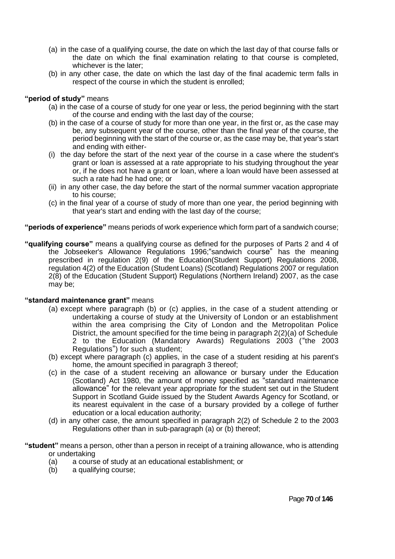- (a) in the case of a qualifying course, the date on which the last day of that course falls or the date on which the final examination relating to that course is completed, whichever is the later;
- (b) in any other case, the date on which the last day of the final academic term falls in respect of the course in which the student is enrolled;

### **"period of study"** means

- (a) in the case of a course of study for one year or less, the period beginning with the start of the course and ending with the last day of the course;
- (b) in the case of a course of study for more than one year, in the first or, as the case may be, any subsequent year of the course, other than the final year of the course, the period beginning with the start of the course or, as the case may be, that year's start and ending with either-
- (i) the day before the start of the next year of the course in a case where the student's grant or loan is assessed at a rate appropriate to his studying throughout the year or, if he does not have a grant or loan, where a loan would have been assessed at such a rate had he had one; or
- (ii) in any other case, the day before the start of the normal summer vacation appropriate to his course;
- (c) in the final year of a course of study of more than one year, the period beginning with that year's start and ending with the last day of the course;

**"periods of experience"** means periods of work experience which form part of a sandwich course;

**"qualifying course"** means a qualifying course as defined for the purposes of Parts 2 and 4 of the Jobseeker's Allowance Regulations 1996;"sandwich course" has the meaning prescribed in regulation 2(9) of the Education(Student Support) Regulations 2008, regulation 4(2) of the Education (Student Loans) (Scotland) Regulations 2007 or regulation 2(8) of the Education (Student Support) Regulations (Northern Ireland) 2007, as the case may be;

#### **"standard maintenance grant"** means

- (a) except where paragraph (b) or (c) applies, in the case of a student attending or undertaking a course of study at the University of London or an establishment within the area comprising the City of London and the Metropolitan Police District, the amount specified for the time being in paragraph 2(2)(a) of Schedule 2 to the Education (Mandatory Awards) Regulations 2003 ("the 2003 Regulations") for such a student;
- (b) except where paragraph (c) applies, in the case of a student residing at his parent's home, the amount specified in paragraph 3 thereof;
- (c) in the case of a student receiving an allowance or bursary under the Education (Scotland) Act 1980, the amount of money specified as "standard maintenance allowance" for the relevant year appropriate for the student set out in the Student Support in Scotland Guide issued by the Student Awards Agency for Scotland, or its nearest equivalent in the case of a bursary provided by a college of further education or a local education authority;
- (d) in any other case, the amount specified in paragraph 2(2) of Schedule 2 to the 2003 Regulations other than in sub-paragraph (a) or (b) thereof;

#### **"student"** means a person, other than a person in receipt of a training allowance, who is attending or undertaking

- (a) a course of study at an educational establishment; or
- (b) a qualifying course;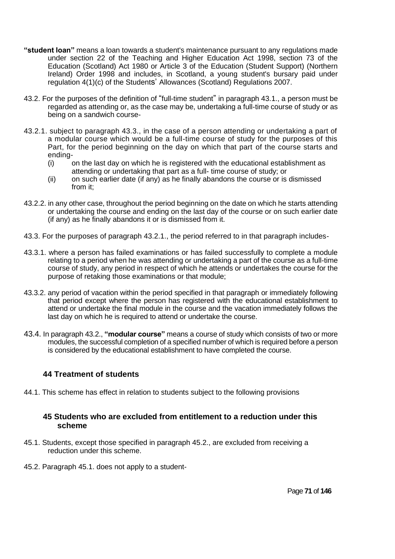- **"student loan"** means a loan towards a student's maintenance pursuant to any regulations made under section 22 of the Teaching and Higher Education Act 1998, section 73 of the Education (Scotland) Act 1980 or Article 3 of the Education (Student Support) (Northern Ireland) Order 1998 and includes, in Scotland, a young student's bursary paid under regulation 4(1)(c) of the Students' Allowances (Scotland) Regulations 2007.
- 43.2. For the purposes of the definition of "full-time student" in paragraph 43.1., a person must be regarded as attending or, as the case may be, undertaking a full-time course of study or as being on a sandwich course-
- 43.2.1. subject to paragraph 43.3., in the case of a person attending or undertaking a part of a modular course which would be a full-time course of study for the purposes of this Part, for the period beginning on the day on which that part of the course starts and ending-
	- (i) on the last day on which he is registered with the educational establishment as attending or undertaking that part as a full- time course of study; or
	- (ii) on such earlier date (if any) as he finally abandons the course or is dismissed from it;
- 43.2.2. in any other case, throughout the period beginning on the date on which he starts attending or undertaking the course and ending on the last day of the course or on such earlier date (if any) as he finally abandons it or is dismissed from it.
- 43.3. For the purposes of paragraph 43.2.1., the period referred to in that paragraph includes-
- 43.3.1. where a person has failed examinations or has failed successfully to complete a module relating to a period when he was attending or undertaking a part of the course as a full-time course of study, any period in respect of which he attends or undertakes the course for the purpose of retaking those examinations or that module;
- 43.3.2. any period of vacation within the period specified in that paragraph or immediately following that period except where the person has registered with the educational establishment to attend or undertake the final module in the course and the vacation immediately follows the last day on which he is required to attend or undertake the course.
- 43.4. In paragraph 43.2., **"modular course"** means a course of study which consists of two or more modules, the successful completion of a specified number of which is required before a person is considered by the educational establishment to have completed the course.

# **44 Treatment of students**

44.1. This scheme has effect in relation to students subject to the following provisions

#### **45 Students who are excluded from entitlement to a reduction under this scheme**

- 45.1. Students, except those specified in paragraph 45.2., are excluded from receiving a reduction under this scheme.
- 45.2. Paragraph 45.1. does not apply to a student-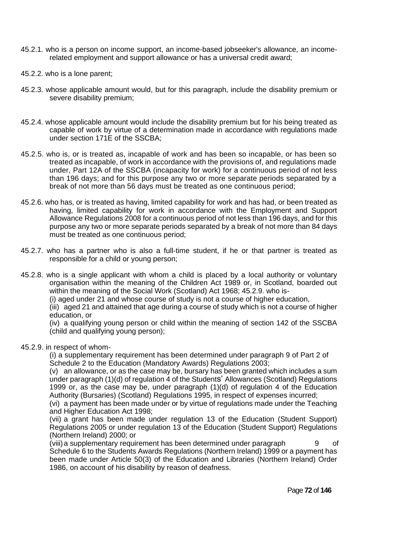- 45.2.1. who is a person on income support, an income-based jobseeker's allowance, an incomerelated employment and support allowance or has a universal credit award;
- 45.2.2. who is a lone parent;
- 45.2.3. whose applicable amount would, but for this paragraph, include the disability premium or severe disability premium;
- 45.2.4. whose applicable amount would include the disability premium but for his being treated as capable of work by virtue of a determination made in accordance with regulations made under section 171E of the SSCBA;
- 45.2.5. who is, or is treated as, incapable of work and has been so incapable, or has been so treated as incapable, of work in accordance with the provisions of, and regulations made under, Part 12A of the SSCBA (incapacity for work) for a continuous period of not less than 196 days; and for this purpose any two or more separate periods separated by a break of not more than 56 days must be treated as one continuous period;
- 45.2.6. who has, or is treated as having, limited capability for work and has had, or been treated as having, limited capability for work in accordance with the Employment and Support Allowance Regulations 2008 for a continuous period of not less than 196 days, and for this purpose any two or more separate periods separated by a break of not more than 84 days must be treated as one continuous period;
- 45.2.7. who has a partner who is also a full-time student, if he or that partner is treated as responsible for a child or young person;
- 45.2.8. who is a single applicant with whom a child is placed by a local authority or voluntary organisation within the meaning of the Children Act 1989 or, in Scotland, boarded out within the meaning of the Social Work (Scotland) Act 1968; 45.2.9. who is-

(i) aged under 21 and whose course of study is not a course of higher education,

(iii) aged 21 and attained that age during a course of study which is not a course of higher education, or

(iv) a qualifying young person or child within the meaning of section 142 of the SSCBA (child and qualifying young person);

45.2.9. in respect of whom-

(i) a supplementary requirement has been determined under paragraph 9 of Part 2 of Schedule 2 to the Education (Mandatory Awards) Regulations 2003;

(v) an allowance, or as the case may be, bursary has been granted which includes a sum under paragraph (1)(d) of regulation 4 of the Students' Allowances (Scotland) Regulations 1999 or, as the case may be, under paragraph (1)(d) of regulation 4 of the Education Authority (Bursaries) (Scotland) Regulations 1995, in respect of expenses incurred;

(vi) a payment has been made under or by virtue of regulations made under the Teaching and Higher Education Act 1998;

(vii) a grant has been made under regulation 13 of the Education (Student Support) Regulations 2005 or under regulation 13 of the Education (Student Support) Regulations (Northern Ireland) 2000; or

(viii)a supplementary requirement has been determined under paragraph 9 of Schedule 6 to the Students Awards Regulations (Northern Ireland) 1999 or a payment has been made under Article 50(3) of the Education and Libraries (Northern Ireland) Order 1986, on account of his disability by reason of deafness.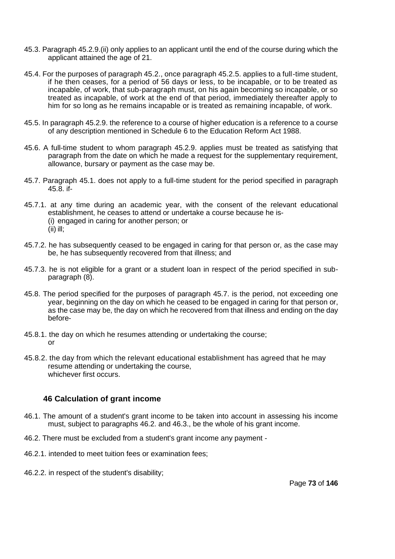- 45.3. Paragraph 45.2.9.(ii) only applies to an applicant until the end of the course during which the applicant attained the age of 21.
- 45.4. For the purposes of paragraph 45.2., once paragraph 45.2.5. applies to a full-time student, if he then ceases, for a period of 56 days or less, to be incapable, or to be treated as incapable, of work, that sub-paragraph must, on his again becoming so incapable, or so treated as incapable, of work at the end of that period, immediately thereafter apply to him for so long as he remains incapable or is treated as remaining incapable, of work.
- 45.5. In paragraph 45.2.9. the reference to a course of higher education is a reference to a course of any description mentioned in Schedule 6 to the Education Reform Act 1988.
- 45.6. A full-time student to whom paragraph 45.2.9. applies must be treated as satisfying that paragraph from the date on which he made a request for the supplementary requirement, allowance, bursary or payment as the case may be.
- 45.7. Paragraph 45.1. does not apply to a full-time student for the period specified in paragraph 45.8. if-
- 45.7.1. at any time during an academic year, with the consent of the relevant educational establishment, he ceases to attend or undertake a course because he is- (i) engaged in caring for another person; or (ii) ill;
- 45.7.2. he has subsequently ceased to be engaged in caring for that person or, as the case may be, he has subsequently recovered from that illness; and
- 45.7.3. he is not eligible for a grant or a student loan in respect of the period specified in subparagraph (8).
- 45.8. The period specified for the purposes of paragraph 45.7. is the period, not exceeding one year, beginning on the day on which he ceased to be engaged in caring for that person or, as the case may be, the day on which he recovered from that illness and ending on the day before-
- 45.8.1. the day on which he resumes attending or undertaking the course; or
- 45.8.2. the day from which the relevant educational establishment has agreed that he may resume attending or undertaking the course, whichever first occurs.

### **46 Calculation of grant income**

- 46.1. The amount of a student's grant income to be taken into account in assessing his income must, subject to paragraphs 46.2. and 46.3., be the whole of his grant income.
- 46.2. There must be excluded from a student's grant income any payment -
- 46.2.1. intended to meet tuition fees or examination fees;
- 46.2.2. in respect of the student's disability;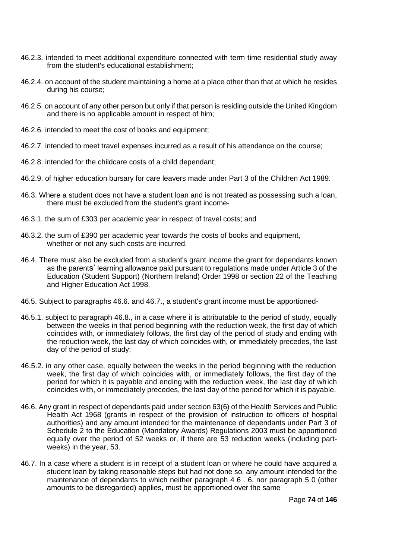- 46.2.3. intended to meet additional expenditure connected with term time residential study away from the student's educational establishment;
- 46.2.4. on account of the student maintaining a home at a place other than that at which he resides during his course;
- 46.2.5. on account of any other person but only if that person is residing outside the United Kingdom and there is no applicable amount in respect of him;
- 46.2.6. intended to meet the cost of books and equipment;
- 46.2.7. intended to meet travel expenses incurred as a result of his attendance on the course;
- 46.2.8. intended for the childcare costs of a child dependant;
- 46.2.9. of higher education bursary for care leavers made under Part 3 of the Children Act 1989.
- 46.3. Where a student does not have a student loan and is not treated as possessing such a loan, there must be excluded from the student's grant income-
- 46.3.1. the sum of £303 per academic year in respect of travel costs; and
- 46.3.2. the sum of £390 per academic year towards the costs of books and equipment, whether or not any such costs are incurred.
- 46.4. There must also be excluded from a student's grant income the grant for dependants known as the parents' learning allowance paid pursuant to regulations made under Article 3 of the Education (Student Support) (Northern Ireland) Order 1998 or section 22 of the Teaching and Higher Education Act 1998.
- 46.5. Subject to paragraphs 46.6. and 46.7., a student's grant income must be apportioned-
- 46.5.1. subject to paragraph 46.8., in a case where it is attributable to the period of study, equally between the weeks in that period beginning with the reduction week, the first day of which coincides with, or immediately follows, the first day of the period of study and ending with the reduction week, the last day of which coincides with, or immediately precedes, the last day of the period of study;
- 46.5.2. in any other case, equally between the weeks in the period beginning with the reduction week, the first day of which coincides with, or immediately follows, the first day of the period for which it is payable and ending with the reduction week, the last day of which coincides with, or immediately precedes, the last day of the period for which it is payable.
- 46.6. Any grant in respect of dependants paid under section 63(6) of the Health Services and Public Health Act 1968 (grants in respect of the provision of instruction to officers of hospital authorities) and any amount intended for the maintenance of dependants under Part 3 of Schedule 2 to the Education (Mandatory Awards) Regulations 2003 must be apportioned equally over the period of 52 weeks or, if there are 53 reduction weeks (including partweeks) in the year, 53.
- 46.7. In a case where a student is in receipt of a student loan or where he could have acquired a student loan by taking reasonable steps but had not done so, any amount intended for the maintenance of dependants to which neither paragraph 4 6 . 6. nor paragraph 5 0 (other amounts to be disregarded) applies, must be apportioned over the same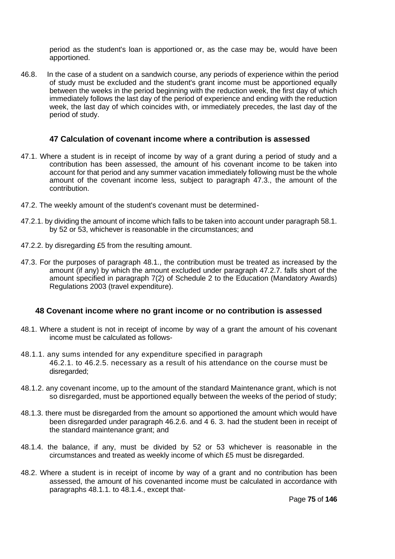period as the student's loan is apportioned or, as the case may be, would have been apportioned.

46.8. In the case of a student on a sandwich course, any periods of experience within the period of study must be excluded and the student's grant income must be apportioned equally between the weeks in the period beginning with the reduction week, the first day of which immediately follows the last day of the period of experience and ending with the reduction week, the last day of which coincides with, or immediately precedes, the last day of the period of study.

#### **47 Calculation of covenant income where a contribution is assessed**

- 47.1. Where a student is in receipt of income by way of a grant during a period of study and a contribution has been assessed, the amount of his covenant income to be taken into account for that period and any summer vacation immediately following must be the whole amount of the covenant income less, subject to paragraph 47.3., the amount of the contribution.
- 47.2. The weekly amount of the student's covenant must be determined-
- 47.2.1. by dividing the amount of income which falls to be taken into account under paragraph 58.1. by 52 or 53, whichever is reasonable in the circumstances; and
- 47.2.2. by disregarding £5 from the resulting amount.
- 47.3. For the purposes of paragraph 48.1., the contribution must be treated as increased by the amount (if any) by which the amount excluded under paragraph 47.2.7. falls short of the amount specified in paragraph 7(2) of Schedule 2 to the Education (Mandatory Awards) Regulations 2003 (travel expenditure).

#### **48 Covenant income where no grant income or no contribution is assessed**

- 48.1. Where a student is not in receipt of income by way of a grant the amount of his covenant income must be calculated as follows-
- 48.1.1. any sums intended for any expenditure specified in paragraph 46.2.1. to 46.2.5. necessary as a result of his attendance on the course must be disregarded;
- 48.1.2. any covenant income, up to the amount of the standard Maintenance grant, which is not so disregarded, must be apportioned equally between the weeks of the period of study;
- 48.1.3. there must be disregarded from the amount so apportioned the amount which would have been disregarded under paragraph 46.2.6. and 4 6. 3. had the student been in receipt of the standard maintenance grant; and
- 48.1.4. the balance, if any, must be divided by 52 or 53 whichever is reasonable in the circumstances and treated as weekly income of which £5 must be disregarded.
- 48.2. Where a student is in receipt of income by way of a grant and no contribution has been assessed, the amount of his covenanted income must be calculated in accordance with paragraphs 48.1.1. to 48.1.4., except that-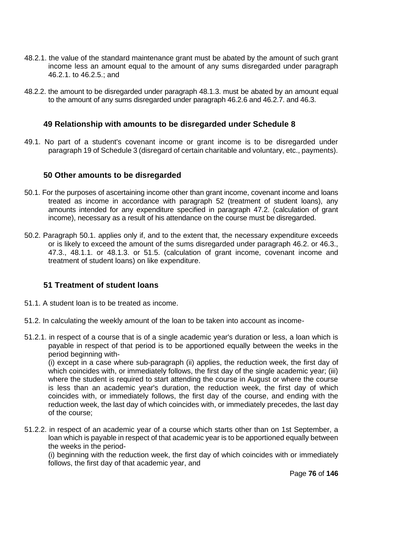- 48.2.1. the value of the standard maintenance grant must be abated by the amount of such grant income less an amount equal to the amount of any sums disregarded under paragraph 46.2.1. to 46.2.5.; and
- 48.2.2. the amount to be disregarded under paragraph 48.1.3. must be abated by an amount equal to the amount of any sums disregarded under paragraph 46.2.6 and 46.2.7. and 46.3.

#### **49 Relationship with amounts to be disregarded under Schedule 8**

49.1. No part of a student's covenant income or grant income is to be disregarded under paragraph 19 of Schedule 3 (disregard of certain charitable and voluntary, etc., payments).

#### **50 Other amounts to be disregarded**

- 50.1. For the purposes of ascertaining income other than grant income, covenant income and loans treated as income in accordance with paragraph 52 (treatment of student loans), any amounts intended for any expenditure specified in paragraph 47.2. (calculation of grant income), necessary as a result of his attendance on the course must be disregarded.
- 50.2. Paragraph 50.1. applies only if, and to the extent that, the necessary expenditure exceeds or is likely to exceed the amount of the sums disregarded under paragraph 46.2. or 46.3., 47.3., 48.1.1. or 48.1.3. or 51.5. (calculation of grant income, covenant income and treatment of student loans) on like expenditure.

#### **51 Treatment of student loans**

- 51.1. A student loan is to be treated as income.
- 51.2. In calculating the weekly amount of the loan to be taken into account as income-
- 51.2.1. in respect of a course that is of a single academic year's duration or less, a loan which is payable in respect of that period is to be apportioned equally between the weeks in the period beginning with-

(i) except in a case where sub-paragraph (ii) applies, the reduction week, the first day of which coincides with, or immediately follows, the first day of the single academic year; (iii) where the student is required to start attending the course in August or where the course is less than an academic year's duration, the reduction week, the first day of which coincides with, or immediately follows, the first day of the course, and ending with the reduction week, the last day of which coincides with, or immediately precedes, the last day of the course;

51.2.2. in respect of an academic year of a course which starts other than on 1st September, a loan which is payable in respect of that academic year is to be apportioned equally between the weeks in the period-

(i) beginning with the reduction week, the first day of which coincides with or immediately follows, the first day of that academic year, and

Page **76** of **146**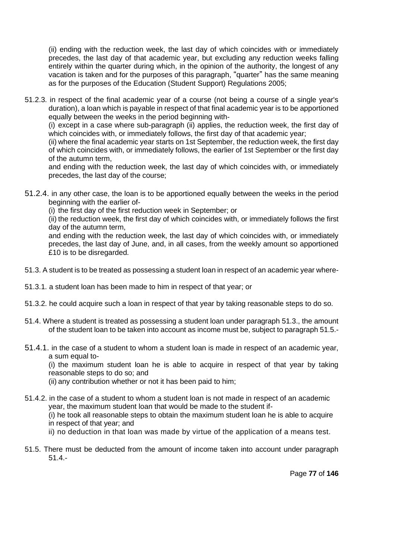(ii) ending with the reduction week, the last day of which coincides with or immediately precedes, the last day of that academic year, but excluding any reduction weeks falling entirely within the quarter during which, in the opinion of the authority, the longest of any vacation is taken and for the purposes of this paragraph, "quarter" has the same meaning as for the purposes of the Education (Student Support) Regulations 2005;

51.2.3. in respect of the final academic year of a course (not being a course of a single year's duration), a loan which is payable in respect of that final academic year is to be apportioned equally between the weeks in the period beginning with-

(i) except in a case where sub-paragraph (ii) applies, the reduction week, the first day of which coincides with, or immediately follows, the first day of that academic year;

(ii) where the final academic year starts on 1st September, the reduction week, the first day of which coincides with, or immediately follows, the earlier of 1st September or the first day of the autumn term,

and ending with the reduction week, the last day of which coincides with, or immediately precedes, the last day of the course;

51.2.4. in any other case, the loan is to be apportioned equally between the weeks in the period beginning with the earlier of-

(i) the first day of the first reduction week in September; or

(ii) the reduction week, the first day of which coincides with, or immediately follows the first day of the autumn term,

and ending with the reduction week, the last day of which coincides with, or immediately precedes, the last day of June, and, in all cases, from the weekly amount so apportioned £10 is to be disregarded.

- 51.3. A student is to be treated as possessing a student loan in respect of an academic year where-
- 51.3.1. a student loan has been made to him in respect of that year; or
- 51.3.2. he could acquire such a loan in respect of that year by taking reasonable steps to do so.
- 51.4. Where a student is treated as possessing a student loan under paragraph 51.3., the amount of the student loan to be taken into account as income must be, subject to paragraph 51.5.-
- 51.4.1. in the case of a student to whom a student loan is made in respect of an academic year, a sum equal to-

(i) the maximum student loan he is able to acquire in respect of that year by taking reasonable steps to do so; and

(ii) any contribution whether or not it has been paid to him;

51.4.2. in the case of a student to whom a student loan is not made in respect of an academic year, the maximum student loan that would be made to the student if-

(i) he took all reasonable steps to obtain the maximum student loan he is able to acquire in respect of that year; and

- ii) no deduction in that loan was made by virtue of the application of a means test.
- 51.5. There must be deducted from the amount of income taken into account under paragraph 51.4.-

Page **77** of **146**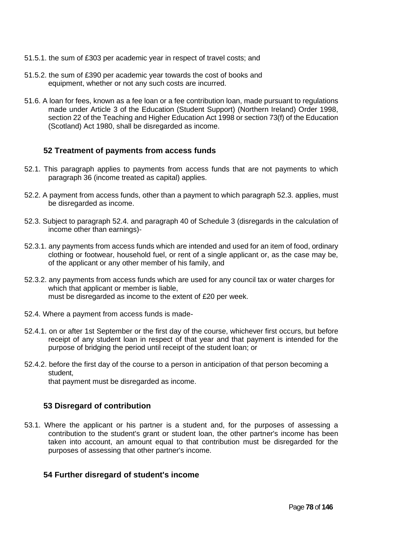- 51.5.1. the sum of £303 per academic year in respect of travel costs; and
- 51.5.2. the sum of £390 per academic year towards the cost of books and equipment, whether or not any such costs are incurred.
- 51.6. A loan for fees, known as a fee loan or a fee contribution loan, made pursuant to regulations made under Article 3 of the Education (Student Support) (Northern Ireland) Order 1998, section 22 of the Teaching and Higher Education Act 1998 or section 73(f) of the Education (Scotland) Act 1980, shall be disregarded as income.

#### **52 Treatment of payments from access funds**

- 52.1. This paragraph applies to payments from access funds that are not payments to which paragraph 36 (income treated as capital) applies.
- 52.2. A payment from access funds, other than a payment to which paragraph 52.3. applies, must be disregarded as income.
- 52.3. Subject to paragraph 52.4. and paragraph 40 of Schedule 3 (disregards in the calculation of income other than earnings)-
- 52.3.1. any payments from access funds which are intended and used for an item of food, ordinary clothing or footwear, household fuel, or rent of a single applicant or, as the case may be, of the applicant or any other member of his family, and
- 52.3.2. any payments from access funds which are used for any council tax or water charges for which that applicant or member is liable, must be disregarded as income to the extent of £20 per week.
- 52.4. Where a payment from access funds is made-
- 52.4.1. on or after 1st September or the first day of the course, whichever first occurs, but before receipt of any student loan in respect of that year and that payment is intended for the purpose of bridging the period until receipt of the student loan; or
- 52.4.2. before the first day of the course to a person in anticipation of that person becoming a student, that payment must be disregarded as income.

### **53 Disregard of contribution**

53.1. Where the applicant or his partner is a student and, for the purposes of assessing a contribution to the student's grant or student loan, the other partner's income has been taken into account, an amount equal to that contribution must be disregarded for the purposes of assessing that other partner's income.

#### **54 Further disregard of student's income**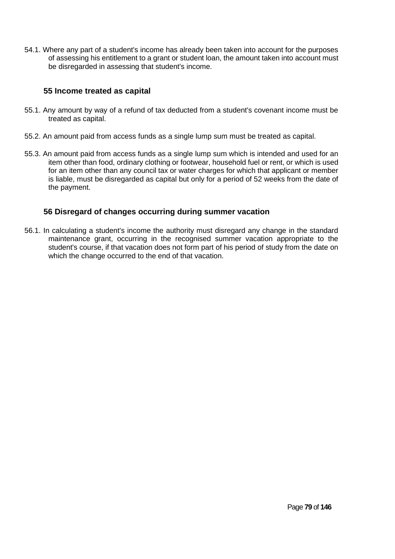54.1. Where any part of a student's income has already been taken into account for the purposes of assessing his entitlement to a grant or student loan, the amount taken into account must be disregarded in assessing that student's income.

## **55 Income treated as capital**

- 55.1. Any amount by way of a refund of tax deducted from a student's covenant income must be treated as capital.
- 55.2. An amount paid from access funds as a single lump sum must be treated as capital.
- 55.3. An amount paid from access funds as a single lump sum which is intended and used for an item other than food, ordinary clothing or footwear, household fuel or rent, or which is used for an item other than any council tax or water charges for which that applicant or member is liable, must be disregarded as capital but only for a period of 52 weeks from the date of the payment.

# **56 Disregard of changes occurring during summer vacation**

56.1. In calculating a student's income the authority must disregard any change in the standard maintenance grant, occurring in the recognised summer vacation appropriate to the student's course, if that vacation does not form part of his period of study from the date on which the change occurred to the end of that vacation.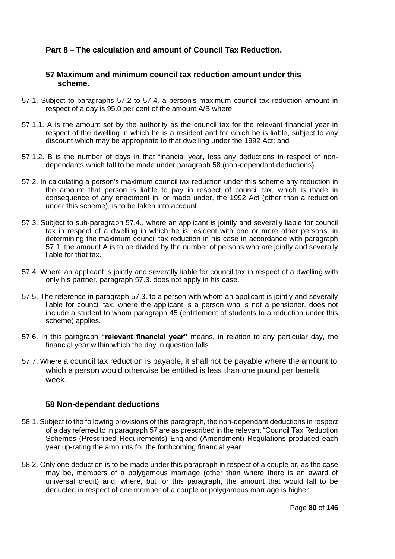## **Part 8 – The calculation and amount of Council Tax Reduction.**

#### **57 Maximum and minimum council tax reduction amount under this scheme.**

- 57.1. Subject to paragraphs 57.2 to 57.4, a person's maximum council tax reduction amount in respect of a day is 95.0 per cent of the amount A/B where:
- 57.1.1. A is the amount set by the authority as the council tax for the relevant financial year in respect of the dwelling in which he is a resident and for which he is liable, subject to any discount which may be appropriate to that dwelling under the 1992 Act; and
- 57.1.2. B is the number of days in that financial year, less any deductions in respect of nondependants which fall to be made under paragraph 58 (non-dependant deductions).
- 57.2. In calculating a person's maximum council tax reduction under this scheme any reduction in the amount that person is liable to pay in respect of council tax, which is made in consequence of any enactment in, or made under, the 1992 Act (other than a reduction under this scheme), is to be taken into account.
- 57.3. Subject to sub-paragraph 57.4., where an applicant is jointly and severally liable for council tax in respect of a dwelling in which he is resident with one or more other persons, in determining the maximum council tax reduction in his case in accordance with paragraph 57.1, the amount A is to be divided by the number of persons who are jointly and severally liable for that tax.
- 57.4. Where an applicant is jointly and severally liable for council tax in respect of a dwelling with only his partner, paragraph 57.3. does not apply in his case.
- 57.5. The reference in paragraph 57.3. to a person with whom an applicant is jointly and severally liable for council tax, where the applicant is a person who is not a pensioner, does not include a student to whom paragraph 45 (entitlement of students to a reduction under this scheme) applies.
- 57.6. In this paragraph **"relevant financial year"** means, in relation to any particular day, the financial year within which the day in question falls.
- 57.7. Where a council tax reduction is payable, it shall not be payable where the amount to which a person would otherwise be entitled is less than one pound per benefit week.

#### **58 Non-dependant deductions**

- 58.1. Subject to the following provisions of this paragraph, the non-dependant deductions in respect of a day referred to in paragraph 57 are as prescribed in the relevant "Council Tax Reduction Schemes (Prescribed Requirements) England (Amendment) Regulations produced each year up-rating the amounts for the forthcoming financial year
- 58.2. Only one deduction is to be made under this paragraph in respect of a couple or, as the case may be, members of a polygamous marriage (other than where there is an award of universal credit) and, where, but for this paragraph, the amount that would fall to be deducted in respect of one member of a couple or polygamous marriage is higher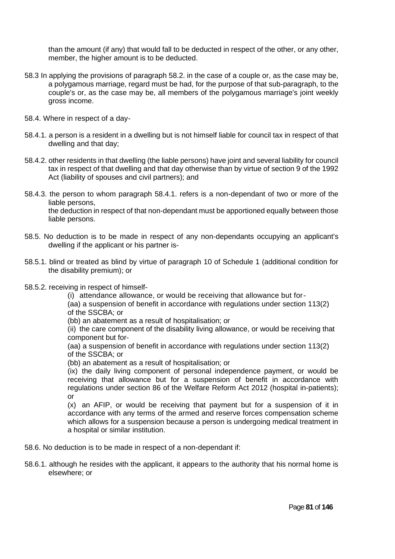than the amount (if any) that would fall to be deducted in respect of the other, or any other, member, the higher amount is to be deducted.

- 58.3 In applying the provisions of paragraph 58.2. in the case of a couple or, as the case may be, a polygamous marriage, regard must be had, for the purpose of that sub-paragraph, to the couple's or, as the case may be, all members of the polygamous marriage's joint weekly gross income.
- 58.4. Where in respect of a day-
- 58.4.1. a person is a resident in a dwelling but is not himself liable for council tax in respect of that dwelling and that day;
- 58.4.2. other residents in that dwelling (the liable persons) have joint and several liability for council tax in respect of that dwelling and that day otherwise than by virtue of section 9 of the 1992 Act (liability of spouses and civil partners); and
- 58.4.3. the person to whom paragraph 58.4.1. refers is a non-dependant of two or more of the liable persons, the deduction in respect of that non-dependant must be apportioned equally between those liable persons.
- 58.5. No deduction is to be made in respect of any non-dependants occupying an applicant's dwelling if the applicant or his partner is-
- 58.5.1. blind or treated as blind by virtue of paragraph 10 of Schedule 1 (additional condition for the disability premium); or
- 58.5.2. receiving in respect of himself-
	- (i) attendance allowance, or would be receiving that allowance but for-
	- (aa) a suspension of benefit in accordance with regulations under section 113(2) of the SSCBA; or

(bb) an abatement as a result of hospitalisation; or

(ii) the care component of the disability living allowance, or would be receiving that component but for-

(aa) a suspension of benefit in accordance with regulations under section 113(2) of the SSCBA; or

(bb) an abatement as a result of hospitalisation; or

(ix) the daily living component of personal independence payment, or would be receiving that allowance but for a suspension of benefit in accordance with regulations under section 86 of the Welfare Reform Act 2012 (hospital in-patients); or

(x) an AFIP, or would be receiving that payment but for a suspension of it in accordance with any terms of the armed and reserve forces compensation scheme which allows for a suspension because a person is undergoing medical treatment in a hospital or similar institution.

- 58.6. No deduction is to be made in respect of a non-dependant if:
- 58.6.1. although he resides with the applicant, it appears to the authority that his normal home is elsewhere; or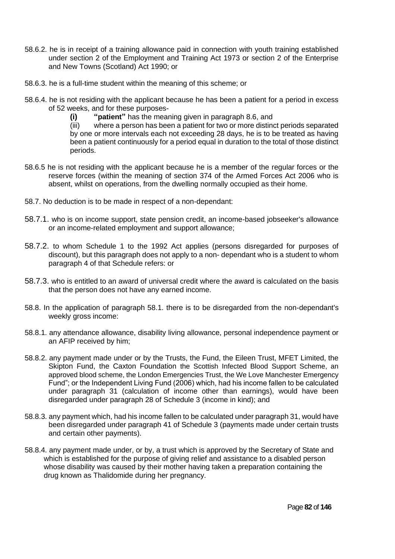- 58.6.2. he is in receipt of a training allowance paid in connection with youth training established under section 2 of the Employment and Training Act 1973 or section 2 of the Enterprise and New Towns (Scotland) Act 1990; or
- 58.6.3. he is a full-time student within the meaning of this scheme; or
- 58.6.4. he is not residing with the applicant because he has been a patient for a period in excess of 52 weeks, and for these purposes-
	- **(i) "patient"** has the meaning given in paragraph 8.6, and

(iii) where a person has been a patient for two or more distinct periods separated by one or more intervals each not exceeding 28 days, he is to be treated as having been a patient continuously for a period equal in duration to the total of those distinct periods.

- 58.6.5 he is not residing with the applicant because he is a member of the regular forces or the reserve forces (within the meaning of section 374 of the Armed Forces Act 2006 who is absent, whilst on operations, from the dwelling normally occupied as their home.
- 58.7. No deduction is to be made in respect of a non-dependant:
- 58.7.1. who is on income support, state pension credit, an income-based jobseeker's allowance or an income-related employment and support allowance;
- 58.7.2. to whom Schedule 1 to the 1992 Act applies (persons disregarded for purposes of discount), but this paragraph does not apply to a non- dependant who is a student to whom paragraph 4 of that Schedule refers: or
- 58.7.3. who is entitled to an award of universal credit where the award is calculated on the basis that the person does not have any earned income.
- 58.8. In the application of paragraph 58.1. there is to be disregarded from the non-dependant's weekly gross income:
- 58.8.1. any attendance allowance, disability living allowance, personal independence payment or an AFIP received by him;
- 58.8.2. any payment made under or by the Trusts, the Fund, the Eileen Trust, MFET Limited, the Skipton Fund, the Caxton Foundation the Scottish Infected Blood Support Scheme, an approved blood scheme, the London Emergencies Trust, the We Love Manchester Emergency Fund"; or the Independent Living Fund (2006) which, had his income fallen to be calculated under paragraph 31 (calculation of income other than earnings), would have been disregarded under paragraph 28 of Schedule 3 (income in kind); and
- 58.8.3. any payment which, had his income fallen to be calculated under paragraph 31, would have been disregarded under paragraph 41 of Schedule 3 (payments made under certain trusts and certain other payments).
- 58.8.4. any payment made under, or by, a trust which is approved by the Secretary of State and which is established for the purpose of giving relief and assistance to a disabled person whose disability was caused by their mother having taken a preparation containing the drug known as Thalidomide during her pregnancy.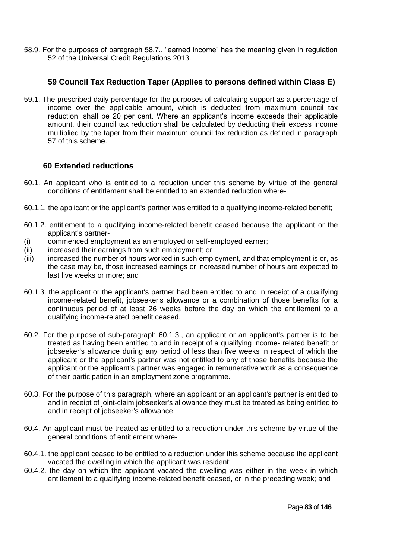58.9. For the purposes of paragraph 58.7., "earned income" has the meaning given in regulation 52 of the Universal Credit Regulations 2013.

## **59 Council Tax Reduction Taper (Applies to persons defined within Class E)**

59.1. The prescribed daily percentage for the purposes of calculating support as a percentage of income over the applicable amount, which is deducted from maximum council tax reduction, shall be 20 per cent. Where an applicant's income exceeds their applicable amount, their council tax reduction shall be calculated by deducting their excess income multiplied by the taper from their maximum council tax reduction as defined in paragraph 57 of this scheme.

## **60 Extended reductions**

- 60.1. An applicant who is entitled to a reduction under this scheme by virtue of the general conditions of entitlement shall be entitled to an extended reduction where-
- 60.1.1. the applicant or the applicant's partner was entitled to a qualifying income-related benefit;
- 60.1.2. entitlement to a qualifying income-related benefit ceased because the applicant or the applicant's partner-
- (i) commenced employment as an employed or self-employed earner;
- (ii) increased their earnings from such employment; or
- (iii) increased the number of hours worked in such employment, and that employment is or, as the case may be, those increased earnings or increased number of hours are expected to last five weeks or more; and
- 60.1.3. the applicant or the applicant's partner had been entitled to and in receipt of a qualifying income-related benefit, jobseeker's allowance or a combination of those benefits for a continuous period of at least 26 weeks before the day on which the entitlement to a qualifying income-related benefit ceased.
- 60.2. For the purpose of sub-paragraph 60.1.3., an applicant or an applicant's partner is to be treated as having been entitled to and in receipt of a qualifying income- related benefit or jobseeker's allowance during any period of less than five weeks in respect of which the applicant or the applicant's partner was not entitled to any of those benefits because the applicant or the applicant's partner was engaged in remunerative work as a consequence of their participation in an employment zone programme.
- 60.3. For the purpose of this paragraph, where an applicant or an applicant's partner is entitled to and in receipt of joint-claim jobseeker's allowance they must be treated as being entitled to and in receipt of jobseeker's allowance.
- 60.4. An applicant must be treated as entitled to a reduction under this scheme by virtue of the general conditions of entitlement where-
- 60.4.1. the applicant ceased to be entitled to a reduction under this scheme because the applicant vacated the dwelling in which the applicant was resident;
- 60.4.2. the day on which the applicant vacated the dwelling was either in the week in which entitlement to a qualifying income-related benefit ceased, or in the preceding week; and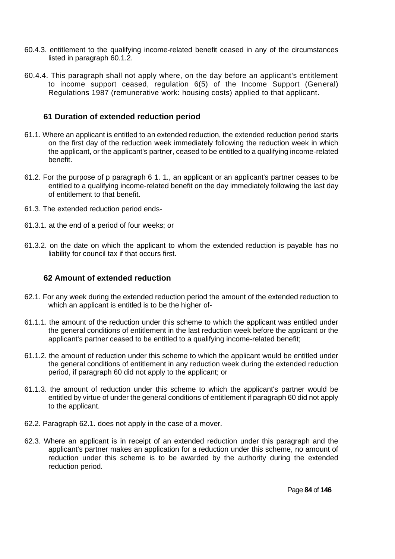- 60.4.3. entitlement to the qualifying income-related benefit ceased in any of the circumstances listed in paragraph 60.1.2.
- 60.4.4. This paragraph shall not apply where, on the day before an applicant's entitlement to income support ceased, regulation 6(5) of the Income Support (General) Regulations 1987 (remunerative work: housing costs) applied to that applicant.

#### **61 Duration of extended reduction period**

- 61.1. Where an applicant is entitled to an extended reduction, the extended reduction period starts on the first day of the reduction week immediately following the reduction week in which the applicant, or the applicant's partner, ceased to be entitled to a qualifying income-related benefit.
- 61.2. For the purpose of p paragraph 6 1. 1., an applicant or an applicant's partner ceases to be entitled to a qualifying income-related benefit on the day immediately following the last day of entitlement to that benefit.
- 61.3. The extended reduction period ends-
- 61.3.1. at the end of a period of four weeks; or
- 61.3.2. on the date on which the applicant to whom the extended reduction is payable has no liability for council tax if that occurs first.

#### **62 Amount of extended reduction**

- 62.1. For any week during the extended reduction period the amount of the extended reduction to which an applicant is entitled is to be the higher of-
- 61.1.1. the amount of the reduction under this scheme to which the applicant was entitled under the general conditions of entitlement in the last reduction week before the applicant or the applicant's partner ceased to be entitled to a qualifying income-related benefit;
- 61.1.2. the amount of reduction under this scheme to which the applicant would be entitled under the general conditions of entitlement in any reduction week during the extended reduction period, if paragraph 60 did not apply to the applicant; or
- 61.1.3. the amount of reduction under this scheme to which the applicant's partner would be entitled by virtue of under the general conditions of entitlement if paragraph 60 did not apply to the applicant.
- 62.2. Paragraph 62.1. does not apply in the case of a mover.
- 62.3. Where an applicant is in receipt of an extended reduction under this paragraph and the applicant's partner makes an application for a reduction under this scheme, no amount of reduction under this scheme is to be awarded by the authority during the extended reduction period.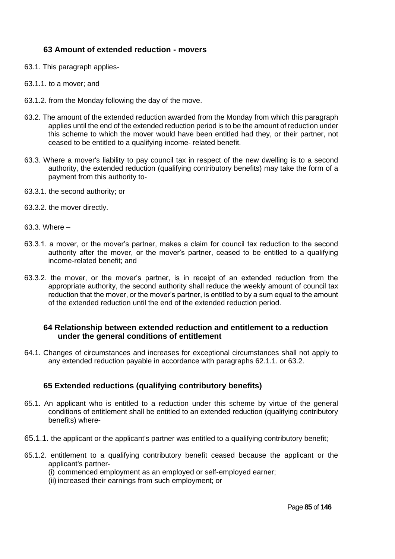## **63 Amount of extended reduction - movers**

- 63.1. This paragraph applies-
- 63.1.1. to a mover; and
- 63.1.2. from the Monday following the day of the move.
- 63.2. The amount of the extended reduction awarded from the Monday from which this paragraph applies until the end of the extended reduction period is to be the amount of reduction under this scheme to which the mover would have been entitled had they, or their partner, not ceased to be entitled to a qualifying income- related benefit.
- 63.3. Where a mover's liability to pay council tax in respect of the new dwelling is to a second authority, the extended reduction (qualifying contributory benefits) may take the form of a payment from this authority to-
- 63.3.1. the second authority; or
- 63.3.2. the mover directly.
- 63.3. Where –
- 63.3.1. a mover, or the mover's partner, makes a claim for council tax reduction to the second authority after the mover, or the mover's partner, ceased to be entitled to a qualifying income-related benefit; and
- 63.3.2. the mover, or the mover's partner, is in receipt of an extended reduction from the appropriate authority, the second authority shall reduce the weekly amount of council tax reduction that the mover, or the mover's partner, is entitled to by a sum equal to the amount of the extended reduction until the end of the extended reduction period.

#### **64 Relationship between extended reduction and entitlement to a reduction under the general conditions of entitlement**

64.1. Changes of circumstances and increases for exceptional circumstances shall not apply to any extended reduction payable in accordance with paragraphs 62.1.1. or 63.2.

### **65 Extended reductions (qualifying contributory benefits)**

- 65.1. An applicant who is entitled to a reduction under this scheme by virtue of the general conditions of entitlement shall be entitled to an extended reduction (qualifying contributory benefits) where-
- 65.1.1. the applicant or the applicant's partner was entitled to a qualifying contributory benefit;
- 65.1.2. entitlement to a qualifying contributory benefit ceased because the applicant or the applicant's partner-
	- (i) commenced employment as an employed or self-employed earner;
	- (ii) increased their earnings from such employment; or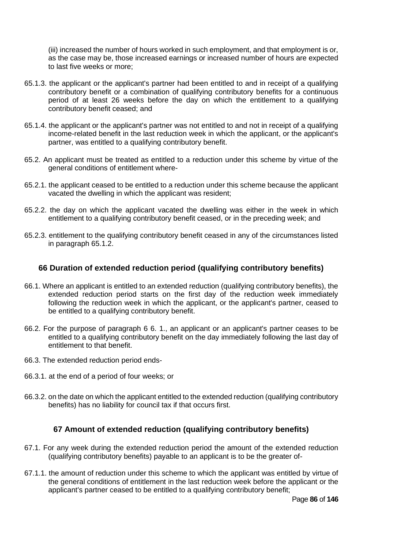(iii) increased the number of hours worked in such employment, and that employment is or, as the case may be, those increased earnings or increased number of hours are expected to last five weeks or more;

- 65.1.3. the applicant or the applicant's partner had been entitled to and in receipt of a qualifying contributory benefit or a combination of qualifying contributory benefits for a continuous period of at least 26 weeks before the day on which the entitlement to a qualifying contributory benefit ceased; and
- 65.1.4. the applicant or the applicant's partner was not entitled to and not in receipt of a qualifying income-related benefit in the last reduction week in which the applicant, or the applicant's partner, was entitled to a qualifying contributory benefit.
- 65.2. An applicant must be treated as entitled to a reduction under this scheme by virtue of the general conditions of entitlement where-
- 65.2.1. the applicant ceased to be entitled to a reduction under this scheme because the applicant vacated the dwelling in which the applicant was resident;
- 65.2.2. the day on which the applicant vacated the dwelling was either in the week in which entitlement to a qualifying contributory benefit ceased, or in the preceding week; and
- 65.2.3. entitlement to the qualifying contributory benefit ceased in any of the circumstances listed in paragraph 65.1.2.

#### **66 Duration of extended reduction period (qualifying contributory benefits)**

- 66.1. Where an applicant is entitled to an extended reduction (qualifying contributory benefits), the extended reduction period starts on the first day of the reduction week immediately following the reduction week in which the applicant, or the applicant's partner, ceased to be entitled to a qualifying contributory benefit.
- 66.2. For the purpose of paragraph 6 6. 1., an applicant or an applicant's partner ceases to be entitled to a qualifying contributory benefit on the day immediately following the last day of entitlement to that benefit.
- 66.3. The extended reduction period ends-
- 66.3.1. at the end of a period of four weeks; or
- 66.3.2. on the date on which the applicant entitled to the extended reduction (qualifying contributory benefits) has no liability for council tax if that occurs first.

### **67 Amount of extended reduction (qualifying contributory benefits)**

- 67.1. For any week during the extended reduction period the amount of the extended reduction (qualifying contributory benefits) payable to an applicant is to be the greater of-
- 67.1.1. the amount of reduction under this scheme to which the applicant was entitled by virtue of the general conditions of entitlement in the last reduction week before the applicant or the applicant's partner ceased to be entitled to a qualifying contributory benefit;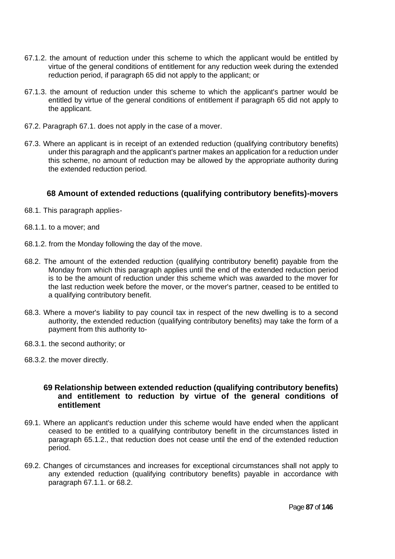- 67.1.2. the amount of reduction under this scheme to which the applicant would be entitled by virtue of the general conditions of entitlement for any reduction week during the extended reduction period, if paragraph 65 did not apply to the applicant; or
- 67.1.3. the amount of reduction under this scheme to which the applicant's partner would be entitled by virtue of the general conditions of entitlement if paragraph 65 did not apply to the applicant.
- 67.2. Paragraph 67.1. does not apply in the case of a mover.
- 67.3. Where an applicant is in receipt of an extended reduction (qualifying contributory benefits) under this paragraph and the applicant's partner makes an application for a reduction under this scheme, no amount of reduction may be allowed by the appropriate authority during the extended reduction period.

#### **68 Amount of extended reductions (qualifying contributory benefits)-movers**

- 68.1. This paragraph applies-
- 68.1.1. to a mover; and
- 68.1.2. from the Monday following the day of the move.
- 68.2. The amount of the extended reduction (qualifying contributory benefit) payable from the Monday from which this paragraph applies until the end of the extended reduction period is to be the amount of reduction under this scheme which was awarded to the mover for the last reduction week before the mover, or the mover's partner, ceased to be entitled to a qualifying contributory benefit.
- 68.3. Where a mover's liability to pay council tax in respect of the new dwelling is to a second authority, the extended reduction (qualifying contributory benefits) may take the form of a payment from this authority to-
- 68.3.1. the second authority; or
- 68.3.2. the mover directly.

#### **69 Relationship between extended reduction (qualifying contributory benefits) and entitlement to reduction by virtue of the general conditions of entitlement**

- 69.1. Where an applicant's reduction under this scheme would have ended when the applicant ceased to be entitled to a qualifying contributory benefit in the circumstances listed in paragraph 65.1.2., that reduction does not cease until the end of the extended reduction period.
- 69.2. Changes of circumstances and increases for exceptional circumstances shall not apply to any extended reduction (qualifying contributory benefits) payable in accordance with paragraph 67.1.1. or 68.2.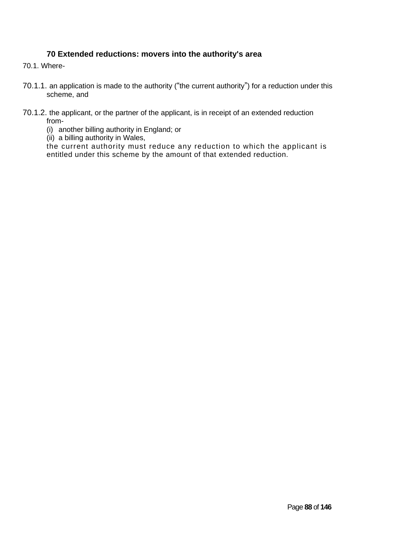# **70 Extended reductions: movers into the authority's area**

70.1. Where-

- 70.1.1. an application is made to the authority ("the current authority") for a reduction under this scheme, and
- 70.1.2. the applicant, or the partner of the applicant, is in receipt of an extended reduction from-

(i) another billing authority in England; or

(ii) a billing authority in Wales,

the current authority must reduce any reduction to which the applicant is entitled under this scheme by the amount of that extended reduction.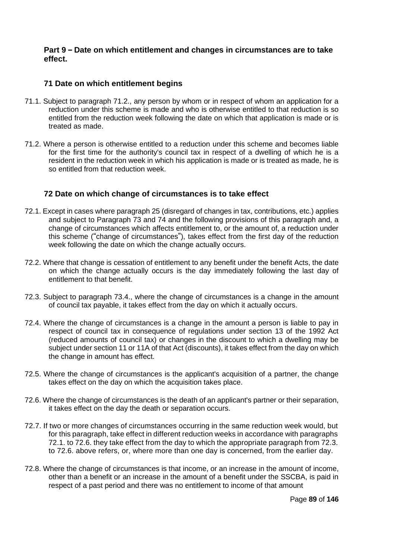#### **Part 9 – Date on which entitlement and changes in circumstances are to take effect.**

#### **71 Date on which entitlement begins**

- 71.1. Subject to paragraph 71.2., any person by whom or in respect of whom an application for a reduction under this scheme is made and who is otherwise entitled to that reduction is so entitled from the reduction week following the date on which that application is made or is treated as made.
- 71.2. Where a person is otherwise entitled to a reduction under this scheme and becomes liable for the first time for the authority's council tax in respect of a dwelling of which he is a resident in the reduction week in which his application is made or is treated as made, he is so entitled from that reduction week.

### **72 Date on which change of circumstances is to take effect**

- 72.1. Except in cases where paragraph 25 (disregard of changes in tax, contributions, etc.) applies and subject to Paragraph 73 and 74 and the following provisions of this paragraph and, a change of circumstances which affects entitlement to, or the amount of, a reduction under this scheme ("change of circumstances"), takes effect from the first day of the reduction week following the date on which the change actually occurs.
- 72.2. Where that change is cessation of entitlement to any benefit under the benefit Acts, the date on which the change actually occurs is the day immediately following the last day of entitlement to that benefit.
- 72.3. Subject to paragraph 73.4., where the change of circumstances is a change in the amount of council tax payable, it takes effect from the day on which it actually occurs.
- 72.4. Where the change of circumstances is a change in the amount a person is liable to pay in respect of council tax in consequence of regulations under section 13 of the 1992 Act (reduced amounts of council tax) or changes in the discount to which a dwelling may be subject under section 11 or 11A of that Act (discounts), it takes effect from the day on which the change in amount has effect.
- 72.5. Where the change of circumstances is the applicant's acquisition of a partner, the change takes effect on the day on which the acquisition takes place.
- 72.6. Where the change of circumstances is the death of an applicant's partner or their separation, it takes effect on the day the death or separation occurs.
- 72.7. If two or more changes of circumstances occurring in the same reduction week would, but for this paragraph, take effect in different reduction weeks in accordance with paragraphs 72.1. to 72.6. they take effect from the day to which the appropriate paragraph from 72.3. to 72.6. above refers, or, where more than one day is concerned, from the earlier day.
- 72.8. Where the change of circumstances is that income, or an increase in the amount of income, other than a benefit or an increase in the amount of a benefit under the SSCBA, is paid in respect of a past period and there was no entitlement to income of that amount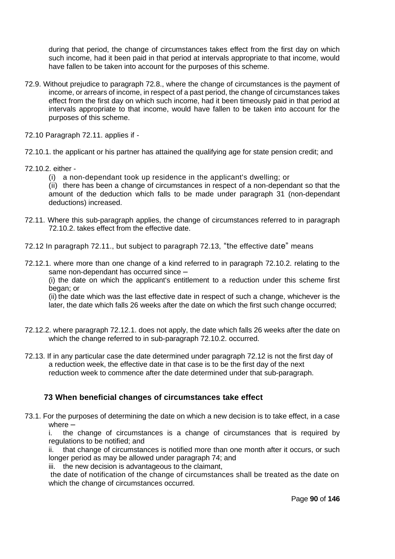during that period, the change of circumstances takes effect from the first day on which such income, had it been paid in that period at intervals appropriate to that income, would have fallen to be taken into account for the purposes of this scheme.

- 72.9. Without prejudice to paragraph 72.8., where the change of circumstances is the payment of income, or arrears of income, in respect of a past period, the change of circumstances takes effect from the first day on which such income, had it been timeously paid in that period at intervals appropriate to that income, would have fallen to be taken into account for the purposes of this scheme.
- 72.10 Paragraph 72.11. applies if -

72.10.1. the applicant or his partner has attained the qualifying age for state pension credit; and

- 72.10.2. either
	- (i) a non-dependant took up residence in the applicant's dwelling; or

(ii) there has been a change of circumstances in respect of a non-dependant so that the amount of the deduction which falls to be made under paragraph 31 (non-dependant deductions) increased.

- 72.11. Where this sub-paragraph applies, the change of circumstances referred to in paragraph 72.10.2. takes effect from the effective date.
- 72.12 In paragraph 72.11., but subject to paragraph 72.13, "the effective date" means
- 72.12.1. where more than one change of a kind referred to in paragraph 72.10.2. relating to the same non-dependant has occurred since –

(i) the date on which the applicant's entitlement to a reduction under this scheme first began; or

(ii) the date which was the last effective date in respect of such a change, whichever is the later, the date which falls 26 weeks after the date on which the first such change occurred;

- 72.12.2. where paragraph 72.12.1. does not apply, the date which falls 26 weeks after the date on which the change referred to in sub-paragraph 72.10.2. occurred.
- 72.13. If in any particular case the date determined under paragraph 72.12 is not the first day of a reduction week, the effective date in that case is to be the first day of the next reduction week to commence after the date determined under that sub-paragraph.

### **73 When beneficial changes of circumstances take effect**

73.1. For the purposes of determining the date on which a new decision is to take effect, in a case where –

i. the change of circumstances is a change of circumstances that is required by regulations to be notified; and

ii. that change of circumstances is notified more than one month after it occurs, or such longer period as may be allowed under paragraph 74; and

iii. the new decision is advantageous to the claimant,

the date of notification of the change of circumstances shall be treated as the date on which the change of circumstances occurred.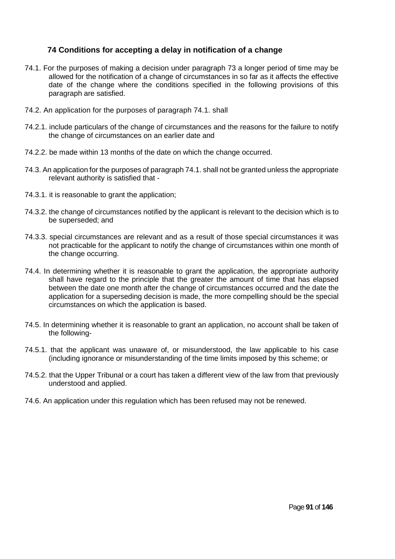## **74 Conditions for accepting a delay in notification of a change**

- 74.1. For the purposes of making a decision under paragraph 73 a longer period of time may be allowed for the notification of a change of circumstances in so far as it affects the effective date of the change where the conditions specified in the following provisions of this paragraph are satisfied.
- 74.2. An application for the purposes of paragraph 74.1. shall
- 74.2.1. include particulars of the change of circumstances and the reasons for the failure to notify the change of circumstances on an earlier date and
- 74.2.2. be made within 13 months of the date on which the change occurred.
- 74.3. An application for the purposes of paragraph 74.1. shall not be granted unless the appropriate relevant authority is satisfied that -
- 74.3.1. it is reasonable to grant the application;
- 74.3.2. the change of circumstances notified by the applicant is relevant to the decision which is to be superseded; and
- 74.3.3. special circumstances are relevant and as a result of those special circumstances it was not practicable for the applicant to notify the change of circumstances within one month of the change occurring.
- 74.4. In determining whether it is reasonable to grant the application, the appropriate authority shall have regard to the principle that the greater the amount of time that has elapsed between the date one month after the change of circumstances occurred and the date the application for a superseding decision is made, the more compelling should be the special circumstances on which the application is based.
- 74.5. In determining whether it is reasonable to grant an application, no account shall be taken of the following-
- 74.5.1. that the applicant was unaware of, or misunderstood, the law applicable to his case (including ignorance or misunderstanding of the time limits imposed by this scheme; or
- 74.5.2. that the Upper Tribunal or a court has taken a different view of the law from that previously understood and applied.
- 74.6. An application under this regulation which has been refused may not be renewed.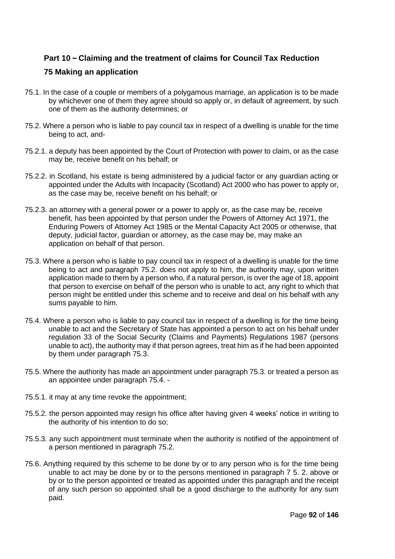## **Part 10 – Claiming and the treatment of claims for Council Tax Reduction**

#### **75 Making an application**

- 75.1. In the case of a couple or members of a polygamous marriage, an application is to be made by whichever one of them they agree should so apply or, in default of agreement, by such one of them as the authority determines; or
- 75.2. Where a person who is liable to pay council tax in respect of a dwelling is unable for the time being to act, and-
- 75.2.1. a deputy has been appointed by the Court of Protection with power to claim, or as the case may be, receive benefit on his behalf; or
- 75.2.2. in Scotland, his estate is being administered by a judicial factor or any guardian acting or appointed under the Adults with Incapacity (Scotland) Act 2000 who has power to apply or, as the case may be, receive benefit on his behalf; or
- 75.2.3. an attorney with a general power or a power to apply or, as the case may be, receive benefit, has been appointed by that person under the Powers of Attorney Act 1971, the Enduring Powers of Attorney Act 1985 or the Mental Capacity Act 2005 or otherwise, that deputy, judicial factor, guardian or attorney, as the case may be, may make an application on behalf of that person.
- 75.3. Where a person who is liable to pay council tax in respect of a dwelling is unable for the time being to act and paragraph 75.2. does not apply to him, the authority may, upon written application made to them by a person who, if a natural person, is over the age of 18, appoint that person to exercise on behalf of the person who is unable to act, any right to which that person might be entitled under this scheme and to receive and deal on his behalf with any sums payable to him.
- 75.4. Where a person who is liable to pay council tax in respect of a dwelling is for the time being unable to act and the Secretary of State has appointed a person to act on his behalf under regulation 33 of the Social Security (Claims and Payments) Regulations 1987 (persons unable to act), the authority may if that person agrees, treat him as if he had been appointed by them under paragraph 75.3.
- 75.5. Where the authority has made an appointment under paragraph 75.3. or treated a person as an appointee under paragraph 75.4. -
- 75.5.1. it may at any time revoke the appointment;
- 75.5.2. the person appointed may resign his office after having given 4 weeks' notice in writing to the authority of his intention to do so;
- 75.5.3. any such appointment must terminate when the authority is notified of the appointment of a person mentioned in paragraph 75.2.
- 75.6. Anything required by this scheme to be done by or to any person who is for the time being unable to act may be done by or to the persons mentioned in paragraph 7 5. 2. above or by or to the person appointed or treated as appointed under this paragraph and the receipt of any such person so appointed shall be a good discharge to the authority for any sum paid.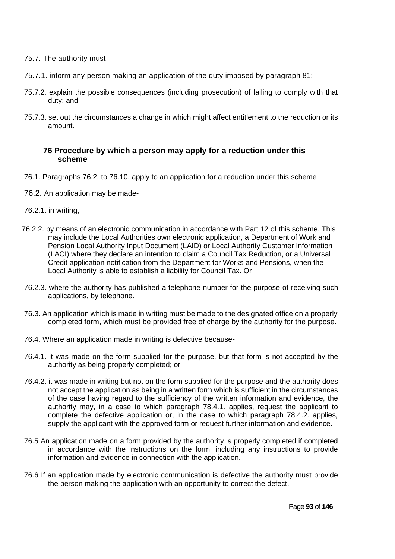- 75.7. The authority must-
- 75.7.1. inform any person making an application of the duty imposed by paragraph 81;
- 75.7.2. explain the possible consequences (including prosecution) of failing to comply with that duty; and
- 75.7.3. set out the circumstances a change in which might affect entitlement to the reduction or its amount.

#### **76 Procedure by which a person may apply for a reduction under this scheme**

- 76.1. Paragraphs 76.2. to 76.10. apply to an application for a reduction under this scheme
- 76.2. An application may be made-
- 76.2.1. in writing,
- 76.2.2. by means of an electronic communication in accordance with Part 12 of this scheme. This may include the Local Authorities own electronic application, a Department of Work and Pension Local Authority Input Document (LAID) or Local Authority Customer Information (LACI) where they declare an intention to claim a Council Tax Reduction, or a Universal Credit application notification from the Department for Works and Pensions, when the Local Authority is able to establish a liability for Council Tax. Or
- 76.2.3. where the authority has published a telephone number for the purpose of receiving such applications, by telephone.
- 76.3. An application which is made in writing must be made to the designated office on a properly completed form, which must be provided free of charge by the authority for the purpose.
- 76.4. Where an application made in writing is defective because-
- 76.4.1. it was made on the form supplied for the purpose, but that form is not accepted by the authority as being properly completed; or
- 76.4.2. it was made in writing but not on the form supplied for the purpose and the authority does not accept the application as being in a written form which is sufficient in the circumstances of the case having regard to the sufficiency of the written information and evidence, the authority may, in a case to which paragraph 78.4.1. applies, request the applicant to complete the defective application or, in the case to which paragraph 78.4.2. applies, supply the applicant with the approved form or request further information and evidence.
- 76.5 An application made on a form provided by the authority is properly completed if completed in accordance with the instructions on the form, including any instructions to provide information and evidence in connection with the application.
- 76.6 If an application made by electronic communication is defective the authority must provide the person making the application with an opportunity to correct the defect.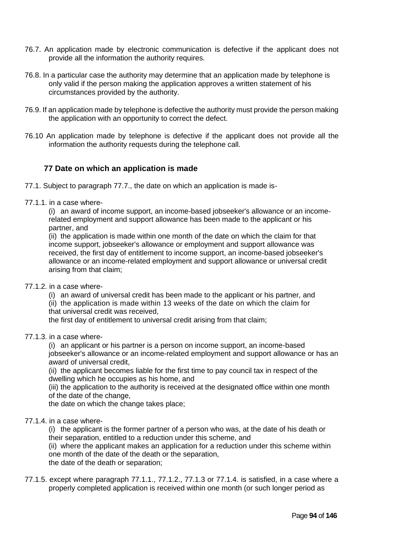- 76.7. An application made by electronic communication is defective if the applicant does not provide all the information the authority requires.
- 76.8. In a particular case the authority may determine that an application made by telephone is only valid if the person making the application approves a written statement of his circumstances provided by the authority.
- 76.9. If an application made by telephone is defective the authority must provide the person making the application with an opportunity to correct the defect.
- 76.10 An application made by telephone is defective if the applicant does not provide all the information the authority requests during the telephone call.

#### **77 Date on which an application is made**

77.1. Subject to paragraph 77.7., the date on which an application is made is-

77.1.1. in a case where-

(i) an award of income support, an income-based jobseeker's allowance or an incomerelated employment and support allowance has been made to the applicant or his partner, and

(ii) the application is made within one month of the date on which the claim for that income support, jobseeker's allowance or employment and support allowance was received, the first day of entitlement to income support, an income-based jobseeker's allowance or an income-related employment and support allowance or universal credit arising from that claim;

77.1.2. in a case where-

(i) an award of universal credit has been made to the applicant or his partner, and (ii) the application is made within 13 weeks of the date on which the claim for that universal credit was received,

the first day of entitlement to universal credit arising from that claim;

#### 77.1.3. in a case where-

(i) an applicant or his partner is a person on income support, an income-based jobseeker's allowance or an income-related employment and support allowance or has an award of universal credit,

(ii) the applicant becomes liable for the first time to pay council tax in respect of the dwelling which he occupies as his home, and

(iii) the application to the authority is received at the designated office within one month of the date of the change,

the date on which the change takes place;

#### 77.1.4. in a case where-

(i) the applicant is the former partner of a person who was, at the date of his death or their separation, entitled to a reduction under this scheme, and

(ii) where the applicant makes an application for a reduction under this scheme within one month of the date of the death or the separation,

the date of the death or separation;

77.1.5. except where paragraph 77.1.1., 77.1.2., 77.1.3 or 77.1.4. is satisfied, in a case where a properly completed application is received within one month (or such longer period as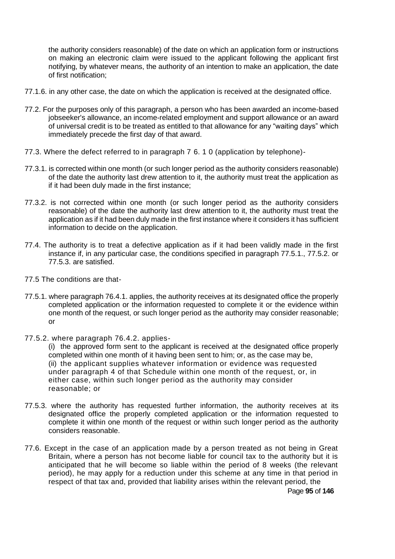the authority considers reasonable) of the date on which an application form or instructions on making an electronic claim were issued to the applicant following the applicant first notifying, by whatever means, the authority of an intention to make an application, the date of first notification;

- 77.1.6. in any other case, the date on which the application is received at the designated office.
- 77.2. For the purposes only of this paragraph, a person who has been awarded an income-based jobseeker's allowance, an income-related employment and support allowance or an award of universal credit is to be treated as entitled to that allowance for any "waiting days" which immediately precede the first day of that award.
- 77.3. Where the defect referred to in paragraph 7 6. 1 0 (application by telephone)-
- 77.3.1. is corrected within one month (or such longer period as the authority considers reasonable) of the date the authority last drew attention to it, the authority must treat the application as if it had been duly made in the first instance;
- 77.3.2. is not corrected within one month (or such longer period as the authority considers reasonable) of the date the authority last drew attention to it, the authority must treat the application as if it had been duly made in the first instance where it considers it has sufficient information to decide on the application.
- 77.4. The authority is to treat a defective application as if it had been validly made in the first instance if, in any particular case, the conditions specified in paragraph 77.5.1., 77.5.2. or 77.5.3. are satisfied.
- 77.5 The conditions are that-
- 77.5.1. where paragraph 76.4.1. applies, the authority receives at its designated office the properly completed application or the information requested to complete it or the evidence within one month of the request, or such longer period as the authority may consider reasonable; or
- 77.5.2. where paragraph 76.4.2. applies-

(i) the approved form sent to the applicant is received at the designated office properly completed within one month of it having been sent to him; or, as the case may be, (ii) the applicant supplies whatever information or evidence was requested under paragraph 4 of that Schedule within one month of the request, or, in either case, within such longer period as the authority may consider reasonable; or

- 77.5.3. where the authority has requested further information, the authority receives at its designated office the properly completed application or the information requested to complete it within one month of the request or within such longer period as the authority considers reasonable.
- 77.6. Except in the case of an application made by a person treated as not being in Great Britain, where a person has not become liable for council tax to the authority but it is anticipated that he will become so liable within the period of 8 weeks (the relevant period), he may apply for a reduction under this scheme at any time in that period in respect of that tax and, provided that liability arises within the relevant period, the Page **95** of **146**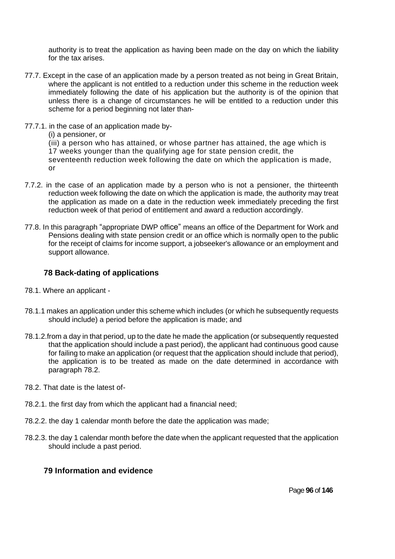authority is to treat the application as having been made on the day on which the liability for the tax arises.

- 77.7. Except in the case of an application made by a person treated as not being in Great Britain, where the applicant is not entitled to a reduction under this scheme in the reduction week immediately following the date of his application but the authority is of the opinion that unless there is a change of circumstances he will be entitled to a reduction under this scheme for a period beginning not later than-
- 77.7.1. in the case of an application made by-

(i) a pensioner, or

(iii) a person who has attained, or whose partner has attained, the age which is 17 weeks younger than the qualifying age for state pension credit, the seventeenth reduction week following the date on which the application is made, or

- 7.7.2. in the case of an application made by a person who is not a pensioner, the thirteenth reduction week following the date on which the application is made, the authority may treat the application as made on a date in the reduction week immediately preceding the first reduction week of that period of entitlement and award a reduction accordingly.
- 77.8. In this paragraph "appropriate DWP office" means an office of the Department for Work and Pensions dealing with state pension credit or an office which is normally open to the public for the receipt of claims for income support, a jobseeker's allowance or an employment and support allowance.

### **78 Back-dating of applications**

- 78.1. Where an applicant -
- 78.1.1 makes an application under this scheme which includes (or which he subsequently requests should include) a period before the application is made; and
- 78.1.2.from a day in that period, up to the date he made the application (or subsequently requested that the application should include a past period), the applicant had continuous good cause for failing to make an application (or request that the application should include that period), the application is to be treated as made on the date determined in accordance with paragraph 78.2.
- 78.2. That date is the latest of-
- 78.2.1. the first day from which the applicant had a financial need;
- 78.2.2. the day 1 calendar month before the date the application was made;
- 78.2.3. the day 1 calendar month before the date when the applicant requested that the application should include a past period.

# **79 Information and evidence**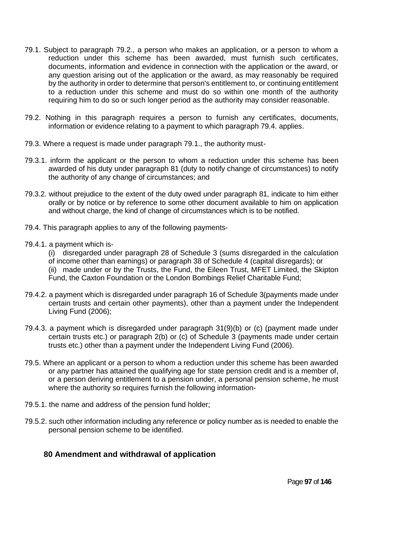- 79.1. Subject to paragraph 79.2., a person who makes an application, or a person to whom a reduction under this scheme has been awarded, must furnish such certificates, documents, information and evidence in connection with the application or the award, or any question arising out of the application or the award, as may reasonably be required by the authority in order to determine that person's entitlement to, or continuing entitlement to a reduction under this scheme and must do so within one month of the authority requiring him to do so or such longer period as the authority may consider reasonable.
- 79.2. Nothing in this paragraph requires a person to furnish any certificates, documents, information or evidence relating to a payment to which paragraph 79.4. applies.
- 79.3. Where a request is made under paragraph 79.1., the authority must-
- 79.3.1. inform the applicant or the person to whom a reduction under this scheme has been awarded of his duty under paragraph 81 (duty to notify change of circumstances) to notify the authority of any change of circumstances; and
- 79.3.2. without prejudice to the extent of the duty owed under paragraph 81, indicate to him either orally or by notice or by reference to some other document available to him on application and without charge, the kind of change of circumstances which is to be notified.
- 79.4. This paragraph applies to any of the following payments-
- 79.4.1. a payment which is-

(i) disregarded under paragraph 28 of Schedule 3 (sums disregarded in the calculation of income other than earnings) or paragraph 38 of Schedule 4 (capital disregards); or (ii) made under or by the Trusts, the Fund, the Eileen Trust, MFET Limited, the Skipton Fund, the Caxton Foundation or the London Bombings Relief Charitable Fund;

- 79.4.2. a payment which is disregarded under paragraph 16 of Schedule 3(payments made under certain trusts and certain other payments), other than a payment under the Independent Living Fund (2006);
- 79.4.3. a payment which is disregarded under paragraph 31(9)(b) or (c) (payment made under certain trusts etc.) or paragraph 2(b) or (c) of Schedule 3 (payments made under certain trusts etc.) other than a payment under the Independent Living Fund (2006).
- 79.5. Where an applicant or a person to whom a reduction under this scheme has been awarded or any partner has attained the qualifying age for state pension credit and is a member of, or a person deriving entitlement to a pension under, a personal pension scheme, he must where the authority so requires furnish the following information-
- 79.5.1. the name and address of the pension fund holder;
- 79.5.2. such other information including any reference or policy number as is needed to enable the personal pension scheme to be identified.

### **80 Amendment and withdrawal of application**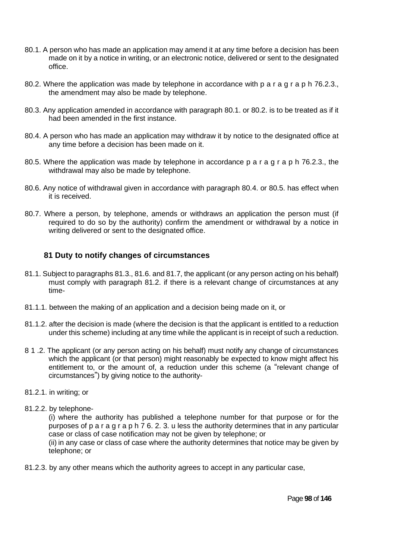- 80.1. A person who has made an application may amend it at any time before a decision has been made on it by a notice in writing, or an electronic notice, delivered or sent to the designated office.
- 80.2. Where the application was made by telephone in accordance with p a r a g r a p h 76.2.3., the amendment may also be made by telephone.
- 80.3. Any application amended in accordance with paragraph 80.1. or 80.2. is to be treated as if it had been amended in the first instance.
- 80.4. A person who has made an application may withdraw it by notice to the designated office at any time before a decision has been made on it.
- 80.5. Where the application was made by telephone in accordance p a r a g r a p h 76.2.3., the withdrawal may also be made by telephone.
- 80.6. Any notice of withdrawal given in accordance with paragraph 80.4. or 80.5. has effect when it is received.
- 80.7. Where a person, by telephone, amends or withdraws an application the person must (if required to do so by the authority) confirm the amendment or withdrawal by a notice in writing delivered or sent to the designated office.

### **81 Duty to notify changes of circumstances**

- 81.1. Subject to paragraphs 81.3., 81.6. and 81.7, the applicant (or any person acting on his behalf) must comply with paragraph 81.2. if there is a relevant change of circumstances at any time-
- 81.1.1. between the making of an application and a decision being made on it, or
- 81.1.2. after the decision is made (where the decision is that the applicant is entitled to a reduction under this scheme) including at any time while the applicant is in receipt of such a reduction.
- 8 1 .2. The applicant (or any person acting on his behalf) must notify any change of circumstances which the applicant (or that person) might reasonably be expected to know might affect his entitlement to, or the amount of, a reduction under this scheme (a "relevant change of circumstances") by giving notice to the authority-
- 81.2.1. in writing; or
- 81.2.2. by telephone-

(i) where the authority has published a telephone number for that purpose or for the purposes of p a r a g r a p h 7 6. 2. 3. u less the authority determines that in any particular case or class of case notification may not be given by telephone; or (ii) in any case or class of case where the authority determines that notice may be given by telephone; or

81.2.3. by any other means which the authority agrees to accept in any particular case,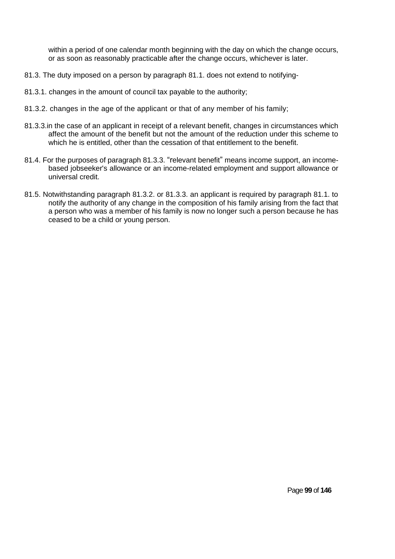within a period of one calendar month beginning with the day on which the change occurs, or as soon as reasonably practicable after the change occurs, whichever is later.

- 81.3. The duty imposed on a person by paragraph 81.1. does not extend to notifying-
- 81.3.1. changes in the amount of council tax payable to the authority;
- 81.3.2. changes in the age of the applicant or that of any member of his family;
- 81.3.3.in the case of an applicant in receipt of a relevant benefit, changes in circumstances which affect the amount of the benefit but not the amount of the reduction under this scheme to which he is entitled, other than the cessation of that entitlement to the benefit.
- 81.4. For the purposes of paragraph 81.3.3. "relevant benefit" means income support, an incomebased jobseeker's allowance or an income-related employment and support allowance or universal credit.
- 81.5. Notwithstanding paragraph 81.3.2. or 81.3.3. an applicant is required by paragraph 81.1. to notify the authority of any change in the composition of his family arising from the fact that a person who was a member of his family is now no longer such a person because he has ceased to be a child or young person.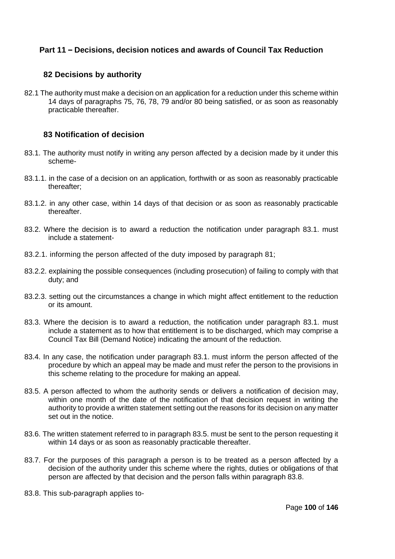## **Part 11 – Decisions, decision notices and awards of Council Tax Reduction**

### **82 Decisions by authority**

82.1 The authority must make a decision on an application for a reduction under this scheme within 14 days of paragraphs 75, 76, 78, 79 and/or 80 being satisfied, or as soon as reasonably practicable thereafter.

## **83 Notification of decision**

- 83.1. The authority must notify in writing any person affected by a decision made by it under this scheme-
- 83.1.1. in the case of a decision on an application, forthwith or as soon as reasonably practicable thereafter;
- 83.1.2. in any other case, within 14 days of that decision or as soon as reasonably practicable thereafter.
- 83.2. Where the decision is to award a reduction the notification under paragraph 83.1. must include a statement-
- 83.2.1. informing the person affected of the duty imposed by paragraph 81;
- 83.2.2. explaining the possible consequences (including prosecution) of failing to comply with that duty; and
- 83.2.3. setting out the circumstances a change in which might affect entitlement to the reduction or its amount.
- 83.3. Where the decision is to award a reduction, the notification under paragraph 83.1. must include a statement as to how that entitlement is to be discharged, which may comprise a Council Tax Bill (Demand Notice) indicating the amount of the reduction.
- 83.4. In any case, the notification under paragraph 83.1. must inform the person affected of the procedure by which an appeal may be made and must refer the person to the provisions in this scheme relating to the procedure for making an appeal.
- 83.5. A person affected to whom the authority sends or delivers a notification of decision may, within one month of the date of the notification of that decision request in writing the authority to provide a written statement setting out the reasons for its decision on any matter set out in the notice.
- 83.6. The written statement referred to in paragraph 83.5. must be sent to the person requesting it within 14 days or as soon as reasonably practicable thereafter.
- 83.7. For the purposes of this paragraph a person is to be treated as a person affected by a decision of the authority under this scheme where the rights, duties or obligations of that person are affected by that decision and the person falls within paragraph 83.8.
- 83.8. This sub-paragraph applies to-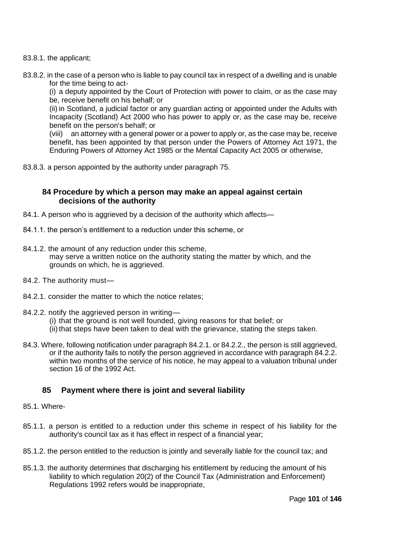- 83.8.1. the applicant;
- 83.8.2. in the case of a person who is liable to pay council tax in respect of a dwelling and is unable for the time being to act-

(i) a deputy appointed by the Court of Protection with power to claim, or as the case may be, receive benefit on his behalf; or

(ii) in Scotland, a judicial factor or any guardian acting or appointed under the Adults with Incapacity (Scotland) Act 2000 who has power to apply or, as the case may be, receive benefit on the person's behalf; or

(viii) an attorney with a general power or a power to apply or, as the case may be, receive benefit, has been appointed by that person under the Powers of Attorney Act 1971, the Enduring Powers of Attorney Act 1985 or the Mental Capacity Act 2005 or otherwise,

83.8.3. a person appointed by the authority under paragraph 75.

#### **84 Procedure by which a person may make an appeal against certain decisions of the authority**

- 84.1. A person who is aggrieved by a decision of the authority which affects—
- 84.1.1. the person's entitlement to a reduction under this scheme, or
- 84.1.2. the amount of any reduction under this scheme, may serve a written notice on the authority stating the matter by which, and the grounds on which, he is aggrieved.
- 84.2. The authority must—
- 84.2.1. consider the matter to which the notice relates;
- 84.2.2. notify the aggrieved person in writing—
	- (i) that the ground is not well founded, giving reasons for that belief; or
	- (ii) that steps have been taken to deal with the grievance, stating the steps taken.
- 84.3. Where, following notification under paragraph 84.2.1. or 84.2.2., the person is still aggrieved, or if the authority fails to notify the person aggrieved in accordance with paragraph 84.2.2. within two months of the service of his notice, he may appeal to a valuation tribunal under section 16 of the 1992 Act.

### **85 Payment where there is joint and several liability**

- 85.1. Where-
- 85.1.1. a person is entitled to a reduction under this scheme in respect of his liability for the authority's council tax as it has effect in respect of a financial year;
- 85.1.2. the person entitled to the reduction is jointly and severally liable for the council tax; and
- 85.1.3. the authority determines that discharging his entitlement by reducing the amount of his liability to which regulation 20(2) of the Council Tax (Administration and Enforcement) Regulations 1992 refers would be inappropriate,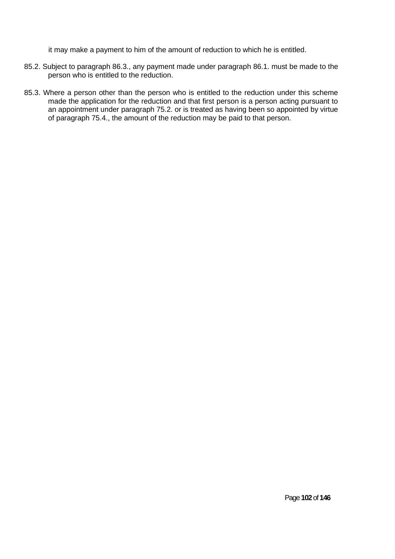it may make a payment to him of the amount of reduction to which he is entitled.

- 85.2. Subject to paragraph 86.3., any payment made under paragraph 86.1. must be made to the person who is entitled to the reduction.
- 85.3. Where a person other than the person who is entitled to the reduction under this scheme made the application for the reduction and that first person is a person acting pursuant to an appointment under paragraph 75.2. or is treated as having been so appointed by virtue of paragraph 75.4., the amount of the reduction may be paid to that person.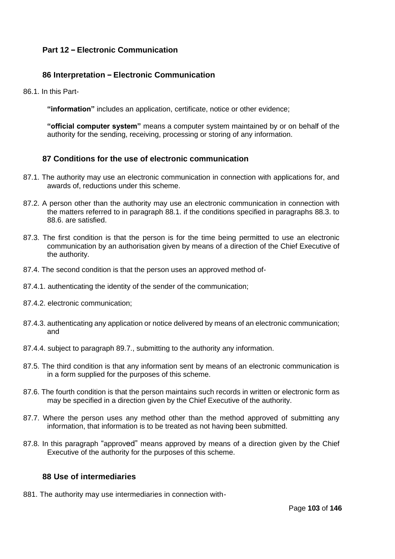## **Part 12 – Electronic Communication**

## **86 Interpretation – Electronic Communication**

86.1. In this Part-

**"information"** includes an application, certificate, notice or other evidence;

**"official computer system"** means a computer system maintained by or on behalf of the authority for the sending, receiving, processing or storing of any information.

### **87 Conditions for the use of electronic communication**

- 87.1. The authority may use an electronic communication in connection with applications for, and awards of, reductions under this scheme.
- 87.2. A person other than the authority may use an electronic communication in connection with the matters referred to in paragraph 88.1. if the conditions specified in paragraphs 88.3. to 88.6. are satisfied.
- 87.3. The first condition is that the person is for the time being permitted to use an electronic communication by an authorisation given by means of a direction of the Chief Executive of the authority.
- 87.4. The second condition is that the person uses an approved method of-
- 87.4.1. authenticating the identity of the sender of the communication;
- 87.4.2. electronic communication;
- 87.4.3. authenticating any application or notice delivered by means of an electronic communication; and
- 87.4.4. subject to paragraph 89.7., submitting to the authority any information.
- 87.5. The third condition is that any information sent by means of an electronic communication is in a form supplied for the purposes of this scheme.
- 87.6. The fourth condition is that the person maintains such records in written or electronic form as may be specified in a direction given by the Chief Executive of the authority.
- 87.7. Where the person uses any method other than the method approved of submitting any information, that information is to be treated as not having been submitted.
- 87.8. In this paragraph "approved" means approved by means of a direction given by the Chief Executive of the authority for the purposes of this scheme.

## **88 Use of intermediaries**

881. The authority may use intermediaries in connection with-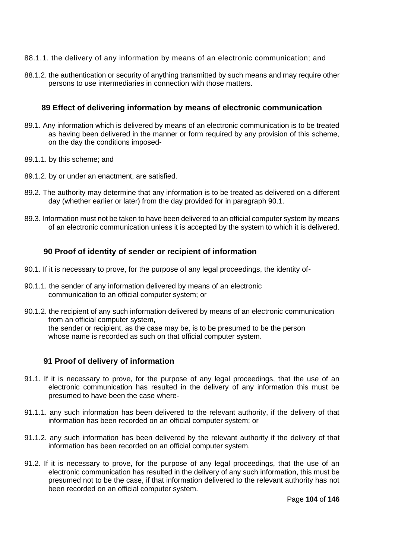- 88.1.1. the delivery of any information by means of an electronic communication; and
- 88.1.2. the authentication or security of anything transmitted by such means and may require other persons to use intermediaries in connection with those matters.

#### **89 Effect of delivering information by means of electronic communication**

- 89.1. Any information which is delivered by means of an electronic communication is to be treated as having been delivered in the manner or form required by any provision of this scheme, on the day the conditions imposed-
- 89.1.1. by this scheme; and
- 89.1.2. by or under an enactment, are satisfied.
- 89.2. The authority may determine that any information is to be treated as delivered on a different day (whether earlier or later) from the day provided for in paragraph 90.1.
- 89.3. Information must not be taken to have been delivered to an official computer system by means of an electronic communication unless it is accepted by the system to which it is delivered.

#### **90 Proof of identity of sender or recipient of information**

- 90.1. If it is necessary to prove, for the purpose of any legal proceedings, the identity of-
- 90.1.1. the sender of any information delivered by means of an electronic communication to an official computer system; or
- 90.1.2. the recipient of any such information delivered by means of an electronic communication from an official computer system, the sender or recipient, as the case may be, is to be presumed to be the person whose name is recorded as such on that official computer system.

### **91 Proof of delivery of information**

- 91.1. If it is necessary to prove, for the purpose of any legal proceedings, that the use of an electronic communication has resulted in the delivery of any information this must be presumed to have been the case where-
- 91.1.1. any such information has been delivered to the relevant authority, if the delivery of that information has been recorded on an official computer system; or
- 91.1.2. any such information has been delivered by the relevant authority if the delivery of that information has been recorded on an official computer system.
- 91.2. If it is necessary to prove, for the purpose of any legal proceedings, that the use of an electronic communication has resulted in the delivery of any such information, this must be presumed not to be the case, if that information delivered to the relevant authority has not been recorded on an official computer system.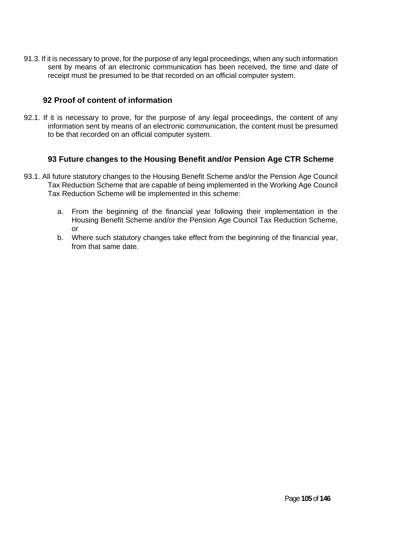91.3. If it is necessary to prove, for the purpose of any legal proceedings, when any such information sent by means of an electronic communication has been received, the time and date of receipt must be presumed to be that recorded on an official computer system.

## **92 Proof of content of information**

92.1. If it is necessary to prove, for the purpose of any legal proceedings, the content of any information sent by means of an electronic communication, the content must be presumed to be that recorded on an official computer system.

# **93 Future changes to the Housing Benefit and/or Pension Age CTR Scheme**

- 93.1. All future statutory changes to the Housing Benefit Scheme and/or the Pension Age Council Tax Reduction Scheme that are capable of being implemented in the Working Age Council Tax Reduction Scheme will be implemented in this scheme:
	- a. From the beginning of the financial year following their implementation in the Housing Benefit Scheme and/or the Pension Age Council Tax Reduction Scheme, or
	- b. Where such statutory changes take effect from the beginning of the financial year, from that same date.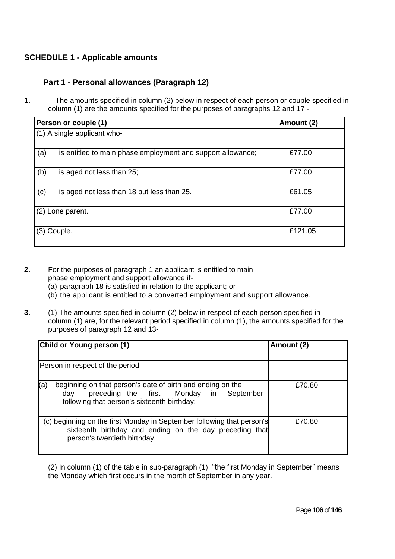# **SCHEDULE 1 - Applicable amounts**

# **Part 1 - Personal allowances (Paragraph 12)**

**1.** The amounts specified in column (2) below in respect of each person or couple specified in column (1) are the amounts specified for the purposes of paragraphs 12 and 17 -

| Person or couple (1)                                               | Amount (2) |
|--------------------------------------------------------------------|------------|
| (1) A single applicant who-                                        |            |
| (a)<br>is entitled to main phase employment and support allowance; | £77.00     |
| (b)<br>is aged not less than 25;                                   | £77.00     |
| (c)<br>is aged not less than 18 but less than 25.                  | £61.05     |
| (2) Lone parent.                                                   | £77.00     |
| (3) Couple.                                                        | £121.05    |

- **2.** For the purposes of paragraph 1 an applicant is entitled to main phase employment and support allowance if-
	- (a) paragraph 18 is satisfied in relation to the applicant; or
	- (b) the applicant is entitled to a converted employment and support allowance.
- **3.** (1) The amounts specified in column (2) below in respect of each person specified in column (1) are, for the relevant period specified in column (1), the amounts specified for the purposes of paragraph 12 and 13-

| Child or Young person (1)                                                                                                                                          | Amount (2) |
|--------------------------------------------------------------------------------------------------------------------------------------------------------------------|------------|
| Person in respect of the period-                                                                                                                                   |            |
| (a)<br>beginning on that person's date of birth and ending on the<br>preceding the first Monday in September<br>day<br>following that person's sixteenth birthday; | £70.80     |
| (c) beginning on the first Monday in September following that person's<br>sixteenth birthday and ending on the day preceding that<br>person's twentieth birthday.  | £70.80     |

(2) In column (1) of the table in sub-paragraph (1), "the first Monday in September" means the Monday which first occurs in the month of September in any year.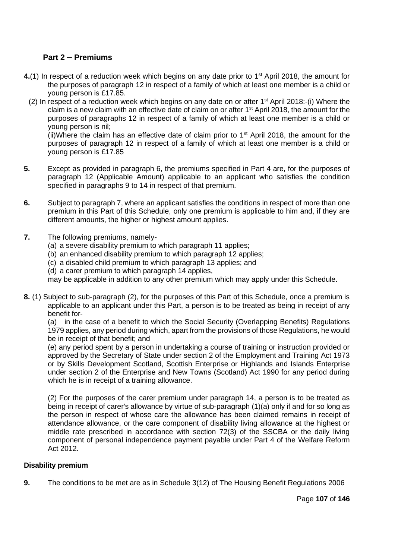# **Part 2 – Premiums**

- **4.**(1) In respect of a reduction week which begins on any date prior to 1<sup>st</sup> April 2018, the amount for the purposes of paragraph 12 in respect of a family of which at least one member is a child or young person is £17.85.
	- (2) In respect of a reduction week which begins on any date on or after  $1<sup>st</sup>$  April 2018:-(i) Where the claim is a new claim with an effective date of claim on or after  $1<sup>st</sup>$  April 2018, the amount for the purposes of paragraphs 12 in respect of a family of which at least one member is a child or young person is nil;

(ii)Where the claim has an effective date of claim prior to  $1<sup>st</sup>$  April 2018, the amount for the purposes of paragraph 12 in respect of a family of which at least one member is a child or young person is £17.85

- **5.** Except as provided in paragraph 6, the premiums specified in Part 4 are, for the purposes of paragraph 12 (Applicable Amount) applicable to an applicant who satisfies the condition specified in paragraphs 9 to 14 in respect of that premium.
- **6.** Subject to paragraph 7, where an applicant satisfies the conditions in respect of more than one premium in this Part of this Schedule, only one premium is applicable to him and, if they are different amounts, the higher or highest amount applies.
- **7.** The following premiums, namely-
	- (a) a severe disability premium to which paragraph 11 applies;
	- (b) an enhanced disability premium to which paragraph 12 applies;
	- (c) a disabled child premium to which paragraph 13 applies; and
	- (d) a carer premium to which paragraph 14 applies,

may be applicable in addition to any other premium which may apply under this Schedule.

**8.** (1) Subject to sub-paragraph (2), for the purposes of this Part of this Schedule, once a premium is applicable to an applicant under this Part, a person is to be treated as being in receipt of any benefit for-

(a) in the case of a benefit to which the Social Security (Overlapping Benefits) Regulations 1979 applies, any period during which, apart from the provisions of those Regulations, he would be in receipt of that benefit; and

(e) any period spent by a person in undertaking a course of training or instruction provided or approved by the Secretary of State under section 2 of the Employment and Training Act 1973 or by Skills Development Scotland, Scottish Enterprise or Highlands and Islands Enterprise under section 2 of the Enterprise and New Towns (Scotland) Act 1990 for any period during which he is in receipt of a training allowance.

(2) For the purposes of the carer premium under paragraph 14, a person is to be treated as being in receipt of carer's allowance by virtue of sub-paragraph (1)(a) only if and for so long as the person in respect of whose care the allowance has been claimed remains in receipt of attendance allowance, or the care component of disability living allowance at the highest or middle rate prescribed in accordance with section 72(3) of the SSCBA or the daily living component of personal independence payment payable under Part 4 of the Welfare Reform Act 2012.

#### **Disability premium**

**9.** The conditions to be met are as in Schedule 3(12) of The Housing Benefit Regulations 2006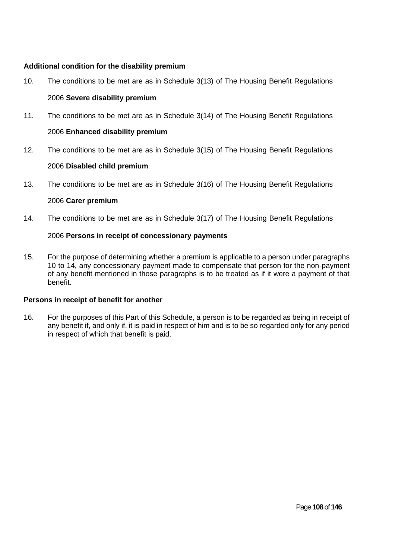### **Additional condition for the disability premium**

10. The conditions to be met are as in Schedule 3(13) of The Housing Benefit Regulations

### 2006 **Severe disability premium**

11. The conditions to be met are as in Schedule 3(14) of The Housing Benefit Regulations

# 2006 **Enhanced disability premium**

12. The conditions to be met are as in Schedule 3(15) of The Housing Benefit Regulations

### 2006 **Disabled child premium**

13. The conditions to be met are as in Schedule 3(16) of The Housing Benefit Regulations

### 2006 **Carer premium**

14. The conditions to be met are as in Schedule 3(17) of The Housing Benefit Regulations

## 2006 **Persons in receipt of concessionary payments**

15. For the purpose of determining whether a premium is applicable to a person under paragraphs 10 to 14, any concessionary payment made to compensate that person for the non-payment of any benefit mentioned in those paragraphs is to be treated as if it were a payment of that benefit.

### **Persons in receipt of benefit for another**

16. For the purposes of this Part of this Schedule, a person is to be regarded as being in receipt of any benefit if, and only if, it is paid in respect of him and is to be so regarded only for any period in respect of which that benefit is paid.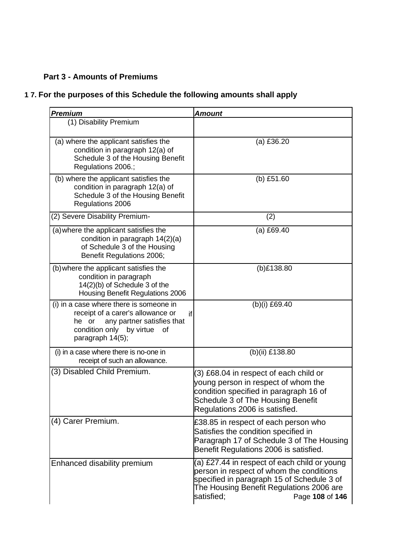# **Part 3 - Amounts of Premiums**

# **1 7. For the purposes of this Schedule the following amounts shall apply**

| <b>Premium</b>                                                                                                                                                               | <b>Amount</b>                                                                                                                                                                                                       |
|------------------------------------------------------------------------------------------------------------------------------------------------------------------------------|---------------------------------------------------------------------------------------------------------------------------------------------------------------------------------------------------------------------|
| (1) Disability Premium                                                                                                                                                       |                                                                                                                                                                                                                     |
| (a) where the applicant satisfies the<br>condition in paragraph 12(a) of<br>Schedule 3 of the Housing Benefit<br>Regulations 2006.;                                          | (a) £36.20                                                                                                                                                                                                          |
| (b) where the applicant satisfies the<br>condition in paragraph 12(a) of<br>Schedule 3 of the Housing Benefit<br>Regulations 2006                                            | (b) £51.60                                                                                                                                                                                                          |
| (2) Severe Disability Premium-                                                                                                                                               | (2)                                                                                                                                                                                                                 |
| (a) where the applicant satisfies the<br>condition in paragraph 14(2)(a)<br>of Schedule 3 of the Housing<br>Benefit Regulations 2006;                                        | $(a)$ £69.40                                                                                                                                                                                                        |
| (b) where the applicant satisfies the<br>condition in paragraph<br>14(2)(b) of Schedule 3 of the<br>Housing Benefit Regulations 2006                                         | (b)£138.80                                                                                                                                                                                                          |
| (i) in a case where there is someone in<br>receipt of a carer's allowance or<br>if<br>any partner satisfies that<br>he or<br>condition only by virtue of<br>paragraph 14(5); | $(b)(i)$ £69.40                                                                                                                                                                                                     |
| (i) in a case where there is no-one in<br>receipt of such an allowance.                                                                                                      | (b)(ii) £138.80                                                                                                                                                                                                     |
| (3) Disabled Child Premium.                                                                                                                                                  | (3) £68.04 in respect of each child or<br>young person in respect of whom the<br>condition specified in paragraph 16 of<br>Schedule 3 of The Housing Benefit<br>Regulations 2006 is satisfied.                      |
| (4) Carer Premium.                                                                                                                                                           | £38.85 in respect of each person who<br>Satisfies the condition specified in<br>Paragraph 17 of Schedule 3 of The Housing<br>Benefit Regulations 2006 is satisfied.                                                 |
| Enhanced disability premium                                                                                                                                                  | (a) £27.44 in respect of each child or young<br>person in respect of whom the conditions<br>specified in paragraph 15 of Schedule 3 of<br>The Housing Benefit Regulations 2006 are<br>satisfied;<br>Page 108 of 146 |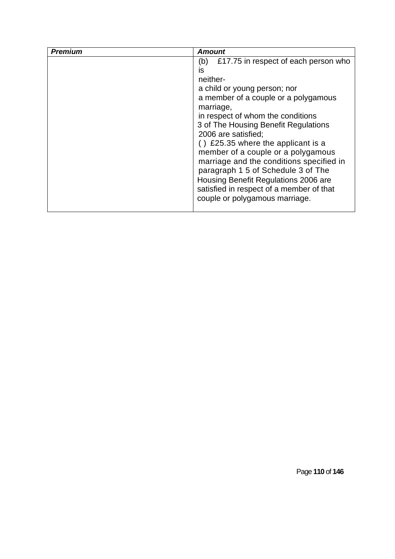| <b>Premium</b> | <b>Amount</b>                                               |
|----------------|-------------------------------------------------------------|
|                | £17.75 in respect of each person who<br>(b)                 |
|                | is                                                          |
|                | neither-                                                    |
|                | a child or young person; nor                                |
|                | a member of a couple or a polygamous<br>marriage,           |
|                | in respect of whom the conditions                           |
|                | 3 of The Housing Benefit Regulations<br>2006 are satisfied; |
|                | () £25.35 where the applicant is a                          |
|                | member of a couple or a polygamous                          |
|                | marriage and the conditions specified in                    |
|                | paragraph 1 5 of Schedule 3 of The                          |
|                | Housing Benefit Regulations 2006 are                        |
|                | satisfied in respect of a member of that                    |
|                | couple or polygamous marriage.                              |
|                |                                                             |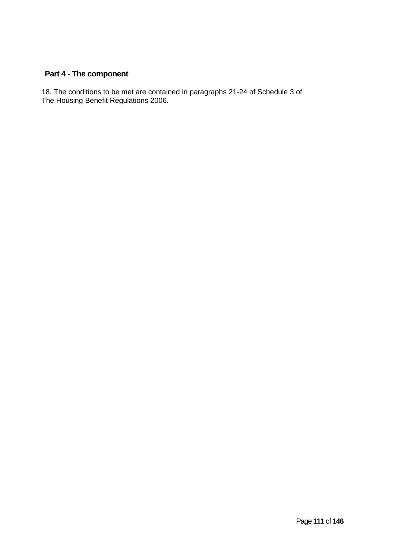# **Part 4 - The component**

18. The conditions to be met are contained in paragraphs 21-24 of Schedule 3 of The Housing Benefit Regulations 2006**.**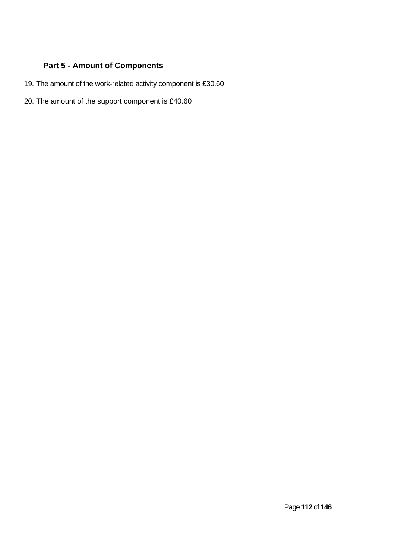# **Part 5 - Amount of Components**

- 19. The amount of the work-related activity component is £30.60
- 20. The amount of the support component is £40.60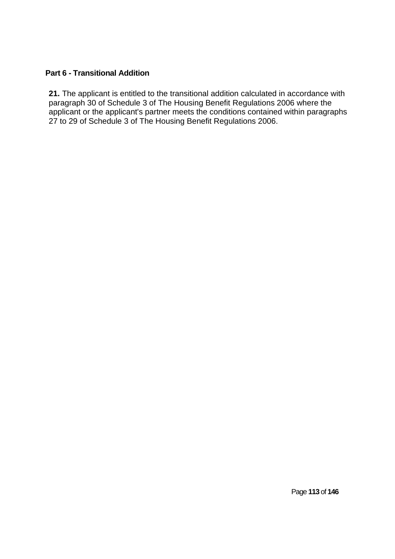# **Part 6 - Transitional Addition**

**21.** The applicant is entitled to the transitional addition calculated in accordance with paragraph 30 of Schedule 3 of The Housing Benefit Regulations 2006 where the applicant or the applicant's partner meets the conditions contained within paragraphs 27 to 29 of Schedule 3 of The Housing Benefit Regulations 2006.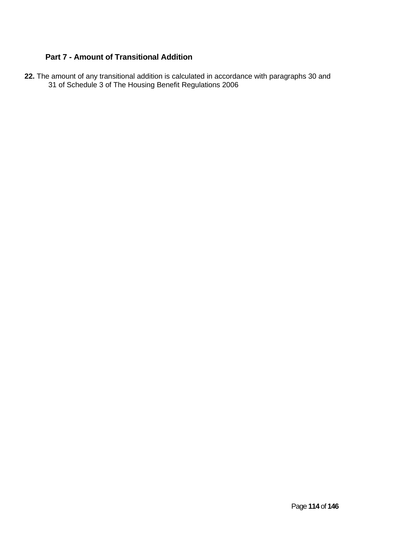# **Part 7 - Amount of Transitional Addition**

**22.** The amount of any transitional addition is calculated in accordance with paragraphs 30 and 31 of Schedule 3 of The Housing Benefit Regulations 2006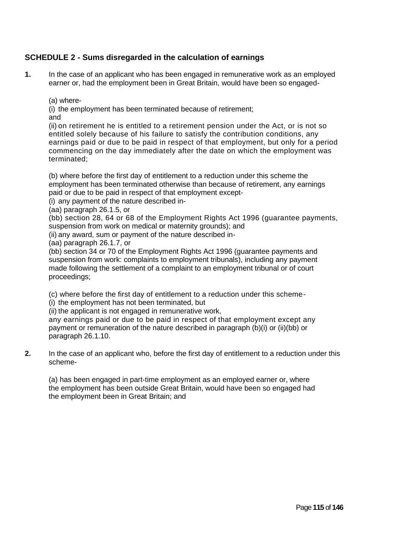# **SCHEDULE 2 - Sums disregarded in the calculation of earnings**

**1.** In the case of an applicant who has been engaged in remunerative work as an employed earner or, had the employment been in Great Britain, would have been so engaged-

(a) where-

(i) the employment has been terminated because of retirement;

and

(ii) on retirement he is entitled to a retirement pension under the Act, or is not so entitled solely because of his failure to satisfy the contribution conditions, any earnings paid or due to be paid in respect of that employment, but only for a period commencing on the day immediately after the date on which the employment was terminated;

(b) where before the first day of entitlement to a reduction under this scheme the employment has been terminated otherwise than because of retirement, any earnings paid or due to be paid in respect of that employment except-

(i) any payment of the nature described in-

(aa) paragraph 26.1.5, or

(bb) section 28, 64 or 68 of the Employment Rights Act 1996 (guarantee payments, suspension from work on medical or maternity grounds); and

(ii) any award, sum or payment of the nature described in-

(aa) paragraph 26.1.7, or

(bb) section 34 or 70 of the Employment Rights Act 1996 (guarantee payments and suspension from work: complaints to employment tribunals), including any payment made following the settlement of a complaint to an employment tribunal or of court proceedings;

(c) where before the first day of entitlement to a reduction under this scheme-

(i) the employment has not been terminated, but

(ii) the applicant is not engaged in remunerative work,

any earnings paid or due to be paid in respect of that employment except any payment or remuneration of the nature described in paragraph (b)(i) or (ii)(bb) or paragraph 26.1.10.

**2.** In the case of an applicant who, before the first day of entitlement to a reduction under this scheme-

(a) has been engaged in part-time employment as an employed earner or, where the employment has been outside Great Britain, would have been so engaged had the employment been in Great Britain; and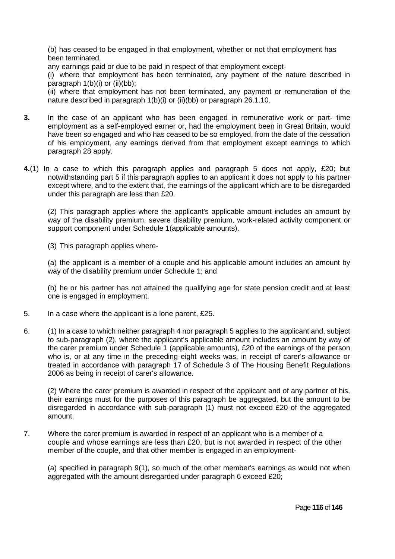(b) has ceased to be engaged in that employment, whether or not that employment has been terminated,

any earnings paid or due to be paid in respect of that employment except-

(i) where that employment has been terminated, any payment of the nature described in paragraph 1(b)(i) or (ii)(bb);

(ii) where that employment has not been terminated, any payment or remuneration of the nature described in paragraph 1(b)(i) or (ii)(bb) or paragraph 26.1.10.

- **3.** In the case of an applicant who has been engaged in remunerative work or part- time employment as a self-employed earner or, had the employment been in Great Britain, would have been so engaged and who has ceased to be so employed, from the date of the cessation of his employment, any earnings derived from that employment except earnings to which paragraph 28 apply.
- **4.**(1) In a case to which this paragraph applies and paragraph 5 does not apply, £20; but notwithstanding part 5 if this paragraph applies to an applicant it does not apply to his partner except where, and to the extent that, the earnings of the applicant which are to be disregarded under this paragraph are less than £20.

(2) This paragraph applies where the applicant's applicable amount includes an amount by way of the disability premium, severe disability premium, work-related activity component or support component under Schedule 1(applicable amounts).

(3) This paragraph applies where-

(a) the applicant is a member of a couple and his applicable amount includes an amount by way of the disability premium under Schedule 1; and

(b) he or his partner has not attained the qualifying age for state pension credit and at least one is engaged in employment.

- 5. In a case where the applicant is a lone parent, £25.
- 6. (1) In a case to which neither paragraph 4 nor paragraph 5 applies to the applicant and, subject to sub-paragraph (2), where the applicant's applicable amount includes an amount by way of the carer premium under Schedule 1 (applicable amounts), £20 of the earnings of the person who is, or at any time in the preceding eight weeks was, in receipt of carer's allowance or treated in accordance with paragraph 17 of Schedule 3 of The Housing Benefit Regulations 2006 as being in receipt of carer's allowance.

(2) Where the carer premium is awarded in respect of the applicant and of any partner of his, their earnings must for the purposes of this paragraph be aggregated, but the amount to be disregarded in accordance with sub-paragraph (1) must not exceed £20 of the aggregated amount.

7. Where the carer premium is awarded in respect of an applicant who is a member of a couple and whose earnings are less than £20, but is not awarded in respect of the other member of the couple, and that other member is engaged in an employment-

(a) specified in paragraph 9(1), so much of the other member's earnings as would not when aggregated with the amount disregarded under paragraph 6 exceed £20;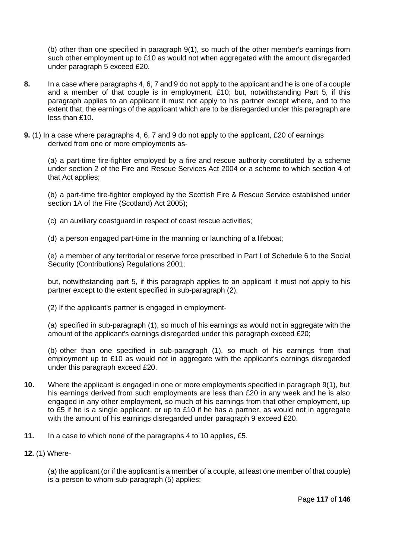(b) other than one specified in paragraph 9(1), so much of the other member's earnings from such other employment up to £10 as would not when aggregated with the amount disregarded under paragraph 5 exceed £20.

- **8.** In a case where paragraphs 4, 6, 7 and 9 do not apply to the applicant and he is one of a couple and a member of that couple is in employment, £10; but, notwithstanding Part 5, if this paragraph applies to an applicant it must not apply to his partner except where, and to the extent that, the earnings of the applicant which are to be disregarded under this paragraph are less than £10.
- **9.** (1) In a case where paragraphs 4, 6, 7 and 9 do not apply to the applicant, £20 of earnings derived from one or more employments as-

(a) a part-time fire-fighter employed by a fire and rescue authority constituted by a scheme under section 2 of the Fire and Rescue Services Act 2004 or a scheme to which section 4 of that Act applies;

(b) a part-time fire-fighter employed by the Scottish Fire & Rescue Service established under section 1A of the Fire (Scotland) Act 2005);

- (c) an auxiliary coastguard in respect of coast rescue activities;
- (d) a person engaged part-time in the manning or launching of a lifeboat;

(e) a member of any territorial or reserve force prescribed in Part I of Schedule 6 to the Social Security (Contributions) Regulations 2001;

but, notwithstanding part 5, if this paragraph applies to an applicant it must not apply to his partner except to the extent specified in sub-paragraph (2).

(2) If the applicant's partner is engaged in employment-

(a) specified in sub-paragraph (1), so much of his earnings as would not in aggregate with the amount of the applicant's earnings disregarded under this paragraph exceed £20;

(b) other than one specified in sub-paragraph (1), so much of his earnings from that employment up to £10 as would not in aggregate with the applicant's earnings disregarded under this paragraph exceed £20.

- **10.** Where the applicant is engaged in one or more employments specified in paragraph 9(1), but his earnings derived from such employments are less than £20 in any week and he is also engaged in any other employment, so much of his earnings from that other employment, up to £5 if he is a single applicant, or up to £10 if he has a partner, as would not in aggregate with the amount of his earnings disregarded under paragraph 9 exceed £20.
- **11.** In a case to which none of the paragraphs 4 to 10 applies, £5.
- **12.** (1) Where-

(a) the applicant (or if the applicant is a member of a couple, at least one member of that couple) is a person to whom sub-paragraph (5) applies;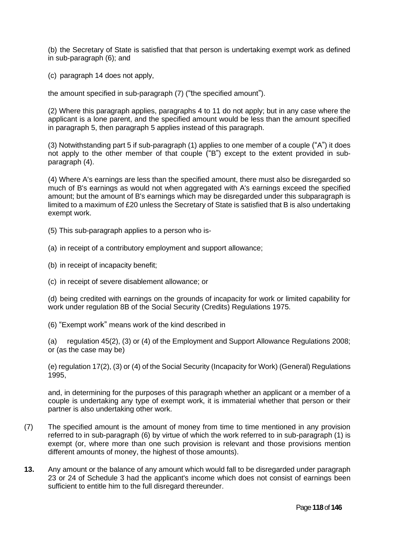(b) the Secretary of State is satisfied that that person is undertaking exempt work as defined in sub-paragraph (6); and

(c) paragraph 14 does not apply,

the amount specified in sub-paragraph (7) ("the specified amount").

(2) Where this paragraph applies, paragraphs 4 to 11 do not apply; but in any case where the applicant is a lone parent, and the specified amount would be less than the amount specified in paragraph 5, then paragraph 5 applies instead of this paragraph.

(3) Notwithstanding part 5 if sub-paragraph (1) applies to one member of a couple ("A") it does not apply to the other member of that couple ("B") except to the extent provided in subparagraph (4).

(4) Where A's earnings are less than the specified amount, there must also be disregarded so much of B's earnings as would not when aggregated with A's earnings exceed the specified amount; but the amount of B's earnings which may be disregarded under this subparagraph is limited to a maximum of £20 unless the Secretary of State is satisfied that B is also undertaking exempt work.

- (5) This sub-paragraph applies to a person who is-
- (a) in receipt of a contributory employment and support allowance;
- (b) in receipt of incapacity benefit;
- (c) in receipt of severe disablement allowance; or

(d) being credited with earnings on the grounds of incapacity for work or limited capability for work under regulation 8B of the Social Security (Credits) Regulations 1975.

(6) "Exempt work" means work of the kind described in

(a) regulation 45(2), (3) or (4) of the Employment and Support Allowance Regulations 2008; or (as the case may be)

(e) regulation 17(2), (3) or (4) of the Social Security (Incapacity for Work) (General) Regulations 1995,

and, in determining for the purposes of this paragraph whether an applicant or a member of a couple is undertaking any type of exempt work, it is immaterial whether that person or their partner is also undertaking other work.

- (7) The specified amount is the amount of money from time to time mentioned in any provision referred to in sub-paragraph (6) by virtue of which the work referred to in sub-paragraph (1) is exempt (or, where more than one such provision is relevant and those provisions mention different amounts of money, the highest of those amounts).
- **13.** Any amount or the balance of any amount which would fall to be disregarded under paragraph 23 or 24 of Schedule 3 had the applicant's income which does not consist of earnings been sufficient to entitle him to the full disregard thereunder.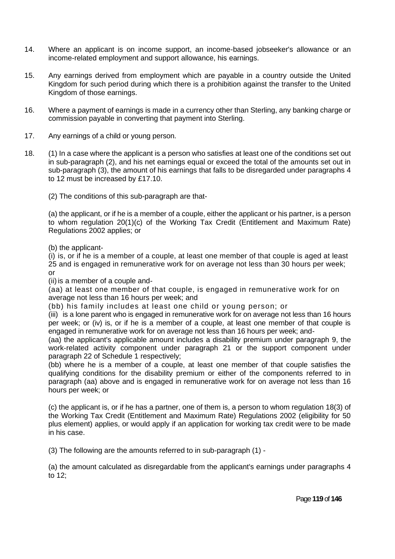- 14. Where an applicant is on income support, an income-based jobseeker's allowance or an income-related employment and support allowance, his earnings.
- 15. Any earnings derived from employment which are payable in a country outside the United Kingdom for such period during which there is a prohibition against the transfer to the United Kingdom of those earnings.
- 16. Where a payment of earnings is made in a currency other than Sterling, any banking charge or commission payable in converting that payment into Sterling.
- 17. Any earnings of a child or young person.
- 18. (1) In a case where the applicant is a person who satisfies at least one of the conditions set out in sub-paragraph (2), and his net earnings equal or exceed the total of the amounts set out in sub-paragraph (3), the amount of his earnings that falls to be disregarded under paragraphs 4 to 12 must be increased by £17.10.
	- (2) The conditions of this sub-paragraph are that-

(a) the applicant, or if he is a member of a couple, either the applicant or his partner, is a person to whom regulation 20(1)(c) of the Working Tax Credit (Entitlement and Maximum Rate) Regulations 2002 applies; or

(b) the applicant-

(i) is, or if he is a member of a couple, at least one member of that couple is aged at least 25 and is engaged in remunerative work for on average not less than 30 hours per week; or

(ii) is a member of a couple and-

(aa) at least one member of that couple, is engaged in remunerative work for on average not less than 16 hours per week; and

(bb) his family includes at least one child or young person; or

(iii) is a lone parent who is engaged in remunerative work for on average not less than 16 hours per week; or (iv) is, or if he is a member of a couple, at least one member of that couple is engaged in remunerative work for on average not less than 16 hours per week; and-

(aa) the applicant's applicable amount includes a disability premium under paragraph 9, the work-related activity component under paragraph 21 or the support component under paragraph 22 of Schedule 1 respectively;

(bb) where he is a member of a couple, at least one member of that couple satisfies the qualifying conditions for the disability premium or either of the components referred to in paragraph (aa) above and is engaged in remunerative work for on average not less than 16 hours per week; or

(c) the applicant is, or if he has a partner, one of them is, a person to whom regulation 18(3) of the Working Tax Credit (Entitlement and Maximum Rate) Regulations 2002 (eligibility for 50 plus element) applies, or would apply if an application for working tax credit were to be made in his case.

(3) The following are the amounts referred to in sub-paragraph (1) -

(a) the amount calculated as disregardable from the applicant's earnings under paragraphs 4 to 12;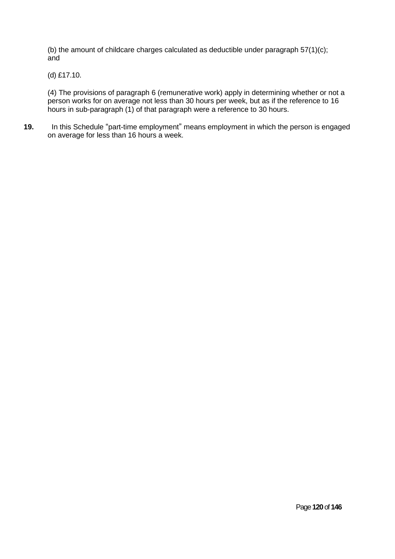(b) the amount of childcare charges calculated as deductible under paragraph 57(1)(c); and

(d) £17.10.

(4) The provisions of paragraph 6 (remunerative work) apply in determining whether or not a person works for on average not less than 30 hours per week, but as if the reference to 16 hours in sub-paragraph (1) of that paragraph were a reference to 30 hours.

**19.** In this Schedule "part-time employment" means employment in which the person is engaged on average for less than 16 hours a week.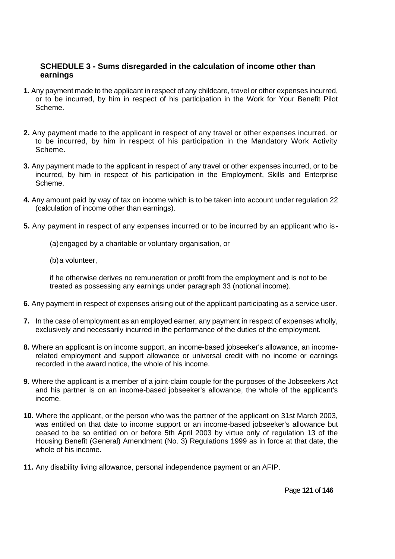# **SCHEDULE 3 - Sums disregarded in the calculation of income other than earnings**

- **1.** Any payment made to the applicant in respect of any childcare, travel or other expenses incurred, or to be incurred, by him in respect of his participation in the Work for Your Benefit Pilot Scheme.
- **2.** Any payment made to the applicant in respect of any travel or other expenses incurred, or to be incurred, by him in respect of his participation in the Mandatory Work Activity Scheme.
- **3.** Any payment made to the applicant in respect of any travel or other expenses incurred, or to be incurred, by him in respect of his participation in the Employment, Skills and Enterprise Scheme.
- **4.** Any amount paid by way of tax on income which is to be taken into account under regulation 22 (calculation of income other than earnings).
- **5.** Any payment in respect of any expenses incurred or to be incurred by an applicant who is
	- (a)engaged by a charitable or voluntary organisation, or
	- (b)a volunteer,

if he otherwise derives no remuneration or profit from the employment and is not to be treated as possessing any earnings under paragraph 33 (notional income).

- **6.** Any payment in respect of expenses arising out of the applicant participating as a service user.
- **7.** In the case of employment as an employed earner, any payment in respect of expenses wholly, exclusively and necessarily incurred in the performance of the duties of the employment.
- **8.** Where an applicant is on income support, an income-based jobseeker's allowance, an incomerelated employment and support allowance or universal credit with no income or earnings recorded in the award notice, the whole of his income.
- **9.** Where the applicant is a member of a joint-claim couple for the purposes of the Jobseekers Act and his partner is on an income-based jobseeker's allowance, the whole of the applicant's income.
- **10.** Where the applicant, or the person who was the partner of the applicant on 31st March 2003, was entitled on that date to income support or an income-based jobseeker's allowance but ceased to be so entitled on or before 5th April 2003 by virtue only of regulation 13 of the Housing Benefit (General) Amendment (No. 3) Regulations 1999 as in force at that date, the whole of his income.
- **11.** Any disability living allowance, personal independence payment or an AFIP.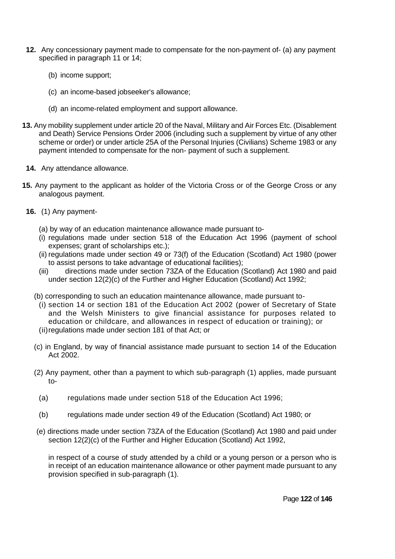- **12.** Any concessionary payment made to compensate for the non-payment of- (a) any payment specified in paragraph 11 or 14;
	- (b) income support;
	- (c) an income-based jobseeker's allowance;
	- (d) an income-related employment and support allowance.
- **13.** Any mobility supplement under article 20 of the Naval, Military and Air Forces Etc. (Disablement and Death) Service Pensions Order 2006 (including such a supplement by virtue of any other scheme or order) or under article 25A of the Personal Injuries (Civilians) Scheme 1983 or any payment intended to compensate for the non- payment of such a supplement.
- **14.** Any attendance allowance.
- **15.** Any payment to the applicant as holder of the Victoria Cross or of the George Cross or any analogous payment.
- **16.** (1) Any payment-
	- (a) by way of an education maintenance allowance made pursuant to-
	- (i) regulations made under section 518 of the Education Act 1996 (payment of school expenses; grant of scholarships etc.);
	- (ii) regulations made under section 49 or 73(f) of the Education (Scotland) Act 1980 (power to assist persons to take advantage of educational facilities);
	- (iii) directions made under section 73ZA of the Education (Scotland) Act 1980 and paid under section 12(2)(c) of the Further and Higher Education (Scotland) Act 1992;
	- (b) corresponding to such an education maintenance allowance, made pursuant to-
		- (i) section 14 or section 181 of the Education Act 2002 (power of Secretary of State and the Welsh Ministers to give financial assistance for purposes related to education or childcare, and allowances in respect of education or training); or (ii)regulations made under section 181 of that Act; or
	- (c) in England, by way of financial assistance made pursuant to section 14 of the Education Act 2002.
	- (2) Any payment, other than a payment to which sub-paragraph (1) applies, made pursuant to-
		- (a) regulations made under section 518 of the Education Act 1996;
		- (b) regulations made under section 49 of the Education (Scotland) Act 1980; or
	- (e) directions made under section 73ZA of the Education (Scotland) Act 1980 and paid under section 12(2)(c) of the Further and Higher Education (Scotland) Act 1992,

in respect of a course of study attended by a child or a young person or a person who is in receipt of an education maintenance allowance or other payment made pursuant to any provision specified in sub-paragraph (1).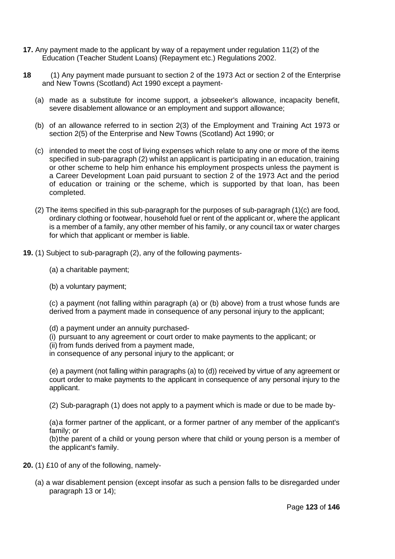- **17.** Any payment made to the applicant by way of a repayment under regulation 11(2) of the Education (Teacher Student Loans) (Repayment etc.) Regulations 2002.
- **18** (1) Any payment made pursuant to section 2 of the 1973 Act or section 2 of the Enterprise and New Towns (Scotland) Act 1990 except a payment-
	- (a) made as a substitute for income support, a jobseeker's allowance, incapacity benefit, severe disablement allowance or an employment and support allowance;
	- (b) of an allowance referred to in section 2(3) of the Employment and Training Act 1973 or section 2(5) of the Enterprise and New Towns (Scotland) Act 1990; or
	- (c) intended to meet the cost of living expenses which relate to any one or more of the items specified in sub-paragraph (2) whilst an applicant is participating in an education, training or other scheme to help him enhance his employment prospects unless the payment is a Career Development Loan paid pursuant to section 2 of the 1973 Act and the period of education or training or the scheme, which is supported by that loan, has been completed.
	- $(2)$  The items specified in this sub-paragraph for the purposes of sub-paragraph  $(1)(c)$  are food, ordinary clothing or footwear, household fuel or rent of the applicant or, where the applicant is a member of a family, any other member of his family, or any council tax or water charges for which that applicant or member is liable.
- **19.** (1) Subject to sub-paragraph (2), any of the following payments-
	- (a) a charitable payment;
	- (b) a voluntary payment;

(c) a payment (not falling within paragraph (a) or (b) above) from a trust whose funds are derived from a payment made in consequence of any personal injury to the applicant;

- (d) a payment under an annuity purchased-
- (i) pursuant to any agreement or court order to make payments to the applicant; or
- (ii) from funds derived from a payment made,
- in consequence of any personal injury to the applicant; or

(e) a payment (not falling within paragraphs (a) to (d)) received by virtue of any agreement or court order to make payments to the applicant in consequence of any personal injury to the applicant.

(2) Sub-paragraph (1) does not apply to a payment which is made or due to be made by-

(a)a former partner of the applicant, or a former partner of any member of the applicant's family; or

(b)the parent of a child or young person where that child or young person is a member of the applicant's family.

- **20.** (1) £10 of any of the following, namely-
	- (a) a war disablement pension (except insofar as such a pension falls to be disregarded under paragraph 13 or 14);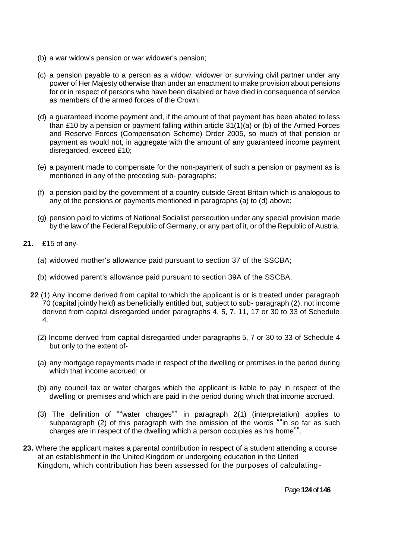- (b) a war widow's pension or war widower's pension;
- (c) a pension payable to a person as a widow, widower or surviving civil partner under any power of Her Majesty otherwise than under an enactment to make provision about pensions for or in respect of persons who have been disabled or have died in consequence of service as members of the armed forces of the Crown;
- (d) a guaranteed income payment and, if the amount of that payment has been abated to less than £10 by a pension or payment falling within article 31(1)(a) or (b) of the Armed Forces and Reserve Forces (Compensation Scheme) Order 2005, so much of that pension or payment as would not, in aggregate with the amount of any guaranteed income payment disregarded, exceed £10;
- (e) a payment made to compensate for the non-payment of such a pension or payment as is mentioned in any of the preceding sub- paragraphs;
- (f) a pension paid by the government of a country outside Great Britain which is analogous to any of the pensions or payments mentioned in paragraphs (a) to (d) above;
- (g) pension paid to victims of National Socialist persecution under any special provision made by the law of the Federal Republic of Germany, or any part of it, or of the Republic of Austria.
- **21.** £15 of any-
	- (a) widowed mother's allowance paid pursuant to section 37 of the SSCBA;
	- (b) widowed parent's allowance paid pursuant to section 39A of the SSCBA.
	- **22** (1) Any income derived from capital to which the applicant is or is treated under paragraph 70 (capital jointly held) as beneficially entitled but, subject to sub- paragraph (2), not income derived from capital disregarded under paragraphs 4, 5, 7, 11, 17 or 30 to 33 of Schedule 4.
		- (2) Income derived from capital disregarded under paragraphs 5, 7 or 30 to 33 of Schedule 4 but only to the extent of-
		- (a) any mortgage repayments made in respect of the dwelling or premises in the period during which that income accrued; or
		- (b) any council tax or water charges which the applicant is liable to pay in respect of the dwelling or premises and which are paid in the period during which that income accrued.
		- (3) The definition of ""water charges"" in paragraph 2(1) (interpretation) applies to subparagraph (2) of this paragraph with the omission of the words ""in so far as such charges are in respect of the dwelling which a person occupies as his home"".
- **23.** Where the applicant makes a parental contribution in respect of a student attending a course at an establishment in the United Kingdom or undergoing education in the United Kingdom, which contribution has been assessed for the purposes of calculating-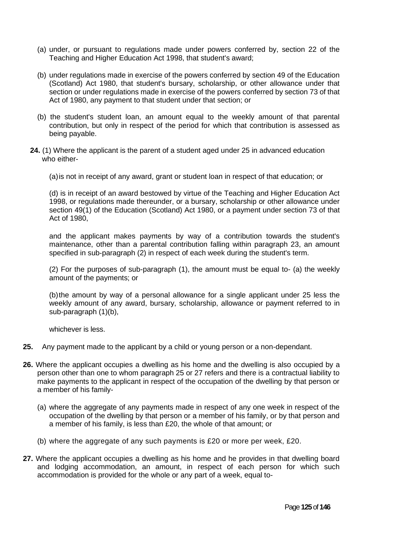- (a) under, or pursuant to regulations made under powers conferred by, section 22 of the Teaching and Higher Education Act 1998, that student's award;
- (b) under regulations made in exercise of the powers conferred by section 49 of the Education (Scotland) Act 1980, that student's bursary, scholarship, or other allowance under that section or under regulations made in exercise of the powers conferred by section 73 of that Act of 1980, any payment to that student under that section; or
- (b) the student's student loan, an amount equal to the weekly amount of that parental contribution, but only in respect of the period for which that contribution is assessed as being payable.
- **24.** (1) Where the applicant is the parent of a student aged under 25 in advanced education who either-
	- (a)is not in receipt of any award, grant or student loan in respect of that education; or

(d) is in receipt of an award bestowed by virtue of the Teaching and Higher Education Act 1998, or regulations made thereunder, or a bursary, scholarship or other allowance under section 49(1) of the Education (Scotland) Act 1980, or a payment under section 73 of that Act of 1980,

and the applicant makes payments by way of a contribution towards the student's maintenance, other than a parental contribution falling within paragraph 23, an amount specified in sub-paragraph (2) in respect of each week during the student's term.

(2) For the purposes of sub-paragraph (1), the amount must be equal to- (a) the weekly amount of the payments; or

(b)the amount by way of a personal allowance for a single applicant under 25 less the weekly amount of any award, bursary, scholarship, allowance or payment referred to in sub-paragraph (1)(b),

whichever is less.

- **25.** Any payment made to the applicant by a child or young person or a non-dependant.
- **26.** Where the applicant occupies a dwelling as his home and the dwelling is also occupied by a person other than one to whom paragraph 25 or 27 refers and there is a contractual liability to make payments to the applicant in respect of the occupation of the dwelling by that person or a member of his family-
	- (a) where the aggregate of any payments made in respect of any one week in respect of the occupation of the dwelling by that person or a member of his family, or by that person and a member of his family, is less than £20, the whole of that amount; or
	- (b) where the aggregate of any such payments is £20 or more per week, £20.
- **27.** Where the applicant occupies a dwelling as his home and he provides in that dwelling board and lodging accommodation, an amount, in respect of each person for which such accommodation is provided for the whole or any part of a week, equal to-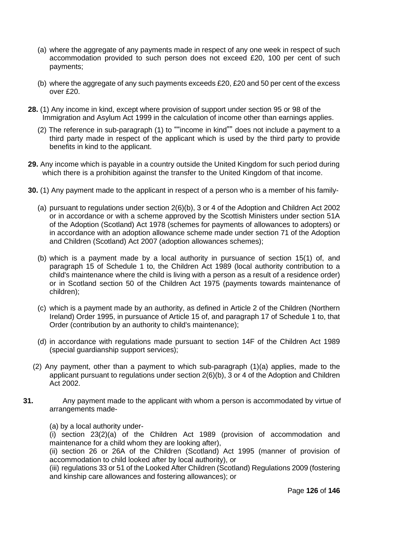- (a) where the aggregate of any payments made in respect of any one week in respect of such accommodation provided to such person does not exceed £20, 100 per cent of such payments;
- (b) where the aggregate of any such payments exceeds £20, £20 and 50 per cent of the excess over £20.
- **28.** (1) Any income in kind, except where provision of support under section 95 or 98 of the Immigration and Asylum Act 1999 in the calculation of income other than earnings applies.
	- (2) The reference in sub-paragraph (1) to ""income in kind"" does not include a payment to a third party made in respect of the applicant which is used by the third party to provide benefits in kind to the applicant.
- **29.** Any income which is payable in a country outside the United Kingdom for such period during which there is a prohibition against the transfer to the United Kingdom of that income.
- **30.** (1) Any payment made to the applicant in respect of a person who is a member of his family-
	- (a) pursuant to regulations under section 2(6)(b), 3 or 4 of the Adoption and Children Act 2002 or in accordance or with a scheme approved by the Scottish Ministers under section 51A of the Adoption (Scotland) Act 1978 (schemes for payments of allowances to adopters) or in accordance with an adoption allowance scheme made under section 71 of the Adoption and Children (Scotland) Act 2007 (adoption allowances schemes);
	- (b) which is a payment made by a local authority in pursuance of section 15(1) of, and paragraph 15 of Schedule 1 to, the Children Act 1989 (local authority contribution to a child's maintenance where the child is living with a person as a result of a residence order) or in Scotland section 50 of the Children Act 1975 (payments towards maintenance of children);
	- (c) which is a payment made by an authority, as defined in Article 2 of the Children (Northern Ireland) Order 1995, in pursuance of Article 15 of, and paragraph 17 of Schedule 1 to, that Order (contribution by an authority to child's maintenance);
	- (d) in accordance with regulations made pursuant to section 14F of the Children Act 1989 (special guardianship support services);
	- (2) Any payment, other than a payment to which sub-paragraph (1)(a) applies, made to the applicant pursuant to regulations under section 2(6)(b), 3 or 4 of the Adoption and Children Act 2002.
- **31.** Any payment made to the applicant with whom a person is accommodated by virtue of arrangements made-
	- (a) by a local authority under-
	- (i) section 23(2)(a) of the Children Act 1989 (provision of accommodation and maintenance for a child whom they are looking after),

(ii) section 26 or 26A of the Children (Scotland) Act 1995 (manner of provision of accommodation to child looked after by local authority), or

(iii) regulations 33 or 51 of the Looked After Children (Scotland) Regulations 2009 (fostering and kinship care allowances and fostering allowances); or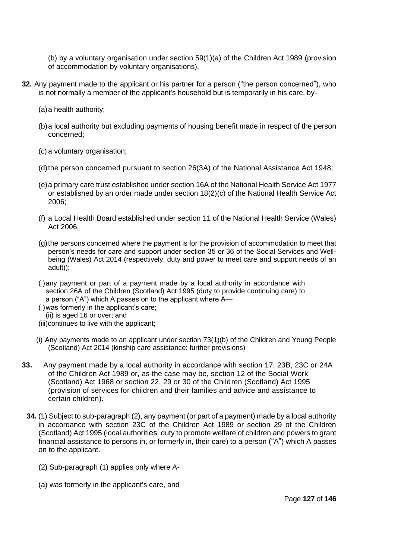(b) by a voluntary organisation under section 59(1)(a) of the Children Act 1989 (provision of accommodation by voluntary organisations).

- **32.** Any payment made to the applicant or his partner for a person ("the person concerned"), who is not normally a member of the applicant's household but is temporarily in his care, by-
	- (a)a health authority;
	- (b)a local authority but excluding payments of housing benefit made in respect of the person concerned;
	- (c) a voluntary organisation;
	- (d)the person concerned pursuant to section 26(3A) of the National Assistance Act 1948;
	- (e)a primary care trust established under section 16A of the National Health Service Act 1977 or established by an order made under section 18(2)(c) of the National Health Service Act 2006;
	- (f) a Local Health Board established under section 11 of the National Health Service (Wales) Act 2006.
	- (g) the persons concerned where the payment is for the provision of accommodation to meet that person's needs for care and support under section 35 or 36 of the Social Services and Wellbeing (Wales) Act 2014 (respectively, duty and power to meet care and support needs of an adult));
	- ( )any payment or part of a payment made by a local authority in accordance with section 26A of the Children (Scotland) Act 1995 (duty to provide continuing care) to a person ("A") which A passes on to the applicant where A—
	- ( )was formerly in the applicant's care; (ii) is aged 16 or over; and
	- (iii)continues to live with the applicant;
	- (i) Any payments made to an applicant under section 73(1)(b) of the Children and Young People (Scotland) Act 2014 (kinship care assistance: further provisions)
- **33.** Any payment made by a local authority in accordance with section 17, 23B, 23C or 24A of the Children Act 1989 or, as the case may be, section 12 of the Social Work (Scotland) Act 1968 or section 22, 29 or 30 of the Children (Scotland) Act 1995 (provision of services for children and their families and advice and assistance to certain children).
	- **34.** (1) Subject to sub-paragraph (2), any payment (or part of a payment) made by a local authority in accordance with section 23C of the Children Act 1989 or section 29 of the Children (Scotland) Act 1995 (local authorities' duty to promote welfare of children and powers to grant financial assistance to persons in, or formerly in, their care) to a person ("A") which A passes on to the applicant.
		- (2) Sub-paragraph (1) applies only where A-
		- (a) was formerly in the applicant's care, and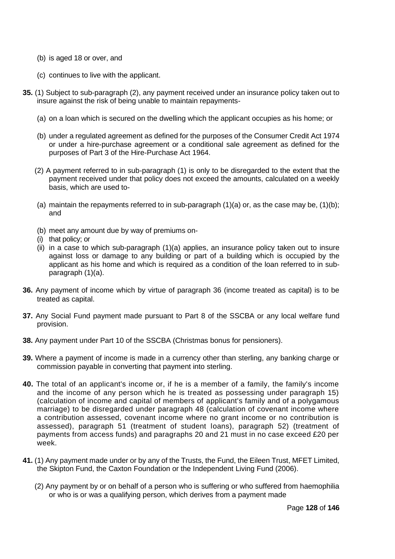- (b) is aged 18 or over, and
- (c) continues to live with the applicant.
- **35.** (1) Subject to sub-paragraph (2), any payment received under an insurance policy taken out to insure against the risk of being unable to maintain repayments-
	- (a) on a loan which is secured on the dwelling which the applicant occupies as his home; or
	- (b) under a regulated agreement as defined for the purposes of the Consumer Credit Act 1974 or under a hire-purchase agreement or a conditional sale agreement as defined for the purposes of Part 3 of the Hire-Purchase Act 1964.
	- (2) A payment referred to in sub-paragraph (1) is only to be disregarded to the extent that the payment received under that policy does not exceed the amounts, calculated on a weekly basis, which are used to-
	- (a) maintain the repayments referred to in sub-paragraph  $(1)(a)$  or, as the case may be,  $(1)(b)$ ; and
	- (b) meet any amount due by way of premiums on-
	- (i) that policy; or
	- (ii) in a case to which sub-paragraph (1)(a) applies, an insurance policy taken out to insure against loss or damage to any building or part of a building which is occupied by the applicant as his home and which is required as a condition of the loan referred to in subparagraph (1)(a).
- **36.** Any payment of income which by virtue of paragraph 36 (income treated as capital) is to be treated as capital.
- **37.** Any Social Fund payment made pursuant to Part 8 of the SSCBA or any local welfare fund provision.
- **38.** Any payment under Part 10 of the SSCBA (Christmas bonus for pensioners).
- **39.** Where a payment of income is made in a currency other than sterling, any banking charge or commission payable in converting that payment into sterling.
- **40.** The total of an applicant's income or, if he is a member of a family, the family's income and the income of any person which he is treated as possessing under paragraph 15) (calculation of income and capital of members of applicant's family and of a polygamous marriage) to be disregarded under paragraph 48 (calculation of covenant income where a contribution assessed, covenant income where no grant income or no contribution is assessed), paragraph 51 (treatment of student loans), paragraph 52) (treatment of payments from access funds) and paragraphs 20 and 21 must in no case exceed £20 per week.
- **41.** (1) Any payment made under or by any of the Trusts, the Fund, the Eileen Trust, MFET Limited, the Skipton Fund, the Caxton Foundation or the Independent Living Fund (2006).
	- (2) Any payment by or on behalf of a person who is suffering or who suffered from haemophilia or who is or was a qualifying person, which derives from a payment made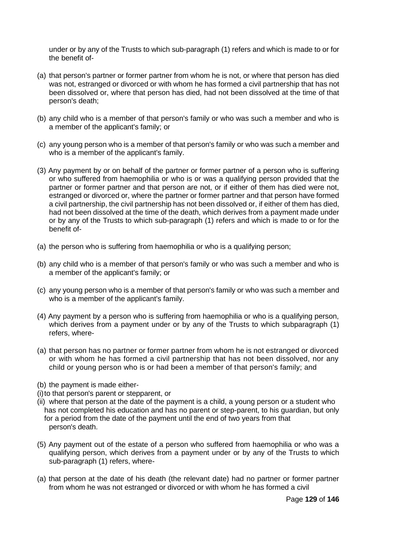under or by any of the Trusts to which sub-paragraph (1) refers and which is made to or for the benefit of-

- (a) that person's partner or former partner from whom he is not, or where that person has died was not, estranged or divorced or with whom he has formed a civil partnership that has not been dissolved or, where that person has died, had not been dissolved at the time of that person's death;
- (b) any child who is a member of that person's family or who was such a member and who is a member of the applicant's family; or
- (c) any young person who is a member of that person's family or who was such a member and who is a member of the applicant's family.
- (3) Any payment by or on behalf of the partner or former partner of a person who is suffering or who suffered from haemophilia or who is or was a qualifying person provided that the partner or former partner and that person are not, or if either of them has died were not, estranged or divorced or, where the partner or former partner and that person have formed a civil partnership, the civil partnership has not been dissolved or, if either of them has died, had not been dissolved at the time of the death, which derives from a payment made under or by any of the Trusts to which sub-paragraph (1) refers and which is made to or for the benefit of-
- (a) the person who is suffering from haemophilia or who is a qualifying person;
- (b) any child who is a member of that person's family or who was such a member and who is a member of the applicant's family; or
- (c) any young person who is a member of that person's family or who was such a member and who is a member of the applicant's family.
- (4) Any payment by a person who is suffering from haemophilia or who is a qualifying person, which derives from a payment under or by any of the Trusts to which subparagraph (1) refers, where-
- (a) that person has no partner or former partner from whom he is not estranged or divorced or with whom he has formed a civil partnership that has not been dissolved, nor any child or young person who is or had been a member of that person's family; and
- (b) the payment is made either-
- (i)to that person's parent or stepparent, or
- (ii) where that person at the date of the payment is a child, a young person or a student who has not completed his education and has no parent or step-parent, to his guardian, but only for a period from the date of the payment until the end of two years from that person's death.
- (5) Any payment out of the estate of a person who suffered from haemophilia or who was a qualifying person, which derives from a payment under or by any of the Trusts to which sub-paragraph (1) refers, where-
- (a) that person at the date of his death (the relevant date) had no partner or former partner from whom he was not estranged or divorced or with whom he has formed a civil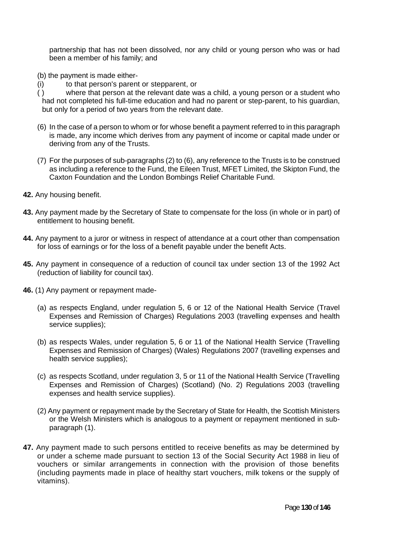partnership that has not been dissolved, nor any child or young person who was or had been a member of his family; and

- (b) the payment is made either-
- (i) to that person's parent or stepparent, or
- ( ) where that person at the relevant date was a child, a young person or a student who had not completed his full-time education and had no parent or step-parent, to his guardian, but only for a period of two years from the relevant date.
- (6) In the case of a person to whom or for whose benefit a payment referred to in this paragraph is made, any income which derives from any payment of income or capital made under or deriving from any of the Trusts.
- (7) For the purposes of sub-paragraphs (2) to (6), any reference to the Trusts is to be construed as including a reference to the Fund, the Eileen Trust, MFET Limited, the Skipton Fund, the Caxton Foundation and the London Bombings Relief Charitable Fund.
- **42.** Any housing benefit.
- **43.** Any payment made by the Secretary of State to compensate for the loss (in whole or in part) of entitlement to housing benefit.
- **44.** Any payment to a juror or witness in respect of attendance at a court other than compensation for loss of earnings or for the loss of a benefit payable under the benefit Acts.
- **45.** Any payment in consequence of a reduction of council tax under section 13 of the 1992 Act (reduction of liability for council tax).
- **46.** (1) Any payment or repayment made-
	- (a) as respects England, under regulation 5, 6 or 12 of the National Health Service (Travel Expenses and Remission of Charges) Regulations 2003 (travelling expenses and health service supplies);
	- (b) as respects Wales, under regulation 5, 6 or 11 of the National Health Service (Travelling Expenses and Remission of Charges) (Wales) Regulations 2007 (travelling expenses and health service supplies);
	- (c) as respects Scotland, under regulation 3, 5 or 11 of the National Health Service (Travelling Expenses and Remission of Charges) (Scotland) (No. 2) Regulations 2003 (travelling expenses and health service supplies).
	- (2) Any payment or repayment made by the Secretary of State for Health, the Scottish Ministers or the Welsh Ministers which is analogous to a payment or repayment mentioned in subparagraph (1).
- **47.** Any payment made to such persons entitled to receive benefits as may be determined by or under a scheme made pursuant to section 13 of the Social Security Act 1988 in lieu of vouchers or similar arrangements in connection with the provision of those benefits (including payments made in place of healthy start vouchers, milk tokens or the supply of vitamins).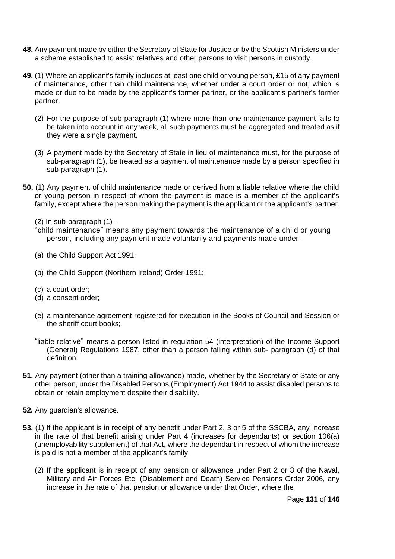- **48.** Any payment made by either the Secretary of State for Justice or by the Scottish Ministers under a scheme established to assist relatives and other persons to visit persons in custody.
- **49.** (1) Where an applicant's family includes at least one child or young person, £15 of any payment of maintenance, other than child maintenance, whether under a court order or not, which is made or due to be made by the applicant's former partner, or the applicant's partner's former partner.
	- (2) For the purpose of sub-paragraph (1) where more than one maintenance payment falls to be taken into account in any week, all such payments must be aggregated and treated as if they were a single payment.
	- (3) A payment made by the Secretary of State in lieu of maintenance must, for the purpose of sub-paragraph (1), be treated as a payment of maintenance made by a person specified in sub-paragraph (1).
- **50.** (1) Any payment of child maintenance made or derived from a liable relative where the child or young person in respect of whom the payment is made is a member of the applicant's family, except where the person making the payment is the applicant or the applicant's partner.
	- (2) In sub-paragraph (1) -
	- "child maintenance" means any payment towards the maintenance of a child or young person, including any payment made voluntarily and payments made under-
	- (a) the Child Support Act 1991;
	- (b) the Child Support (Northern Ireland) Order 1991;
	- (c) a court order;
	- (d) a consent order;
	- (e) a maintenance agreement registered for execution in the Books of Council and Session or the sheriff court books;
	- "liable relative" means a person listed in regulation 54 (interpretation) of the Income Support (General) Regulations 1987, other than a person falling within sub- paragraph (d) of that definition.
- **51.** Any payment (other than a training allowance) made, whether by the Secretary of State or any other person, under the Disabled Persons (Employment) Act 1944 to assist disabled persons to obtain or retain employment despite their disability.
- **52.** Any guardian's allowance.
- **53.** (1) If the applicant is in receipt of any benefit under Part 2, 3 or 5 of the SSCBA, any increase in the rate of that benefit arising under Part 4 (increases for dependants) or section 106(a) (unemployability supplement) of that Act, where the dependant in respect of whom the increase is paid is not a member of the applicant's family.
	- (2) If the applicant is in receipt of any pension or allowance under Part 2 or 3 of the Naval, Military and Air Forces Etc. (Disablement and Death) Service Pensions Order 2006, any increase in the rate of that pension or allowance under that Order, where the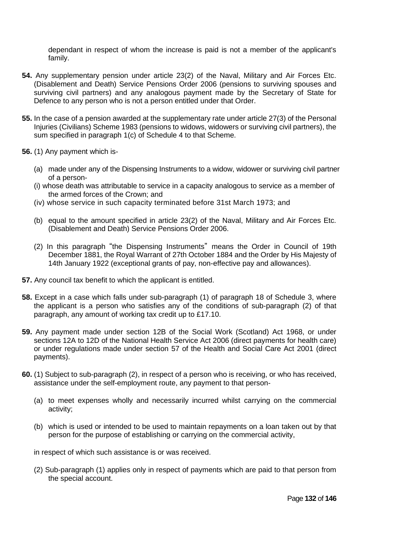dependant in respect of whom the increase is paid is not a member of the applicant's family.

- **54.** Any supplementary pension under article 23(2) of the Naval, Military and Air Forces Etc. (Disablement and Death) Service Pensions Order 2006 (pensions to surviving spouses and surviving civil partners) and any analogous payment made by the Secretary of State for Defence to any person who is not a person entitled under that Order.
- **55.** In the case of a pension awarded at the supplementary rate under article 27(3) of the Personal Injuries (Civilians) Scheme 1983 (pensions to widows, widowers or surviving civil partners), the sum specified in paragraph 1(c) of Schedule 4 to that Scheme.
- **56.** (1) Any payment which is-
	- (a) made under any of the Dispensing Instruments to a widow, widower or surviving civil partner of a person-
	- (i) whose death was attributable to service in a capacity analogous to service as a member of the armed forces of the Crown; and
	- (iv) whose service in such capacity terminated before 31st March 1973; and
	- (b) equal to the amount specified in article 23(2) of the Naval, Military and Air Forces Etc. (Disablement and Death) Service Pensions Order 2006.
	- (2) In this paragraph "the Dispensing Instruments" means the Order in Council of 19th December 1881, the Royal Warrant of 27th October 1884 and the Order by His Majesty of 14th January 1922 (exceptional grants of pay, non-effective pay and allowances).
- **57.** Any council tax benefit to which the applicant is entitled.
- **58.** Except in a case which falls under sub-paragraph (1) of paragraph 18 of Schedule 3, where the applicant is a person who satisfies any of the conditions of sub-paragraph (2) of that paragraph, any amount of working tax credit up to £17.10.
- **59.** Any payment made under section 12B of the Social Work (Scotland) Act 1968, or under sections 12A to 12D of the National Health Service Act 2006 (direct payments for health care) or under regulations made under section 57 of the Health and Social Care Act 2001 (direct payments).
- **60.** (1) Subject to sub-paragraph (2), in respect of a person who is receiving, or who has received, assistance under the self-employment route, any payment to that person-
	- (a) to meet expenses wholly and necessarily incurred whilst carrying on the commercial activity;
	- (b) which is used or intended to be used to maintain repayments on a loan taken out by that person for the purpose of establishing or carrying on the commercial activity,

in respect of which such assistance is or was received.

(2) Sub-paragraph (1) applies only in respect of payments which are paid to that person from the special account.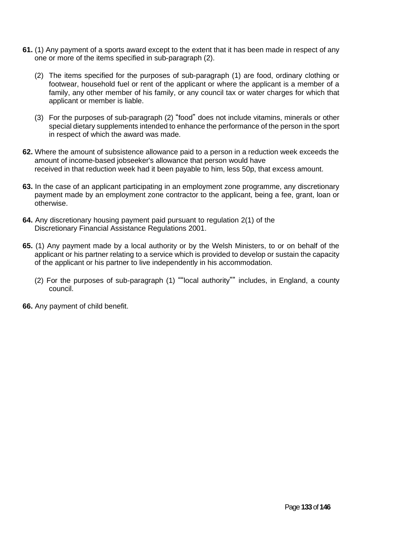- **61.** (1) Any payment of a sports award except to the extent that it has been made in respect of any one or more of the items specified in sub-paragraph (2).
	- (2) The items specified for the purposes of sub-paragraph (1) are food, ordinary clothing or footwear, household fuel or rent of the applicant or where the applicant is a member of a family, any other member of his family, or any council tax or water charges for which that applicant or member is liable.
	- (3) For the purposes of sub-paragraph (2) "food" does not include vitamins, minerals or other special dietary supplements intended to enhance the performance of the person in the sport in respect of which the award was made.
- **62.** Where the amount of subsistence allowance paid to a person in a reduction week exceeds the amount of income-based jobseeker's allowance that person would have received in that reduction week had it been payable to him, less 50p, that excess amount.
- **63.** In the case of an applicant participating in an employment zone programme, any discretionary payment made by an employment zone contractor to the applicant, being a fee, grant, loan or otherwise.
- **64.** Any discretionary housing payment paid pursuant to regulation 2(1) of the Discretionary Financial Assistance Regulations 2001.
- **65.** (1) Any payment made by a local authority or by the Welsh Ministers, to or on behalf of the applicant or his partner relating to a service which is provided to develop or sustain the capacity of the applicant or his partner to live independently in his accommodation.
	- (2) For the purposes of sub-paragraph (1) ""local authority"" includes, in England, a county council.
- **66.** Any payment of child benefit.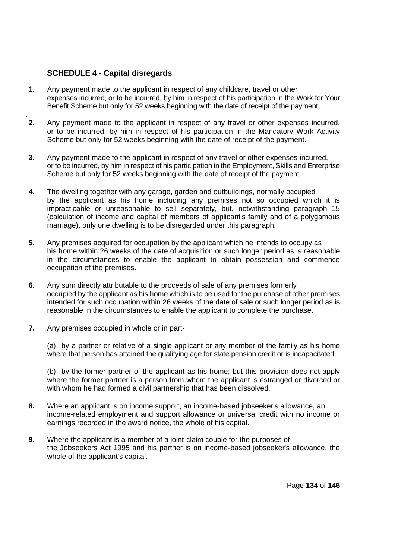# **SCHEDULE 4 - Capital disregards**

- **1.** Any payment made to the applicant in respect of any childcare, travel or other expenses incurred, or to be incurred, by him in respect of his participation in the Work for Your Benefit Scheme but only for 52 weeks beginning with the date of receipt of the payment
- . **2.** Any payment made to the applicant in respect of any travel or other expenses incurred, or to be incurred, by him in respect of his participation in the Mandatory Work Activity Scheme but only for 52 weeks beginning with the date of receipt of the payment.
- **3.** Any payment made to the applicant in respect of any travel or other expenses incurred, or to be incurred, by him in respect of his participation in the Employment, Skills and Enterprise Scheme but only for 52 weeks beginning with the date of receipt of the payment.
- **4.** The dwelling together with any garage, garden and outbuildings, normally occupied by the applicant as his home including any premises not so occupied which it is impracticable or unreasonable to sell separately, but, notwithstanding paragraph 15 (calculation of income and capital of members of applicant's family and of a polygamous marriage), only one dwelling is to be disregarded under this paragraph.
- **5.** Any premises acquired for occupation by the applicant which he intends to occupy as his home within 26 weeks of the date of acquisition or such longer period as is reasonable in the circumstances to enable the applicant to obtain possession and commence occupation of the premises.
- **6.** Any sum directly attributable to the proceeds of sale of any premises formerly occupied by the applicant as his home which is to be used for the purchase of other premises intended for such occupation within 26 weeks of the date of sale or such longer period as is reasonable in the circumstances to enable the applicant to complete the purchase.
- **7.** Any premises occupied in whole or in part-

(a) by a partner or relative of a single applicant or any member of the family as his home where that person has attained the qualifying age for state pension credit or is incapacitated;

(b) by the former partner of the applicant as his home; but this provision does not apply where the former partner is a person from whom the applicant is estranged or divorced or with whom he had formed a civil partnership that has been dissolved.

- **8.** Where an applicant is on income support, an income-based jobseeker's allowance, an income-related employment and support allowance or universal credit with no income or earnings recorded in the award notice, the whole of his capital.
- **9.** Where the applicant is a member of a joint-claim couple for the purposes of the Jobseekers Act 1995 and his partner is on income-based jobseeker's allowance, the whole of the applicant's capital.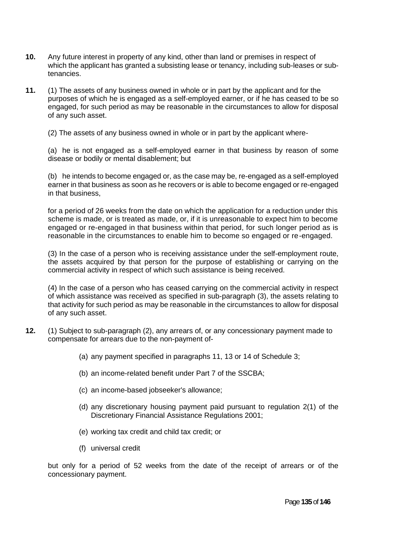- **10.** Any future interest in property of any kind, other than land or premises in respect of which the applicant has granted a subsisting lease or tenancy, including sub-leases or subtenancies.
- **11.** (1) The assets of any business owned in whole or in part by the applicant and for the purposes of which he is engaged as a self-employed earner, or if he has ceased to be so engaged, for such period as may be reasonable in the circumstances to allow for disposal of any such asset.

(2) The assets of any business owned in whole or in part by the applicant where-

(a) he is not engaged as a self-employed earner in that business by reason of some disease or bodily or mental disablement; but

(b) he intends to become engaged or, as the case may be, re-engaged as a self-employed earner in that business as soon as he recovers or is able to become engaged or re-engaged in that business,

for a period of 26 weeks from the date on which the application for a reduction under this scheme is made, or is treated as made, or, if it is unreasonable to expect him to become engaged or re-engaged in that business within that period, for such longer period as is reasonable in the circumstances to enable him to become so engaged or re-engaged.

(3) In the case of a person who is receiving assistance under the self-employment route, the assets acquired by that person for the purpose of establishing or carrying on the commercial activity in respect of which such assistance is being received.

(4) In the case of a person who has ceased carrying on the commercial activity in respect of which assistance was received as specified in sub-paragraph (3), the assets relating to that activity for such period as may be reasonable in the circumstances to allow for disposal of any such asset.

- **12.** (1) Subject to sub-paragraph (2), any arrears of, or any concessionary payment made to compensate for arrears due to the non-payment of-
	- (a) any payment specified in paragraphs 11, 13 or 14 of Schedule 3;
	- (b) an income-related benefit under Part 7 of the SSCBA;
	- (c) an income-based jobseeker's allowance;
	- (d) any discretionary housing payment paid pursuant to regulation 2(1) of the Discretionary Financial Assistance Regulations 2001;
	- (e) working tax credit and child tax credit; or
	- (f) universal credit

but only for a period of 52 weeks from the date of the receipt of arrears or of the concessionary payment.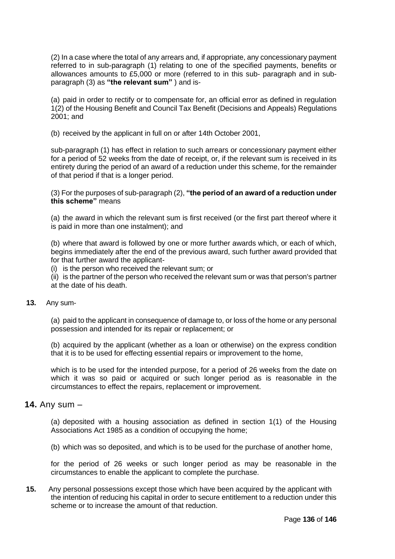(2) In a case where the total of any arrears and, if appropriate, any concessionary payment referred to in sub-paragraph (1) relating to one of the specified payments, benefits or allowances amounts to £5,000 or more (referred to in this sub- paragraph and in subparagraph (3) as **"the relevant sum"** ) and is-

(a) paid in order to rectify or to compensate for, an official error as defined in regulation 1(2) of the Housing Benefit and Council Tax Benefit (Decisions and Appeals) Regulations 2001; and

(b) received by the applicant in full on or after 14th October 2001,

sub-paragraph (1) has effect in relation to such arrears or concessionary payment either for a period of 52 weeks from the date of receipt, or, if the relevant sum is received in its entirety during the period of an award of a reduction under this scheme, for the remainder of that period if that is a longer period.

(3) For the purposes of sub-paragraph (2), **"the period of an award of a reduction under this scheme"** means

(a) the award in which the relevant sum is first received (or the first part thereof where it is paid in more than one instalment); and

(b) where that award is followed by one or more further awards which, or each of which, begins immediately after the end of the previous award, such further award provided that for that further award the applicant-

(i) is the person who received the relevant sum; or

(ii) is the partner of the person who received the relevant sum or was that person's partner at the date of his death.

#### **13.** Any sum-

(a) paid to the applicant in consequence of damage to, or loss of the home or any personal possession and intended for its repair or replacement; or

(b) acquired by the applicant (whether as a loan or otherwise) on the express condition that it is to be used for effecting essential repairs or improvement to the home,

which is to be used for the intended purpose, for a period of 26 weeks from the date on which it was so paid or acquired or such longer period as is reasonable in the circumstances to effect the repairs, replacement or improvement.

#### **14.** Any sum –

(a) deposited with a housing association as defined in section 1(1) of the Housing Associations Act 1985 as a condition of occupying the home;

(b) which was so deposited, and which is to be used for the purchase of another home,

for the period of 26 weeks or such longer period as may be reasonable in the circumstances to enable the applicant to complete the purchase.

**15.** Any personal possessions except those which have been acquired by the applicant with the intention of reducing his capital in order to secure entitlement to a reduction under this scheme or to increase the amount of that reduction.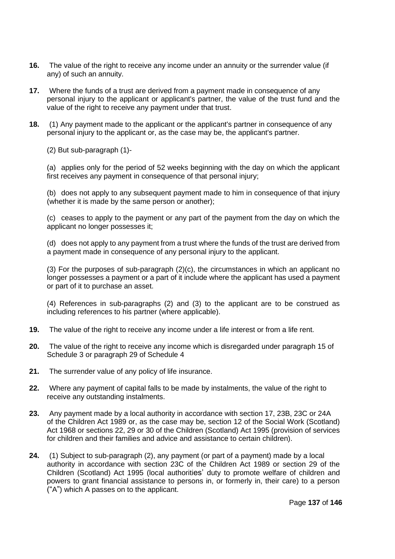- **16.** The value of the right to receive any income under an annuity or the surrender value (if any) of such an annuity.
- **17.** Where the funds of a trust are derived from a payment made in consequence of any personal injury to the applicant or applicant's partner, the value of the trust fund and the value of the right to receive any payment under that trust.
- **18.** (1) Any payment made to the applicant or the applicant's partner in consequence of any personal injury to the applicant or, as the case may be, the applicant's partner.

(2) But sub-paragraph (1)-

(a) applies only for the period of 52 weeks beginning with the day on which the applicant first receives any payment in consequence of that personal injury;

(b) does not apply to any subsequent payment made to him in consequence of that injury (whether it is made by the same person or another);

(c) ceases to apply to the payment or any part of the payment from the day on which the applicant no longer possesses it;

(d) does not apply to any payment from a trust where the funds of the trust are derived from a payment made in consequence of any personal injury to the applicant.

(3) For the purposes of sub-paragraph (2)(c), the circumstances in which an applicant no longer possesses a payment or a part of it include where the applicant has used a payment or part of it to purchase an asset.

(4) References in sub-paragraphs (2) and (3) to the applicant are to be construed as including references to his partner (where applicable).

- **19.** The value of the right to receive any income under a life interest or from a life rent.
- **20.** The value of the right to receive any income which is disregarded under paragraph 15 of Schedule 3 or paragraph 29 of Schedule 4
- **21.** The surrender value of any policy of life insurance.
- **22.** Where any payment of capital falls to be made by instalments, the value of the right to receive any outstanding instalments.
- **23.** Any payment made by a local authority in accordance with section 17, 23B, 23C or 24A of the Children Act 1989 or, as the case may be, section 12 of the Social Work (Scotland) Act 1968 or sections 22, 29 or 30 of the Children (Scotland) Act 1995 (provision of services for children and their families and advice and assistance to certain children).
- **24.** (1) Subject to sub-paragraph (2), any payment (or part of a payment) made by a local authority in accordance with section 23C of the Children Act 1989 or section 29 of the Children (Scotland) Act 1995 (local authorities' duty to promote welfare of children and powers to grant financial assistance to persons in, or formerly in, their care) to a person ("A") which A passes on to the applicant.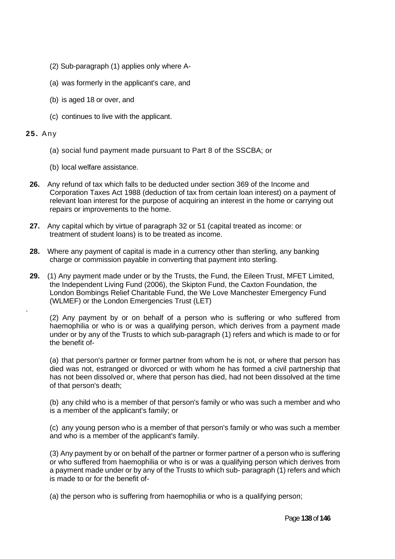- (2) Sub-paragraph (1) applies only where A-
- (a) was formerly in the applicant's care, and
- (b) is aged 18 or over, and
- (c) continues to live with the applicant.

### **25.** Any

.

- (a) social fund payment made pursuant to Part 8 of the SSCBA; or
- (b) local welfare assistance.
- **26.** Any refund of tax which falls to be deducted under section 369 of the Income and Corporation Taxes Act 1988 (deduction of tax from certain loan interest) on a payment of relevant loan interest for the purpose of acquiring an interest in the home or carrying out repairs or improvements to the home.
- **27.** Any capital which by virtue of paragraph 32 or 51 (capital treated as income: or treatment of student loans) is to be treated as income.
- **28.** Where any payment of capital is made in a currency other than sterling, any banking charge or commission payable in converting that payment into sterling.
- **29.** (1) Any payment made under or by the Trusts, the Fund, the Eileen Trust, MFET Limited, the Independent Living Fund (2006), the Skipton Fund, the Caxton Foundation, the London Bombings Relief Charitable Fund, the We Love Manchester Emergency Fund (WLMEF) or the London Emergencies Trust (LET)

(2) Any payment by or on behalf of a person who is suffering or who suffered from haemophilia or who is or was a qualifying person, which derives from a payment made under or by any of the Trusts to which sub-paragraph (1) refers and which is made to or for the benefit of-

(a) that person's partner or former partner from whom he is not, or where that person has died was not, estranged or divorced or with whom he has formed a civil partnership that has not been dissolved or, where that person has died, had not been dissolved at the time of that person's death;

(b) any child who is a member of that person's family or who was such a member and who is a member of the applicant's family; or

(c) any young person who is a member of that person's family or who was such a member and who is a member of the applicant's family.

(3) Any payment by or on behalf of the partner or former partner of a person who is suffering or who suffered from haemophilia or who is or was a qualifying person which derives from a payment made under or by any of the Trusts to which sub- paragraph (1) refers and which is made to or for the benefit of-

(a) the person who is suffering from haemophilia or who is a qualifying person;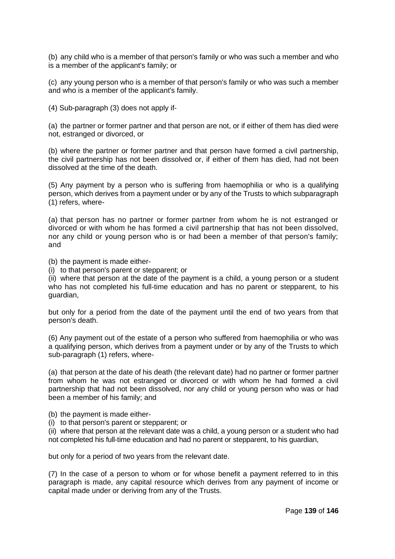(b) any child who is a member of that person's family or who was such a member and who is a member of the applicant's family; or

(c) any young person who is a member of that person's family or who was such a member and who is a member of the applicant's family.

(4) Sub-paragraph (3) does not apply if-

(a) the partner or former partner and that person are not, or if either of them has died were not, estranged or divorced, or

(b) where the partner or former partner and that person have formed a civil partnership, the civil partnership has not been dissolved or, if either of them has died, had not been dissolved at the time of the death.

(5) Any payment by a person who is suffering from haemophilia or who is a qualifying person, which derives from a payment under or by any of the Trusts to which subparagraph (1) refers, where-

(a) that person has no partner or former partner from whom he is not estranged or divorced or with whom he has formed a civil partnership that has not been dissolved, nor any child or young person who is or had been a member of that person's family; and

(b) the payment is made either-

(i) to that person's parent or stepparent; or

(ii) where that person at the date of the payment is a child, a young person or a student who has not completed his full-time education and has no parent or stepparent, to his guardian,

but only for a period from the date of the payment until the end of two years from that person's death.

(6) Any payment out of the estate of a person who suffered from haemophilia or who was a qualifying person, which derives from a payment under or by any of the Trusts to which sub-paragraph (1) refers, where-

(a) that person at the date of his death (the relevant date) had no partner or former partner from whom he was not estranged or divorced or with whom he had formed a civil partnership that had not been dissolved, nor any child or young person who was or had been a member of his family; and

(b) the payment is made either-

(i) to that person's parent or stepparent; or

(ii) where that person at the relevant date was a child, a young person or a student who had not completed his full-time education and had no parent or stepparent, to his guardian,

but only for a period of two years from the relevant date.

(7) In the case of a person to whom or for whose benefit a payment referred to in this paragraph is made, any capital resource which derives from any payment of income or capital made under or deriving from any of the Trusts.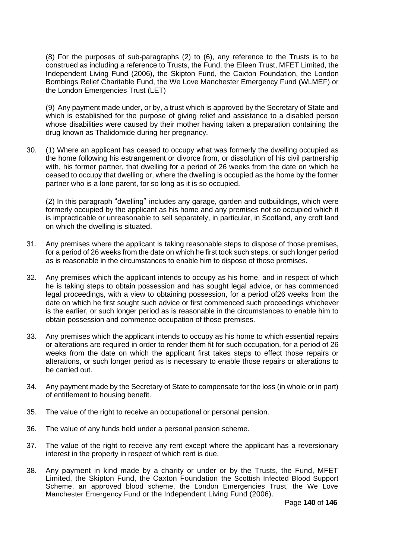(8) For the purposes of sub-paragraphs (2) to (6), any reference to the Trusts is to be construed as including a reference to Trusts, the Fund, the Eileen Trust, MFET Limited, the Independent Living Fund (2006), the Skipton Fund, the Caxton Foundation, the London Bombings Relief Charitable Fund, the We Love Manchester Emergency Fund (WLMEF) or the London Emergencies Trust (LET)

(9) Any payment made under, or by, a trust which is approved by the Secretary of State and which is established for the purpose of giving relief and assistance to a disabled person whose disabilities were caused by their mother having taken a preparation containing the drug known as Thalidomide during her pregnancy.

30. (1) Where an applicant has ceased to occupy what was formerly the dwelling occupied as the home following his estrangement or divorce from, or dissolution of his civil partnership with, his former partner, that dwelling for a period of 26 weeks from the date on which he ceased to occupy that dwelling or, where the dwelling is occupied as the home by the former partner who is a lone parent, for so long as it is so occupied.

(2) In this paragraph "dwelling" includes any garage, garden and outbuildings, which were formerly occupied by the applicant as his home and any premises not so occupied which it is impracticable or unreasonable to sell separately, in particular, in Scotland, any croft land on which the dwelling is situated.

- 31. Any premises where the applicant is taking reasonable steps to dispose of those premises, for a period of 26 weeks from the date on which he first took such steps, or such longer period as is reasonable in the circumstances to enable him to dispose of those premises.
- 32. Any premises which the applicant intends to occupy as his home, and in respect of which he is taking steps to obtain possession and has sought legal advice, or has commenced legal proceedings, with a view to obtaining possession, for a period of26 weeks from the date on which he first sought such advice or first commenced such proceedings whichever is the earlier, or such longer period as is reasonable in the circumstances to enable him to obtain possession and commence occupation of those premises.
- 33. Any premises which the applicant intends to occupy as his home to which essential repairs or alterations are required in order to render them fit for such occupation, for a period of 26 weeks from the date on which the applicant first takes steps to effect those repairs or alterations, or such longer period as is necessary to enable those repairs or alterations to be carried out.
- 34. Any payment made by the Secretary of State to compensate for the loss (in whole or in part) of entitlement to housing benefit.
- 35. The value of the right to receive an occupational or personal pension.
- 36. The value of any funds held under a personal pension scheme.
- 37. The value of the right to receive any rent except where the applicant has a reversionary interest in the property in respect of which rent is due.
- 38. Any payment in kind made by a charity or under or by the Trusts, the Fund, MFET Limited, the Skipton Fund, the Caxton Foundation the Scottish Infected Blood Support Scheme, an approved blood scheme, the London Emergencies Trust, the We Love Manchester Emergency Fund or the Independent Living Fund (2006).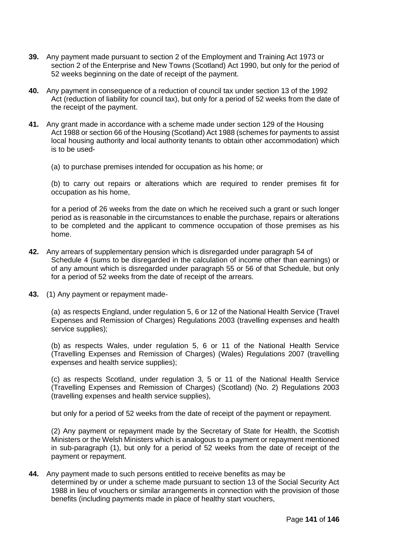- **39.** Any payment made pursuant to section 2 of the Employment and Training Act 1973 or section 2 of the Enterprise and New Towns (Scotland) Act 1990, but only for the period of 52 weeks beginning on the date of receipt of the payment.
- **40.** Any payment in consequence of a reduction of council tax under section 13 of the 1992 Act (reduction of liability for council tax), but only for a period of 52 weeks from the date of the receipt of the payment.
- **41.** Any grant made in accordance with a scheme made under section 129 of the Housing Act 1988 or section 66 of the Housing (Scotland) Act 1988 (schemes for payments to assist local housing authority and local authority tenants to obtain other accommodation) which is to be used-
	- (a) to purchase premises intended for occupation as his home; or

(b) to carry out repairs or alterations which are required to render premises fit for occupation as his home,

for a period of 26 weeks from the date on which he received such a grant or such longer period as is reasonable in the circumstances to enable the purchase, repairs or alterations to be completed and the applicant to commence occupation of those premises as his home.

- **42.** Any arrears of supplementary pension which is disregarded under paragraph 54 of Schedule 4 (sums to be disregarded in the calculation of income other than earnings) or of any amount which is disregarded under paragraph 55 or 56 of that Schedule, but only for a period of 52 weeks from the date of receipt of the arrears.
- **43.** (1) Any payment or repayment made-

(a) as respects England, under regulation 5, 6 or 12 of the National Health Service (Travel Expenses and Remission of Charges) Regulations 2003 (travelling expenses and health service supplies);

(b) as respects Wales, under regulation 5, 6 or 11 of the National Health Service (Travelling Expenses and Remission of Charges) (Wales) Regulations 2007 (travelling expenses and health service supplies);

(c) as respects Scotland, under regulation 3, 5 or 11 of the National Health Service (Travelling Expenses and Remission of Charges) (Scotland) (No. 2) Regulations 2003 (travelling expenses and health service supplies),

but only for a period of 52 weeks from the date of receipt of the payment or repayment.

(2) Any payment or repayment made by the Secretary of State for Health, the Scottish Ministers or the Welsh Ministers which is analogous to a payment or repayment mentioned in sub-paragraph (1), but only for a period of 52 weeks from the date of receipt of the payment or repayment.

**44.** Any payment made to such persons entitled to receive benefits as may be determined by or under a scheme made pursuant to section 13 of the Social Security Act 1988 in lieu of vouchers or similar arrangements in connection with the provision of those benefits (including payments made in place of healthy start vouchers,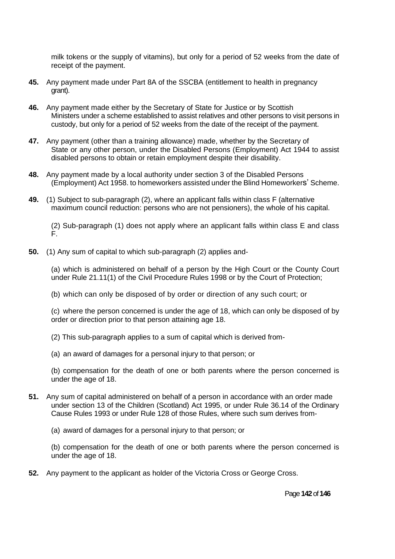milk tokens or the supply of vitamins), but only for a period of 52 weeks from the date of receipt of the payment.

- **45.** Any payment made under Part 8A of the SSCBA (entitlement to health in pregnancy grant).
- **46.** Any payment made either by the Secretary of State for Justice or by Scottish Ministers under a scheme established to assist relatives and other persons to visit persons in custody, but only for a period of 52 weeks from the date of the receipt of the payment.
- **47.** Any payment (other than a training allowance) made, whether by the Secretary of State or any other person, under the Disabled Persons (Employment) Act 1944 to assist disabled persons to obtain or retain employment despite their disability.
- **48.** Any payment made by a local authority under section 3 of the Disabled Persons (Employment) Act 1958. to homeworkers assisted under the Blind Homeworkers' Scheme.
- **49.** (1) Subject to sub-paragraph (2), where an applicant falls within class F (alternative maximum council reduction: persons who are not pensioners), the whole of his capital.

(2) Sub-paragraph (1) does not apply where an applicant falls within class E and class F.

**50.** (1) Any sum of capital to which sub-paragraph (2) applies and-

(a) which is administered on behalf of a person by the High Court or the County Court under Rule 21.11(1) of the Civil Procedure Rules 1998 or by the Court of Protection;

(b) which can only be disposed of by order or direction of any such court; or

(c) where the person concerned is under the age of 18, which can only be disposed of by order or direction prior to that person attaining age 18.

(2) This sub-paragraph applies to a sum of capital which is derived from-

(a) an award of damages for a personal injury to that person; or

(b) compensation for the death of one or both parents where the person concerned is under the age of 18.

**51.** Any sum of capital administered on behalf of a person in accordance with an order made under section 13 of the Children (Scotland) Act 1995, or under Rule 36.14 of the Ordinary Cause Rules 1993 or under Rule 128 of those Rules, where such sum derives from-

(a) award of damages for a personal injury to that person; or

(b) compensation for the death of one or both parents where the person concerned is under the age of 18.

**52.** Any payment to the applicant as holder of the Victoria Cross or George Cross.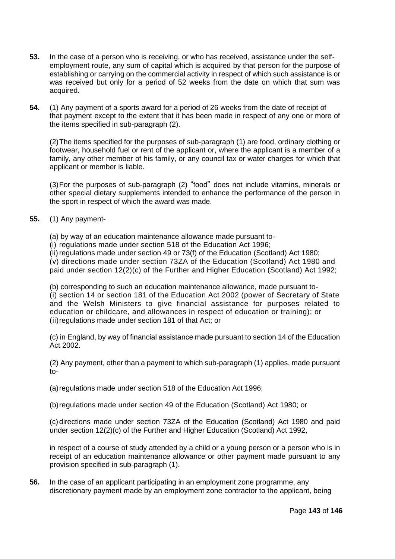- **53.** In the case of a person who is receiving, or who has received, assistance under the selfemployment route, any sum of capital which is acquired by that person for the purpose of establishing or carrying on the commercial activity in respect of which such assistance is or was received but only for a period of 52 weeks from the date on which that sum was acquired.
- **54.** (1) Any payment of a sports award for a period of 26 weeks from the date of receipt of that payment except to the extent that it has been made in respect of any one or more of the items specified in sub-paragraph (2).

(2)The items specified for the purposes of sub-paragraph (1) are food, ordinary clothing or footwear, household fuel or rent of the applicant or, where the applicant is a member of a family, any other member of his family, or any council tax or water charges for which that applicant or member is liable.

(3)For the purposes of sub-paragraph (2) "food" does not include vitamins, minerals or other special dietary supplements intended to enhance the performance of the person in the sport in respect of which the award was made.

### **55.** (1) Any payment-

(a) by way of an education maintenance allowance made pursuant to-

(i) regulations made under section 518 of the Education Act 1996;

(ii) regulations made under section 49 or  $73(f)$  of the Education (Scotland) Act 1980;

(v) directions made under section 73ZA of the Education (Scotland) Act 1980 and paid under section 12(2)(c) of the Further and Higher Education (Scotland) Act 1992;

(b) corresponding to such an education maintenance allowance, made pursuant to- (i) section 14 or section 181 of the Education Act 2002 (power of Secretary of State and the Welsh Ministers to give financial assistance for purposes related to education or childcare, and allowances in respect of education or training); or (ii)regulations made under section 181 of that Act; or

(c) in England, by way of financial assistance made pursuant to section 14 of the Education Act 2002.

(2) Any payment, other than a payment to which sub-paragraph (1) applies, made pursuant  $to$ 

(a)regulations made under section 518 of the Education Act 1996;

(b)regulations made under section 49 of the Education (Scotland) Act 1980; or

(c)directions made under section 73ZA of the Education (Scotland) Act 1980 and paid under section 12(2)(c) of the Further and Higher Education (Scotland) Act 1992,

in respect of a course of study attended by a child or a young person or a person who is in receipt of an education maintenance allowance or other payment made pursuant to any provision specified in sub-paragraph (1).

**56.** In the case of an applicant participating in an employment zone programme, any discretionary payment made by an employment zone contractor to the applicant, being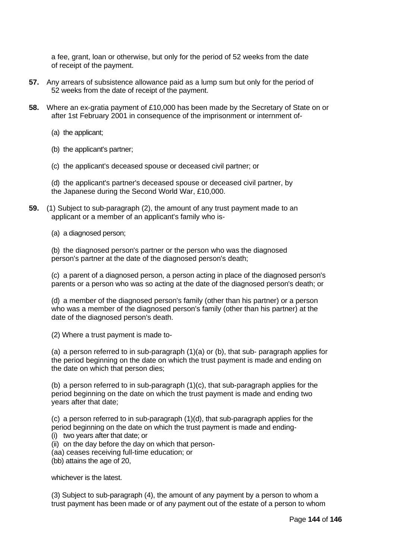a fee, grant, loan or otherwise, but only for the period of 52 weeks from the date of receipt of the payment.

- **57.** Any arrears of subsistence allowance paid as a lump sum but only for the period of 52 weeks from the date of receipt of the payment.
- **58.** Where an ex-gratia payment of £10,000 has been made by the Secretary of State on or after 1st February 2001 in consequence of the imprisonment or internment of-
	- (a) the applicant;
	- (b) the applicant's partner;
	- (c) the applicant's deceased spouse or deceased civil partner; or

(d) the applicant's partner's deceased spouse or deceased civil partner, by the Japanese during the Second World War, £10,000.

**59.** (1) Subject to sub-paragraph (2), the amount of any trust payment made to an applicant or a member of an applicant's family who is-

(a) a diagnosed person;

(b) the diagnosed person's partner or the person who was the diagnosed person's partner at the date of the diagnosed person's death;

(c) a parent of a diagnosed person, a person acting in place of the diagnosed person's parents or a person who was so acting at the date of the diagnosed person's death; or

(d) a member of the diagnosed person's family (other than his partner) or a person who was a member of the diagnosed person's family (other than his partner) at the date of the diagnosed person's death.

(2) Where a trust payment is made to-

(a) a person referred to in sub-paragraph (1)(a) or (b), that sub- paragraph applies for the period beginning on the date on which the trust payment is made and ending on the date on which that person dies;

(b) a person referred to in sub-paragraph  $(1)(c)$ , that sub-paragraph applies for the period beginning on the date on which the trust payment is made and ending two years after that date;

(c) a person referred to in sub-paragraph (1)(d), that sub-paragraph applies for the period beginning on the date on which the trust payment is made and ending-

- (i) two years after that date; or
- (ii) on the day before the day on which that person-
- (aa) ceases receiving full-time education; or
- (bb) attains the age of 20,

whichever is the latest.

(3) Subject to sub-paragraph (4), the amount of any payment by a person to whom a trust payment has been made or of any payment out of the estate of a person to whom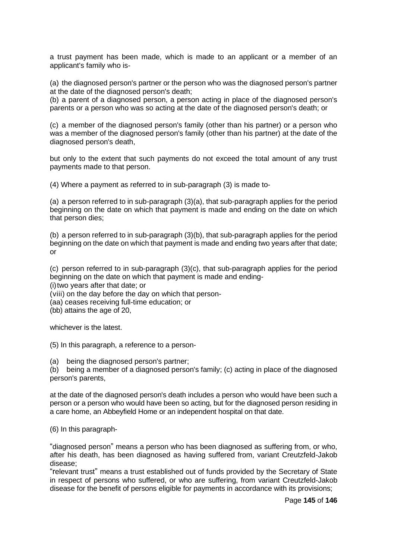a trust payment has been made, which is made to an applicant or a member of an applicant's family who is-

(a) the diagnosed person's partner or the person who was the diagnosed person's partner at the date of the diagnosed person's death;

(b) a parent of a diagnosed person, a person acting in place of the diagnosed person's parents or a person who was so acting at the date of the diagnosed person's death; or

(c) a member of the diagnosed person's family (other than his partner) or a person who was a member of the diagnosed person's family (other than his partner) at the date of the diagnosed person's death,

but only to the extent that such payments do not exceed the total amount of any trust payments made to that person.

(4) Where a payment as referred to in sub-paragraph (3) is made to-

(a) a person referred to in sub-paragraph (3)(a), that sub-paragraph applies for the period beginning on the date on which that payment is made and ending on the date on which that person dies;

(b) a person referred to in sub-paragraph (3)(b), that sub-paragraph applies for the period beginning on the date on which that payment is made and ending two years after that date; or

(c) person referred to in sub-paragraph (3)(c), that sub-paragraph applies for the period beginning on the date on which that payment is made and ending-

(i)two years after that date; or

(viii) on the day before the day on which that person-

(aa) ceases receiving full-time education; or

(bb) attains the age of 20,

whichever is the latest.

(5) In this paragraph, a reference to a person-

(a) being the diagnosed person's partner;

(b) being a member of a diagnosed person's family; (c) acting in place of the diagnosed person's parents,

at the date of the diagnosed person's death includes a person who would have been such a person or a person who would have been so acting, but for the diagnosed person residing in a care home, an Abbeyfield Home or an independent hospital on that date.

(6) In this paragraph-

"diagnosed person" means a person who has been diagnosed as suffering from, or who, after his death, has been diagnosed as having suffered from, variant Creutzfeld-Jakob disease;

"relevant trust" means a trust established out of funds provided by the Secretary of State in respect of persons who suffered, or who are suffering, from variant Creutzfeld-Jakob disease for the benefit of persons eligible for payments in accordance with its provisions;